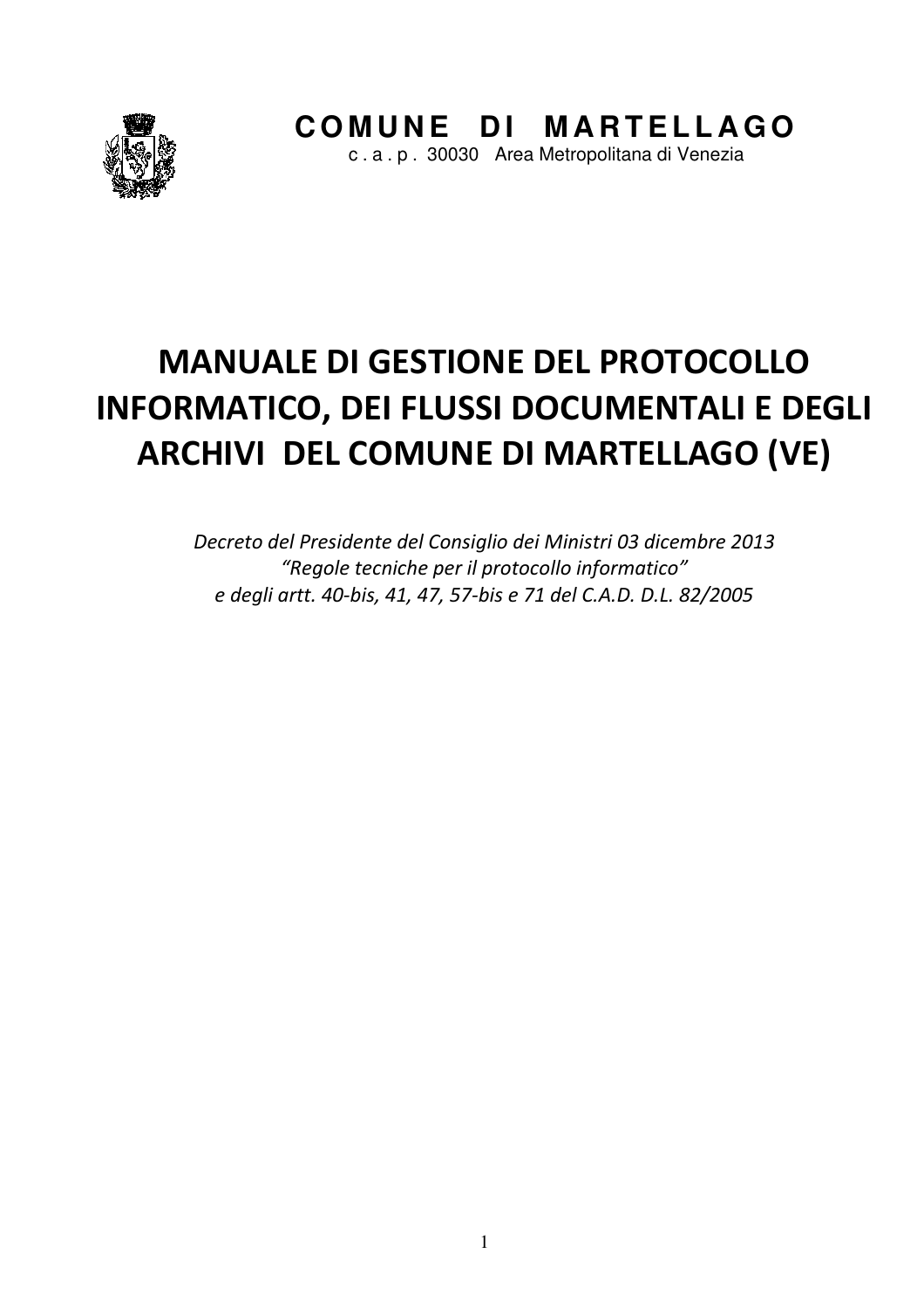

# **MANUALE DI GESTIONE DEL PROTOCOLLO INFORMATICO, DEI FLUSSI DOCUMENTALI E DEGLI ARCHIVI DEL COMUNE DI MARTELLAGO (VE)**

Decreto del Presidente del Consiglio dei Ministri 03 dicembre 2013 "Regole tecniche per il protocollo informatico" e degli artt. 40-bis, 41, 47, 57-bis e 71 del C.A.D. D.L. 82/2005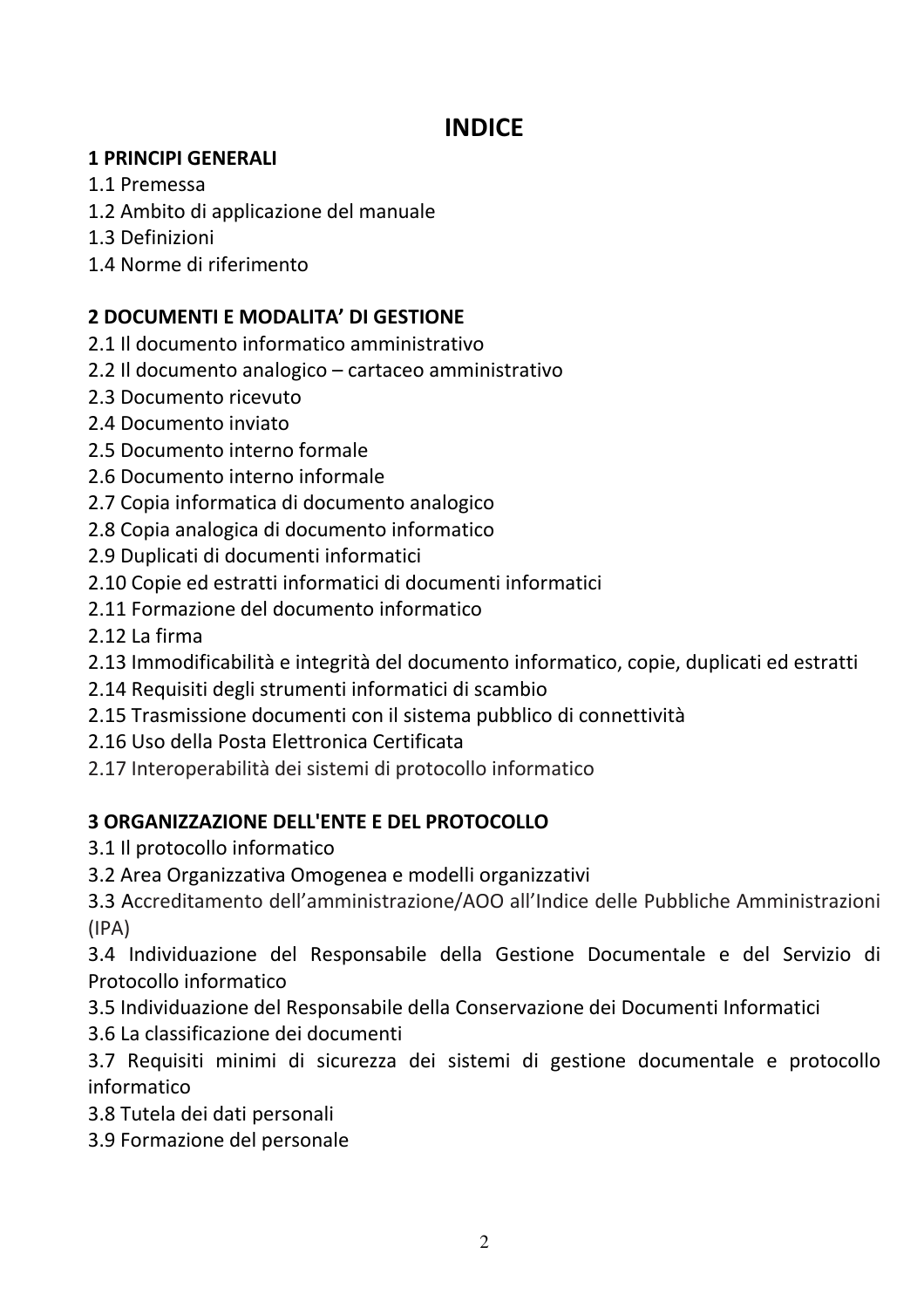# **INDICE**

#### **1 PRINCIPI GENERALI**

- 1.1 Premessa
- 1.2 Ambito di applicazione del manuale
- 1.3 Definizioni
- 1.4 Norme di riferimento

# 2 DOCUMENTI E MODALITA' DI GESTIONE

- 2.1 Il documento informatico amministrativo
- 2.2 Il documento analogico cartaceo amministrativo
- 2.3 Documento ricevuto
- 2.4 Documento inviato
- 2.5 Documento interno formale
- 2.6 Documento interno informale
- 2.7 Copia informatica di documento analogico
- 2.8 Copia analogica di documento informatico
- 2.9 Duplicati di documenti informatici
- 2.10 Copie ed estratti informatici di documenti informatici
- 2.11 Formazione del documento informatico
- 2.12 La firma
- 2.13 Immodificabilità e integrità del documento informatico, copie, duplicati ed estratti
- 2.14 Requisiti degli strumenti informatici di scambio
- 2.15 Trasmissione documenti con il sistema pubblico di connettività
- 2.16 Uso della Posta Elettronica Certificata
- 2.17 Interoperabilità dei sistemi di protocollo informatico

# **3 ORGANIZZAZIONE DELL'ENTE E DEL PROTOCOLLO**

- 3.1 Il protocollo informatico
- 3.2 Area Organizzativa Omogenea e modelli organizzativi

3.3 Accreditamento dell'amministrazione/AOO all'Indice delle Pubbliche Amministrazioni  $(IPA)$ 

3.4 Individuazione del Responsabile della Gestione Documentale e del Servizio di Protocollo informatico

- 3.5 Individuazione del Responsabile della Conservazione dei Documenti Informatici
- 3.6 La classificazione dei documenti

3.7 Requisiti minimi di sicurezza dei sistemi di gestione documentale e protocollo informatico

- 3.8 Tutela dei dati personali
- 3.9 Formazione del personale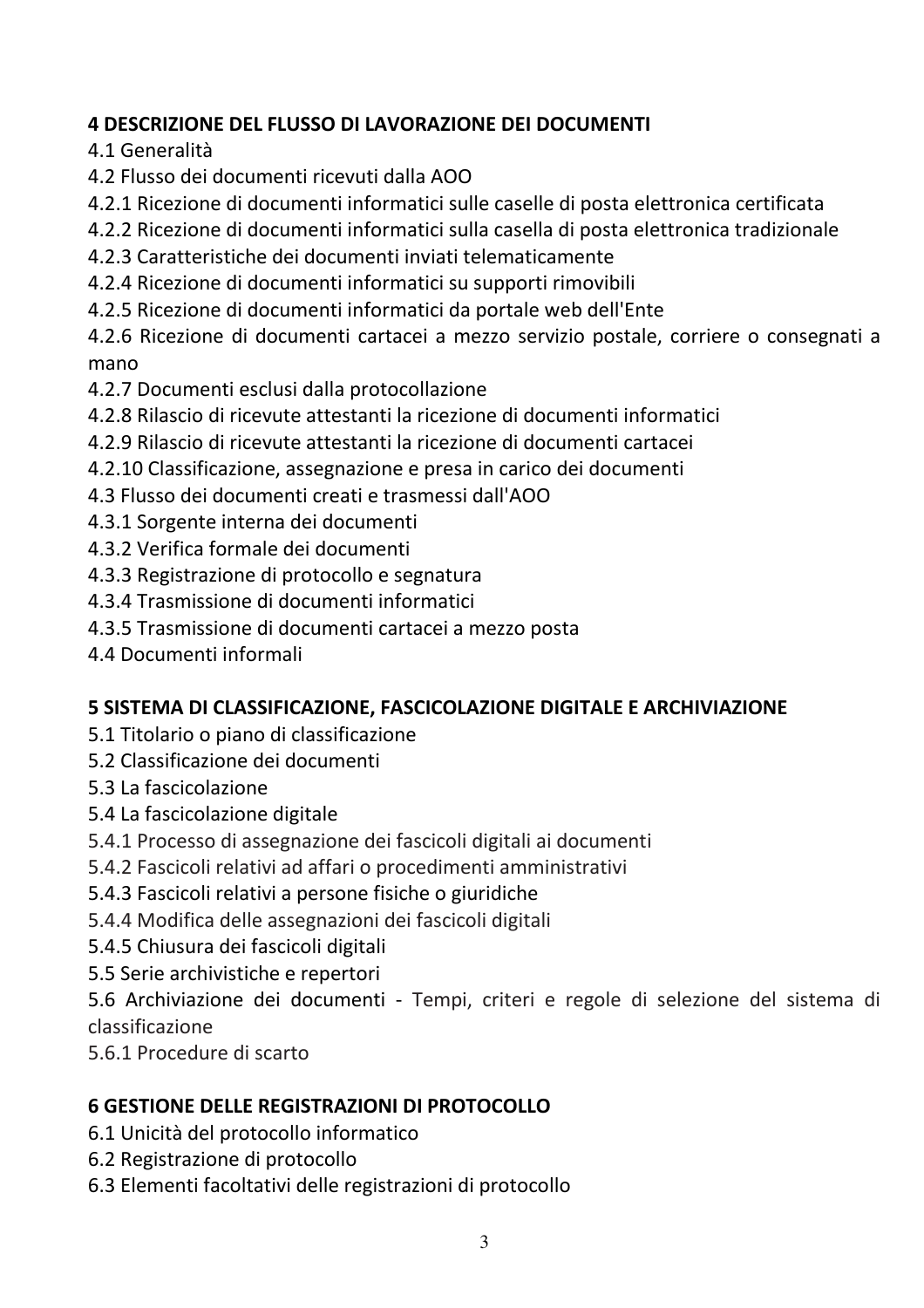# **4 DESCRIZIONE DEL FLUSSO DI LAVORAZIONE DEI DOCUMENTI**

4.1 Generalità

- 4.2 Flusso dei documenti ricevuti dalla AOO
- 4.2.1 Ricezione di documenti informatici sulle caselle di posta elettronica certificata
- 4.2.2 Ricezione di documenti informatici sulla casella di posta elettronica tradizionale
- 4.2.3 Caratteristiche dei documenti inviati telematicamente
- 4.2.4 Ricezione di documenti informatici su supporti rimovibili
- 4.2.5 Ricezione di documenti informatici da portale web dell'Ente

4.2.6 Ricezione di documenti cartacei a mezzo servizio postale, corriere o consegnati a mano

- 4.2.7 Documenti esclusi dalla protocollazione
- 4.2.8 Rilascio di ricevute attestanti la ricezione di documenti informatici
- 4.2.9 Rilascio di ricevute attestanti la ricezione di documenti cartacei
- 4.2.10 Classificazione, assegnazione e presa in carico dei documenti
- 4.3 Flusso dei documenti creati e trasmessi dall'AOO
- 4.3.1 Sorgente interna dei documenti
- 4.3.2 Verifica formale dei documenti
- 4.3.3 Registrazione di protocollo e segnatura
- 4.3.4 Trasmissione di documenti informatici
- 4.3.5 Trasmissione di documenti cartacei a mezzo posta
- 4.4 Documenti informali

# 5 SISTEMA DI CLASSIFICAZIONE, FASCICOLAZIONE DIGITALE E ARCHIVIAZIONE

- 5.1 Titolario o piano di classificazione
- 5.2 Classificazione dei documenti
- 5.3 La fascicolazione
- 5.4 La fascicolazione digitale
- 5.4.1 Processo di assegnazione dei fascicoli digitali ai documenti
- 5.4.2 Fascicoli relativi ad affari o procedimenti amministrativi
- 5.4.3 Fascicoli relativi a persone fisiche o giuridiche
- 5.4.4 Modifica delle assegnazioni dei fascicoli digitali
- 5.4.5 Chiusura dei fascicoli digitali
- 5.5 Serie archivistiche e repertori

5.6 Archiviazione dei documenti - Tempi, criteri e regole di selezione del sistema di classificazione

5.6.1 Procedure di scarto

# **6 GESTIONE DELLE REGISTRAZIONI DI PROTOCOLLO**

- 6.1 Unicità del protocollo informatico
- 6.2 Registrazione di protocollo
- 6.3 Elementi facoltativi delle registrazioni di protocollo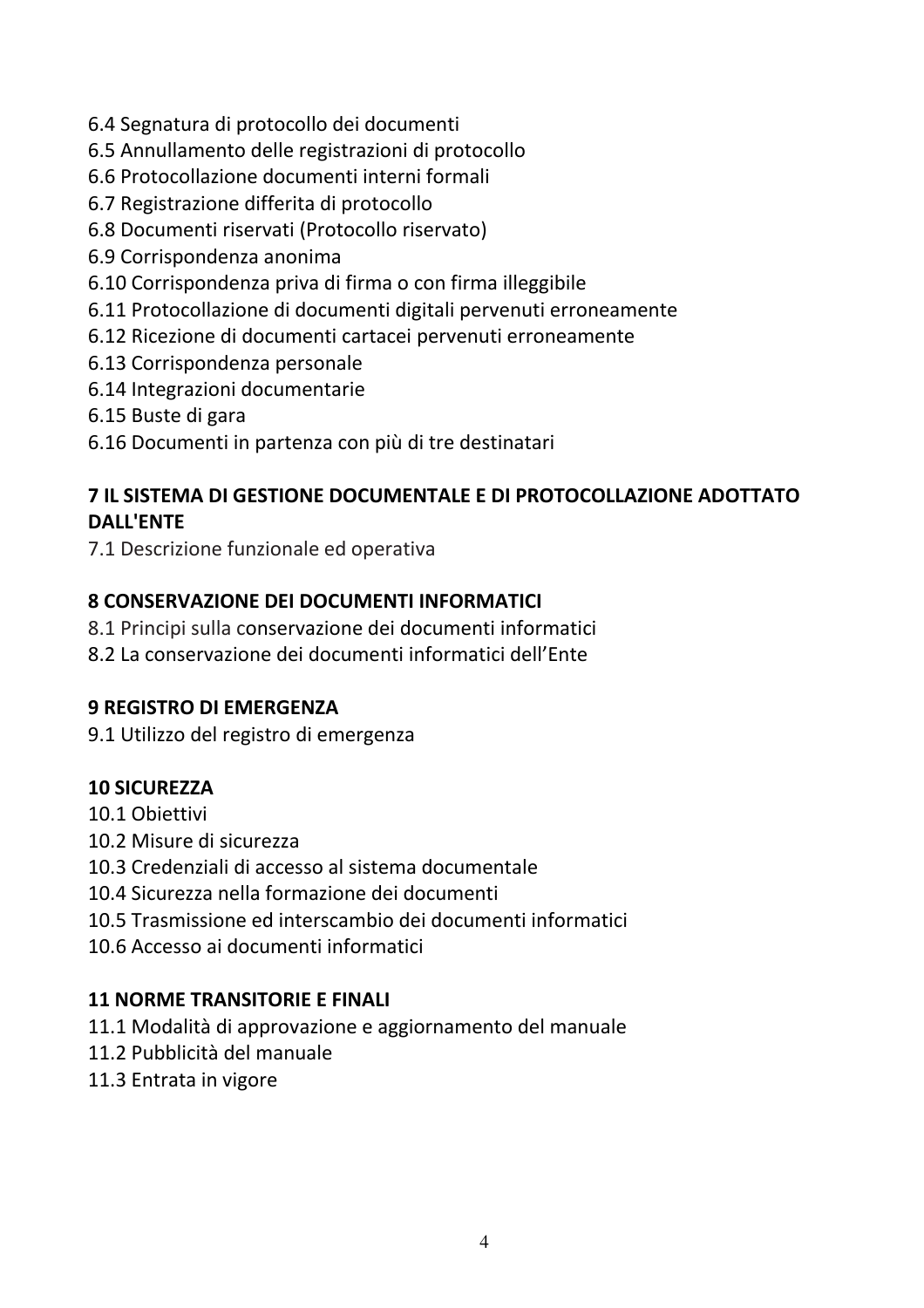- 6.4 Segnatura di protocollo dei documenti
- 6.5 Annullamento delle registrazioni di protocollo
- 6.6 Protocollazione documenti interni formali
- 6.7 Registrazione differita di protocollo
- 6.8 Documenti riservati (Protocollo riservato)
- 6.9 Corrispondenza anonima
- 6.10 Corrispondenza priva di firma o con firma illeggibile
- 6.11 Protocollazione di documenti digitali pervenuti erroneamente
- 6.12 Ricezione di documenti cartacei pervenuti erroneamente
- 6.13 Corrispondenza personale
- 6.14 Integrazioni documentarie
- 6.15 Buste di gara
- 6.16 Documenti in partenza con più di tre destinatari

# 7 IL SISTEMA DI GESTIONE DOCUMENTALE E DI PROTOCOLLAZIONE ADOTTATO **DALL'ENTE**

7.1 Descrizione funzionale ed operativa

#### **8 CONSERVAZIONE DEI DOCUMENTI INFORMATICI**

- 8.1 Principi sulla conservazione dei documenti informatici
- 8.2 La conservazione dei documenti informatici dell'Ente

#### **9 REGISTRO DI EMERGENZA**

9.1 Utilizzo del registro di emergenza

#### **10 SICUREZZA**

- 10.1 Obiettivi
- 10.2 Misure di sicurezza
- 10.3 Credenziali di accesso al sistema documentale
- 10.4 Sicurezza nella formazione dei documenti
- 10.5 Trasmissione ed interscambio dei documenti informatici
- 10.6 Accesso ai documenti informatici

#### **11 NORME TRANSITORIE E FINALI**

- 11.1 Modalità di approvazione e aggiornamento del manuale
- 11.2 Pubblicità del manuale
- 11.3 Entrata in vigore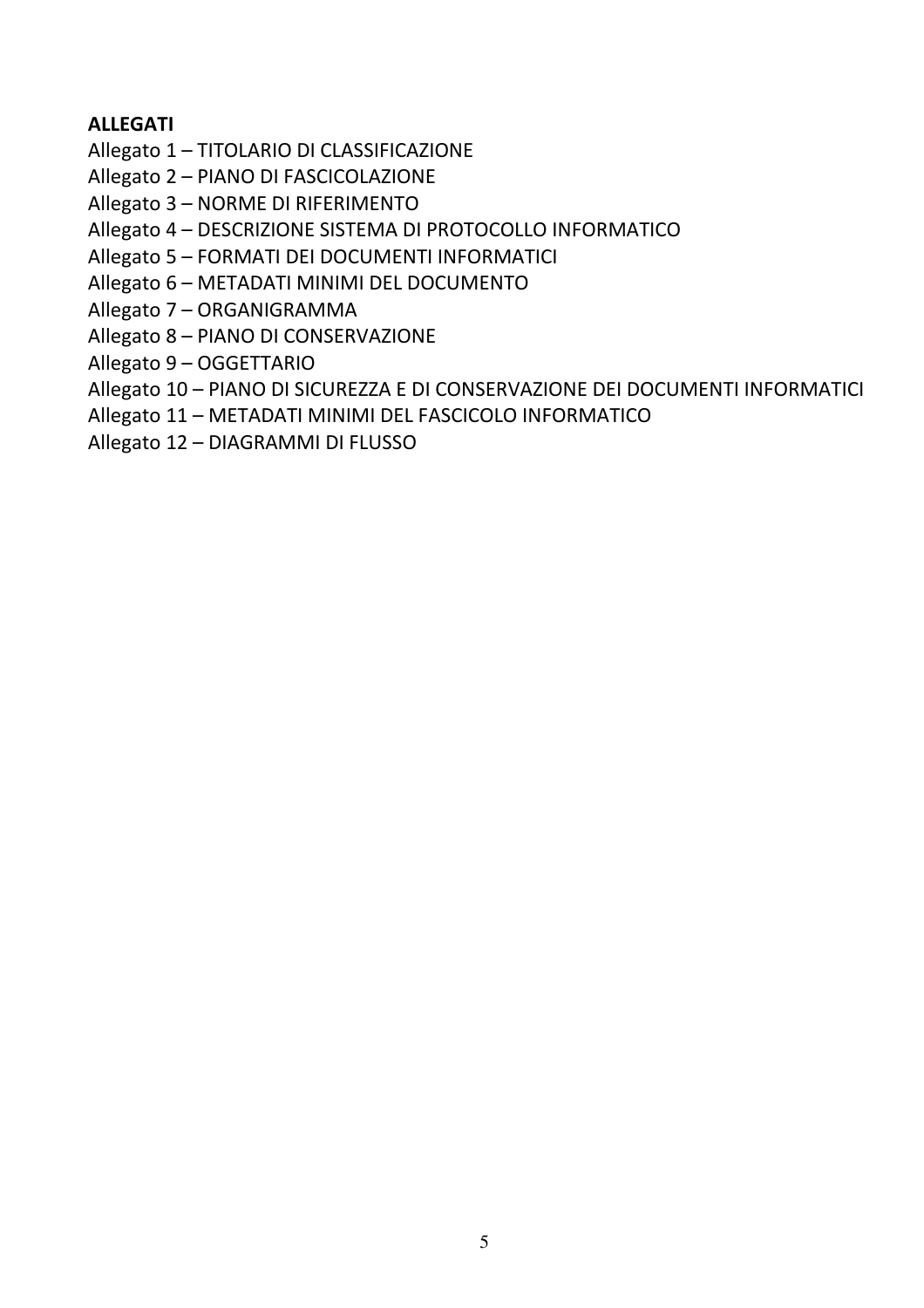#### **ALLEGATI**

Allegato 1 - TITOLARIO DI CLASSIFICAZIONE

Allegato 2 - PIANO DI FASCICOLAZIONE

Allegato 3 - NORME DI RIFERIMENTO

Allegato 4 - DESCRIZIONE SISTEMA DI PROTOCOLLO INFORMATICO

Allegato 5 - FORMATI DEI DOCUMENTI INFORMATICI

Allegato 6 - METADATI MINIMI DEL DOCUMENTO

Allegato 7 - ORGANIGRAMMA

Allegato 8 - PIANO DI CONSERVAZIONE

Allegato 9 - OGGETTARIO

Allegato 10 - PIANO DI SICUREZZA E DI CONSERVAZIONE DEI DOCUMENTI INFORMATICI

Allegato 11 - METADATI MINIMI DEL FASCICOLO INFORMATICO

Allegato 12 - DIAGRAMMI DI FLUSSO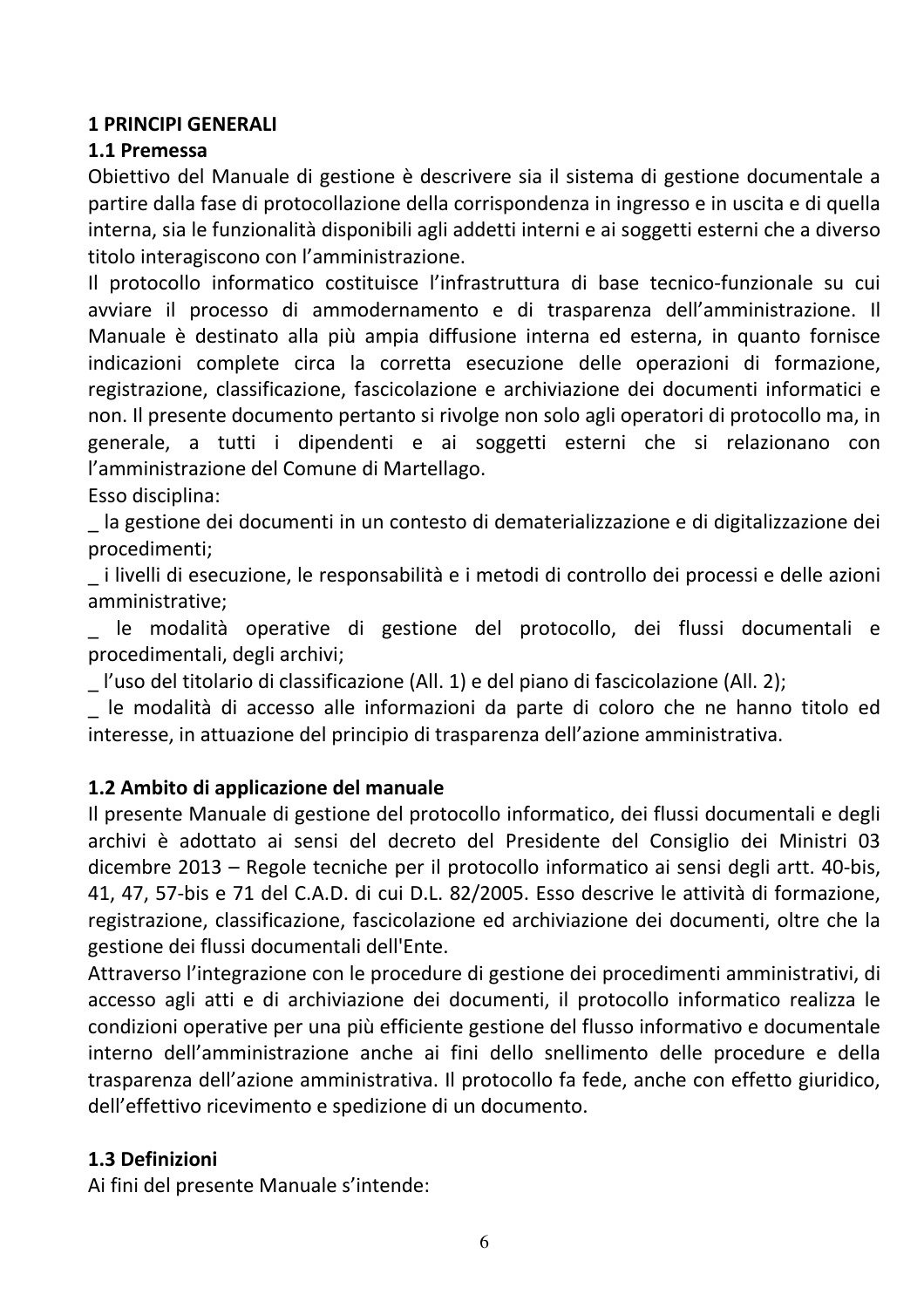#### **1 PRINCIPI GENERALI**

#### 1.1 Premessa

Obiettivo del Manuale di gestione è descrivere sia il sistema di gestione documentale a partire dalla fase di protocollazione della corrispondenza in ingresso e in uscita e di quella interna, sia le funzionalità disponibili agli addetti interni e ai soggetti esterni che a diverso titolo interagiscono con l'amministrazione.

Il protocollo informatico costituisce l'infrastruttura di base tecnico-funzionale su cui avviare il processo di ammodernamento e di trasparenza dell'amministrazione. Il Manuale è destinato alla più ampia diffusione interna ed esterna, in quanto fornisce indicazioni complete circa la corretta esecuzione delle operazioni di formazione, registrazione, classificazione, fascicolazione e archiviazione dei documenti informatici e non. Il presente documento pertanto si rivolge non solo agli operatori di protocollo ma, in generale, a tutti i dipendenti e ai soggetti esterni che si relazionano con l'amministrazione del Comune di Martellago.

Esso disciplina:

la gestione dei documenti in un contesto di dematerializzazione e di digitalizzazione dei procedimenti;

i livelli di esecuzione, le responsabilità e i metodi di controllo dei processi e delle azioni amministrative;

le modalità operative di gestione del protocollo, dei flussi documentali e procedimentali, degli archivi;

l'uso del titolario di classificazione (All. 1) e del piano di fascicolazione (All. 2);

le modalità di accesso alle informazioni da parte di coloro che ne hanno titolo ed interesse, in attuazione del principio di trasparenza dell'azione amministrativa.

#### 1.2 Ambito di applicazione del manuale

Il presente Manuale di gestione del protocollo informatico, dei flussi documentali e degli archivi è adottato ai sensi del decreto del Presidente del Consiglio dei Ministri 03 dicembre 2013 – Regole tecniche per il protocollo informatico ai sensi degli artt. 40-bis, 41. 47. 57-bis e 71 del C.A.D. di cui D.L. 82/2005. Esso descrive le attività di formazione, registrazione, classificazione, fascicolazione ed archiviazione dei documenti, oltre che la gestione dei flussi documentali dell'Ente.

Attraverso l'integrazione con le procedure di gestione dei procedimenti amministrativi, di accesso agli atti e di archiviazione dei documenti, il protocollo informatico realizza le condizioni operative per una più efficiente gestione del flusso informativo e documentale interno dell'amministrazione anche ai fini dello snellimento delle procedure e della trasparenza dell'azione amministrativa. Il protocollo fa fede, anche con effetto giuridico, dell'effettivo ricevimento e spedizione di un documento.

#### 1.3 Definizioni

Ai fini del presente Manuale s'intende: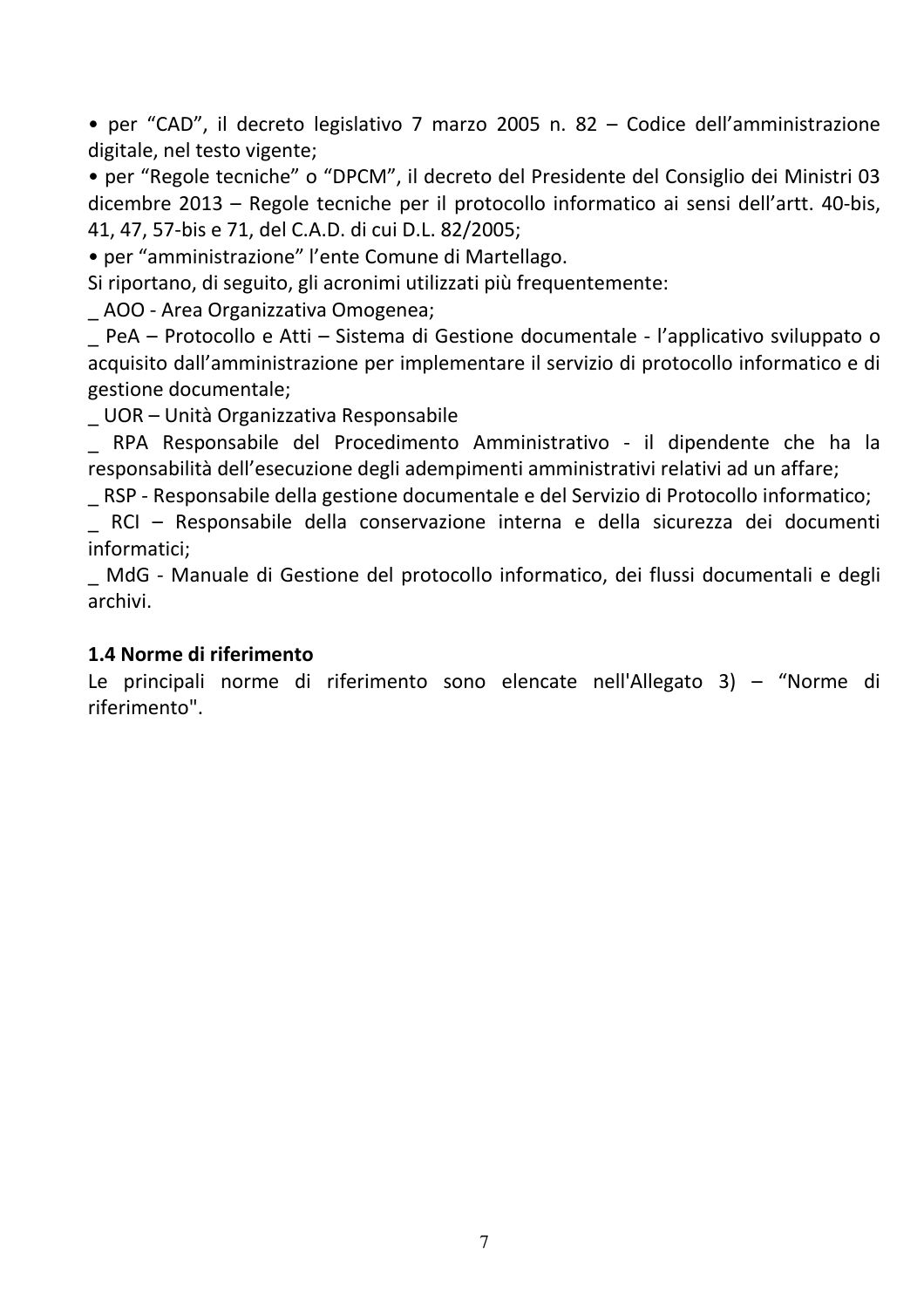• per "CAD", il decreto legislativo 7 marzo 2005 n. 82 – Codice dell'amministrazione digitale, nel testo vigente;

• per "Regole tecniche" o "DPCM", il decreto del Presidente del Consiglio dei Ministri 03 dicembre 2013 – Regole tecniche per il protocollo informatico ai sensi dell'artt. 40-bis, 41, 47, 57-bis e 71, del C.A.D. di cui D.L. 82/2005;

• per "amministrazione" l'ente Comune di Martellago.

Si riportano, di seguito, gli acronimi utilizzati più frequentemente:

\_ AOO - Area Organizzativa Omogenea;

\_ PeA - Protocollo e Atti - Sistema di Gestione documentale - l'applicativo sviluppato o acquisito dall'amministrazione per implementare il servizio di protocollo informatico e di gestione documentale;

UOR – Unità Organizzativa Responsabile

\_ RPA Responsabile del Procedimento Amministrativo - il dipendente che ha la responsabilità dell'esecuzione degli adempimenti amministrativi relativi ad un affare;

\_ RSP - Responsabile della gestione documentale e del Servizio di Protocollo informatico;

RCI - Responsabile della conservazione interna e della sicurezza dei documenti informatici;

MdG - Manuale di Gestione del protocollo informatico, dei flussi documentali e degli archivi.

#### 1.4 Norme di riferimento

Le principali norme di riferimento sono elencate nell'Allegato 3) - "Norme di riferimento".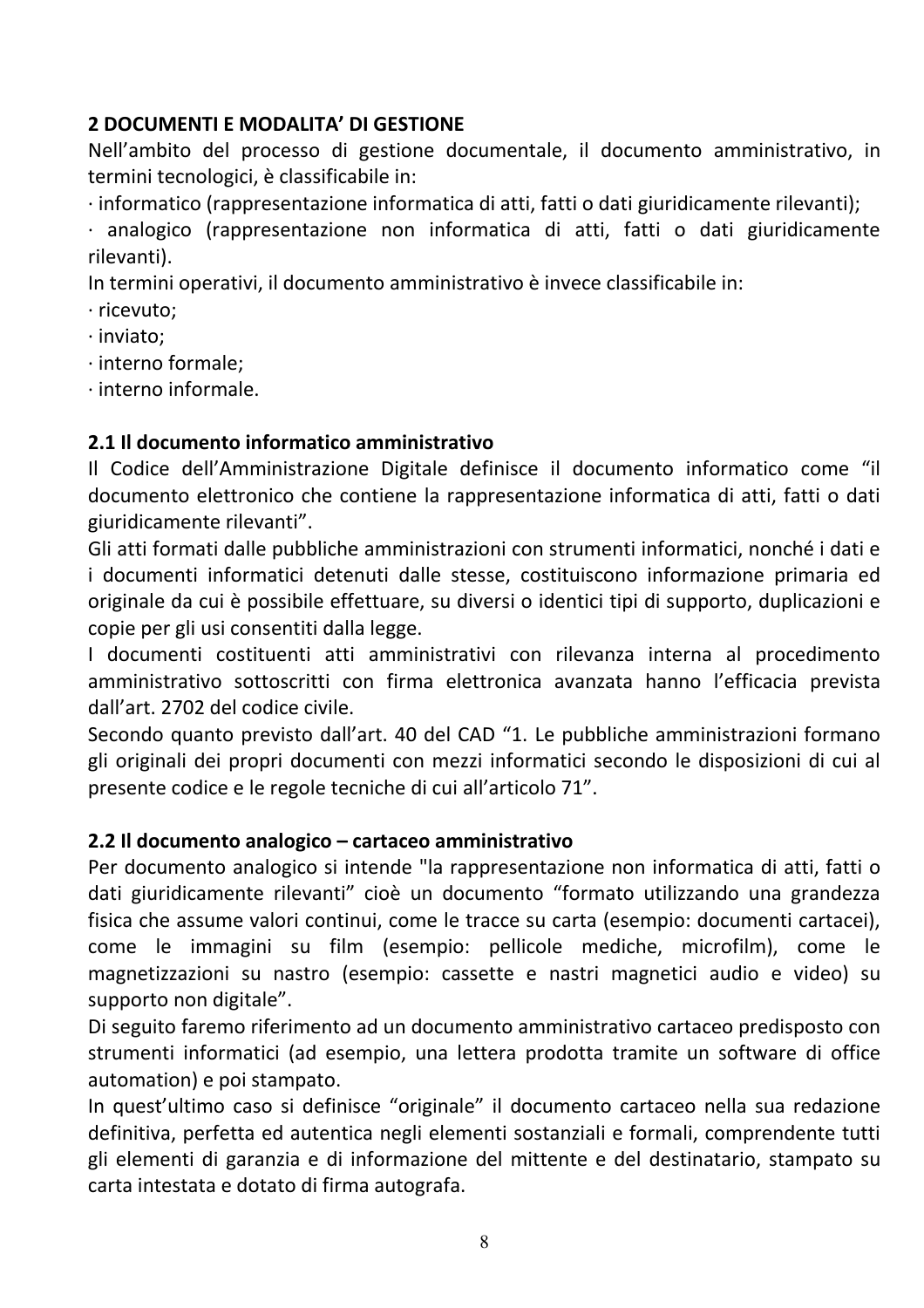# 2 DOCUMENTI E MODALITA' DI GESTIONE

Nell'ambito del processo di gestione documentale, il documento amministrativo, in termini tecnologici, è classificabile in:

· informatico (rappresentazione informatica di atti, fatti o dati giuridicamente rilevanti);

· analogico (rappresentazione non informatica di atti. fatti o dati giuridicamente rilevanti).

In termini operativi, il documento amministrativo è invece classificabile in:

· ricevuto:

 $\cdot$  inviato:

· interno formale;

 $\cdot$  interno informale.

#### 2.1 Il documento informatico amministrativo

Il Codice dell'Amministrazione Digitale definisce il documento informatico come "il documento elettronico che contiene la rappresentazione informatica di atti, fatti o dati giuridicamente rilevanti".

Gli atti formati dalle pubbliche amministrazioni con strumenti informatici, nonché i dati e i documenti informatici detenuti dalle stesse, costituiscono informazione primaria ed originale da cui è possibile effettuare, su diversi o identici tipi di supporto, duplicazioni e copie per gli usi consentiti dalla legge.

I documenti costituenti atti amministrativi con rilevanza interna al procedimento amministrativo sottoscritti con firma elettronica avanzata hanno l'efficacia prevista dall'art. 2702 del codice civile.

Secondo quanto previsto dall'art. 40 del CAD "1. Le pubbliche amministrazioni formano gli originali dei propri documenti con mezzi informatici secondo le disposizioni di cui al presente codice e le regole tecniche di cui all'articolo 71".

#### 2.2 Il documento analogico – cartaceo amministrativo

Per documento analogico si intende "la rappresentazione non informatica di atti, fatti o dati giuridicamente rilevanti" cioè un documento "formato utilizzando una grandezza fisica che assume valori continui, come le tracce su carta (esempio: documenti cartacei), come le immagini su film (esempio: pellicole mediche, microfilm), come le magnetizzazioni su nastro (esempio: cassette e nastri magnetici audio e video) su supporto non digitale".

Di seguito faremo riferimento ad un documento amministrativo cartaceo predisposto con strumenti informatici (ad esempio, una lettera prodotta tramite un software di office automation) e poi stampato.

In quest'ultimo caso si definisce "originale" il documento cartaceo nella sua redazione definitiva, perfetta ed autentica negli elementi sostanziali e formali, comprendente tutti gli elementi di garanzia e di informazione del mittente e del destinatario, stampato su carta intestata e dotato di firma autografa.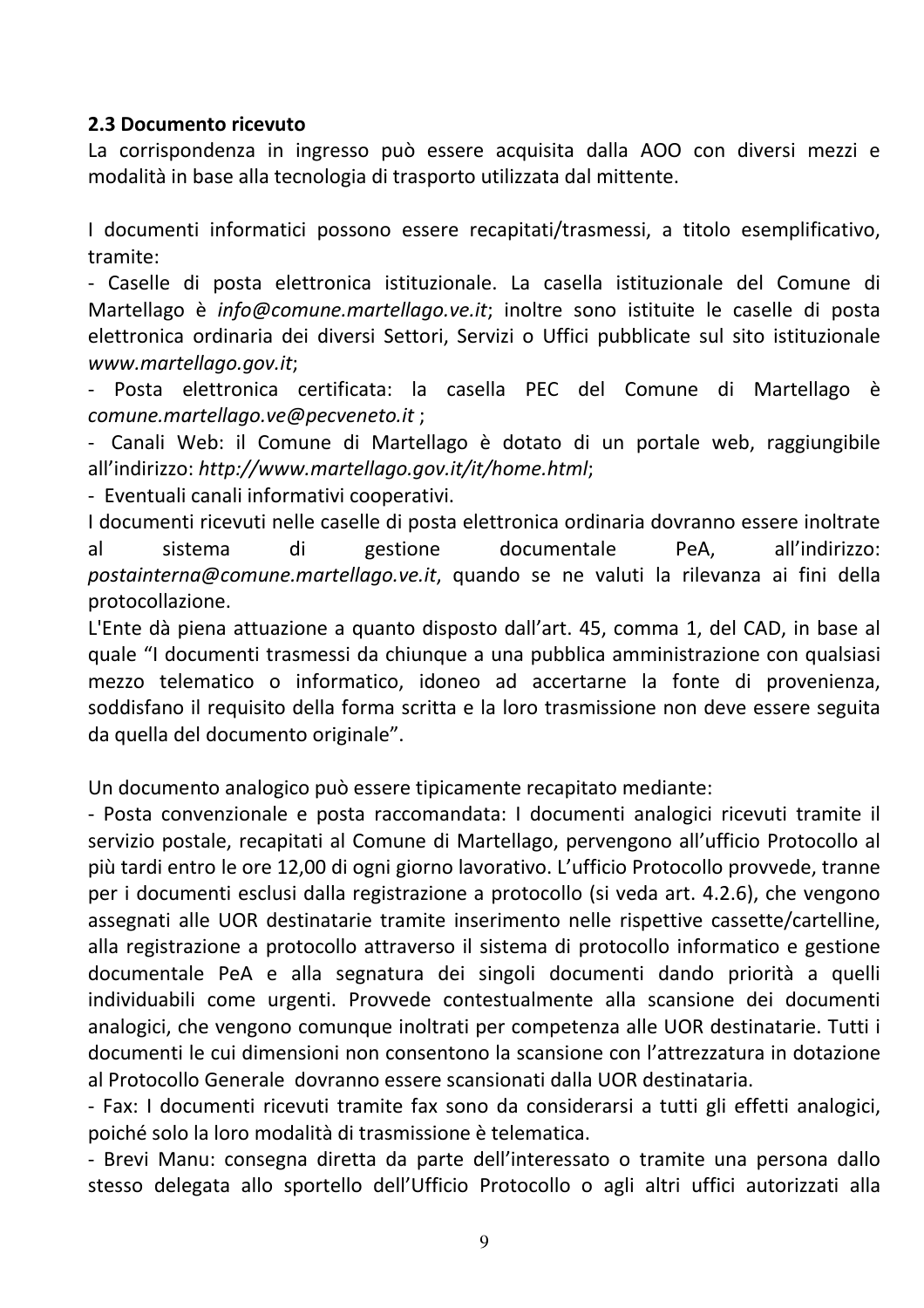#### 2.3 Documento ricevuto

La corrispondenza in ingresso può essere acquisita dalla AOO con diversi mezzi e modalità in base alla tecnologia di trasporto utilizzata dal mittente.

I documenti informatici possono essere recapitati/trasmessi, a titolo esemplificativo. tramite:

- Caselle di posta elettronica istituzionale. La casella istituzionale del Comune di Martellago è info@comune.martellago.ve.it; inoltre sono istituite le caselle di posta elettronica ordinaria dei diversi Settori, Servizi o Uffici pubblicate sul sito istituzionale www.martellago.gov.it;

- Posta elettronica certificata: la casella PEC del Comune di Martellago è comune.martellago.ve@pecveneto.it;

- Canali Web: il Comune di Martellago è dotato di un portale web, raggiungibile all'indirizzo: http://www.martellago.gov.it/it/home.html;

- Eventuali canali informativi cooperativi.

I documenti ricevuti nelle caselle di posta elettronica ordinaria dovranno essere inoltrate  $a^{\dagger}$ sistema gestione documentale PeA, all'indirizzo: di postainterna@comune.martellago.ve.it, quando se ne valuti la rilevanza ai fini della protocollazione.

L'Ente dà piena attuazione a quanto disposto dall'art. 45, comma 1, del CAD, in base al quale "I documenti trasmessi da chiunque a una pubblica amministrazione con qualsiasi mezzo telematico o informatico, idoneo ad accertarne la fonte di provenienza, soddisfano il requisito della forma scritta e la loro trasmissione non deve essere seguita da quella del documento originale".

Un documento analogico può essere tipicamente recapitato mediante:

- Posta convenzionale e posta raccomandata: I documenti analogici ricevuti tramite il servizio postale, recapitati al Comune di Martellago, pervengono all'ufficio Protocollo al più tardi entro le ore 12,00 di ogni giorno lavorativo. L'ufficio Protocollo provvede, tranne per i documenti esclusi dalla registrazione a protocollo (si veda art. 4.2.6), che vengono assegnati alle UOR destinatarie tramite inserimento nelle rispettive cassette/cartelline, alla registrazione a protocollo attraverso il sistema di protocollo informatico e gestione documentale PeA e alla segnatura dei singoli documenti dando priorità a quelli individuabili come urgenti. Provvede contestualmente alla scansione dei documenti analogici, che vengono comunque inoltrati per competenza alle UOR destinatarie. Tutti i documenti le cui dimensioni non consentono la scansione con l'attrezzatura in dotazione al Protocollo Generale dovranno essere scansionati dalla UOR destinataria.

- Fax: I documenti ricevuti tramite fax sono da considerarsi a tutti gli effetti analogici, poiché solo la loro modalità di trasmissione è telematica.

- Brevi Manu: consegna diretta da parte dell'interessato o tramite una persona dallo stesso delegata allo sportello dell'Ufficio Protocollo o agli altri uffici autorizzati alla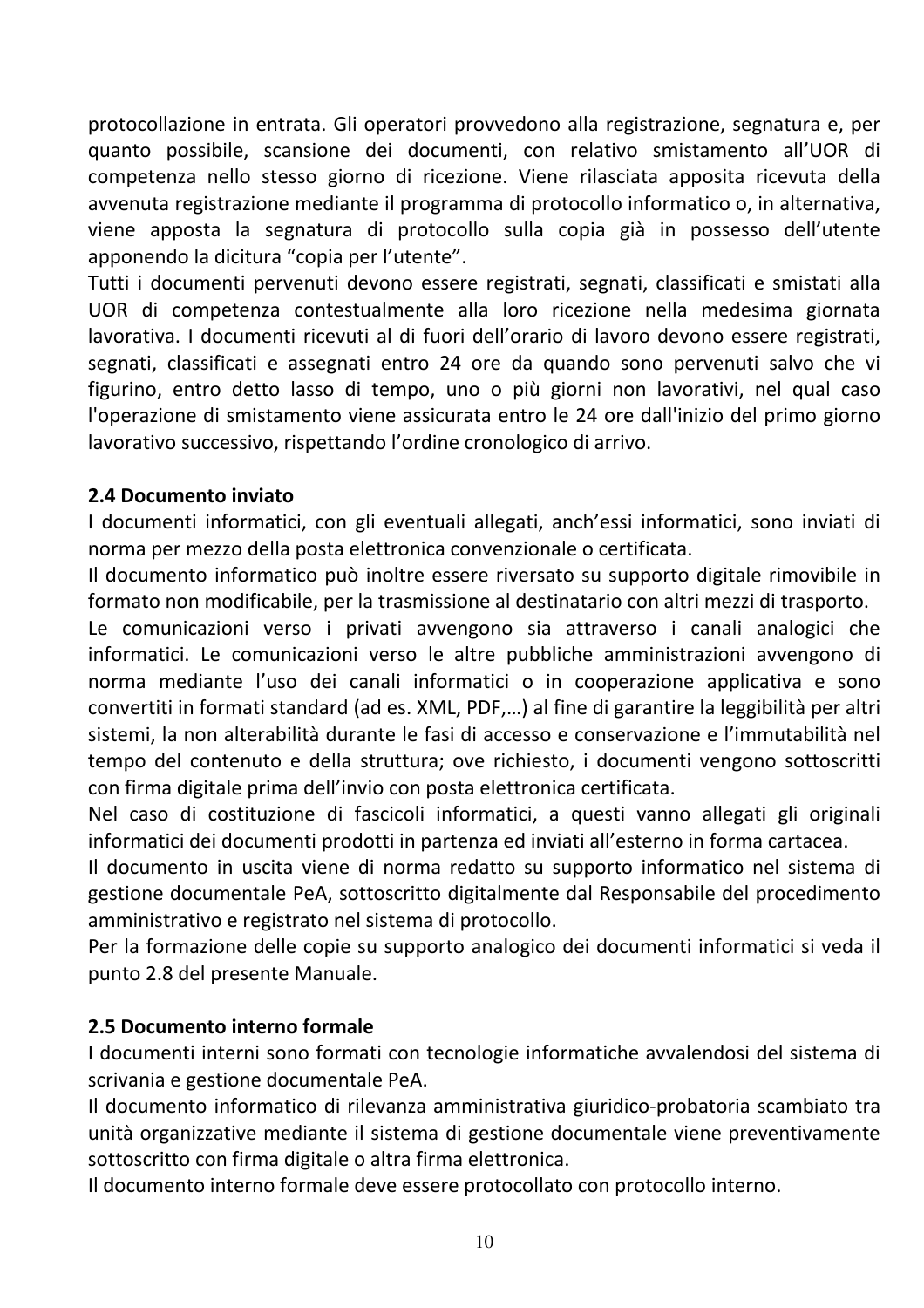protocollazione in entrata. Gli operatori provvedono alla registrazione, segnatura e, per quanto possibile, scansione dei documenti, con relativo smistamento all'UOR di competenza nello stesso giorno di ricezione. Viene rilasciata apposita ricevuta della avvenuta registrazione mediante il programma di protocollo informatico o, in alternativa, viene apposta la segnatura di protocollo sulla copia già in possesso dell'utente apponendo la dicitura "copia per l'utente".

Tutti i documenti pervenuti devono essere registrati, segnati, classificati e smistati alla UOR di competenza contestualmente alla loro ricezione nella medesima giornata lavorativa. I documenti ricevuti al di fuori dell'orario di lavoro devono essere registrati, segnati, classificati e assegnati entro 24 ore da quando sono pervenuti salvo che vi figurino, entro detto lasso di tempo, uno o più giorni non lavorativi, nel qual caso l'operazione di smistamento viene assicurata entro le 24 ore dall'inizio del primo giorno lavorativo successivo, rispettando l'ordine cronologico di arrivo.

#### 2.4 Documento inviato

I documenti informatici, con gli eventuali allegati, anch'essi informatici, sono inviati di norma per mezzo della posta elettronica convenzionale o certificata.

Il documento informatico può inoltre essere riversato su supporto digitale rimovibile in formato non modificabile, per la trasmissione al destinatario con altri mezzi di trasporto.

Le comunicazioni verso i privati avvengono sia attraverso i canali analogici che informatici. Le comunicazioni verso le altre pubbliche amministrazioni avvengono di norma mediante l'uso dei canali informatici o in cooperazione applicativa e sono convertiti in formati standard (ad es. XML, PDF,...) al fine di garantire la leggibilità per altri sistemi, la non alterabilità durante le fasi di accesso e conservazione e l'immutabilità nel tempo del contenuto e della struttura; ove richiesto, i documenti vengono sottoscritti con firma digitale prima dell'invio con posta elettronica certificata.

Nel caso di costituzione di fascicoli informatici, a questi vanno allegati gli originali informatici dei documenti prodotti in partenza ed inviati all'esterno in forma cartacea.

Il documento in uscita viene di norma redatto su supporto informatico nel sistema di gestione documentale PeA, sottoscritto digitalmente dal Responsabile del procedimento amministrativo e registrato nel sistema di protocollo.

Per la formazione delle copie su supporto analogico dei documenti informatici si veda il punto 2.8 del presente Manuale.

#### 2.5 Documento interno formale

I documenti interni sono formati con tecnologie informatiche avvalendosi del sistema di scrivania e gestione documentale PeA.

Il documento informatico di rilevanza amministrativa giuridico-probatoria scambiato tra unità organizzative mediante il sistema di gestione documentale viene preventivamente sottoscritto con firma digitale o altra firma elettronica.

Il documento interno formale deve essere protocollato con protocollo interno.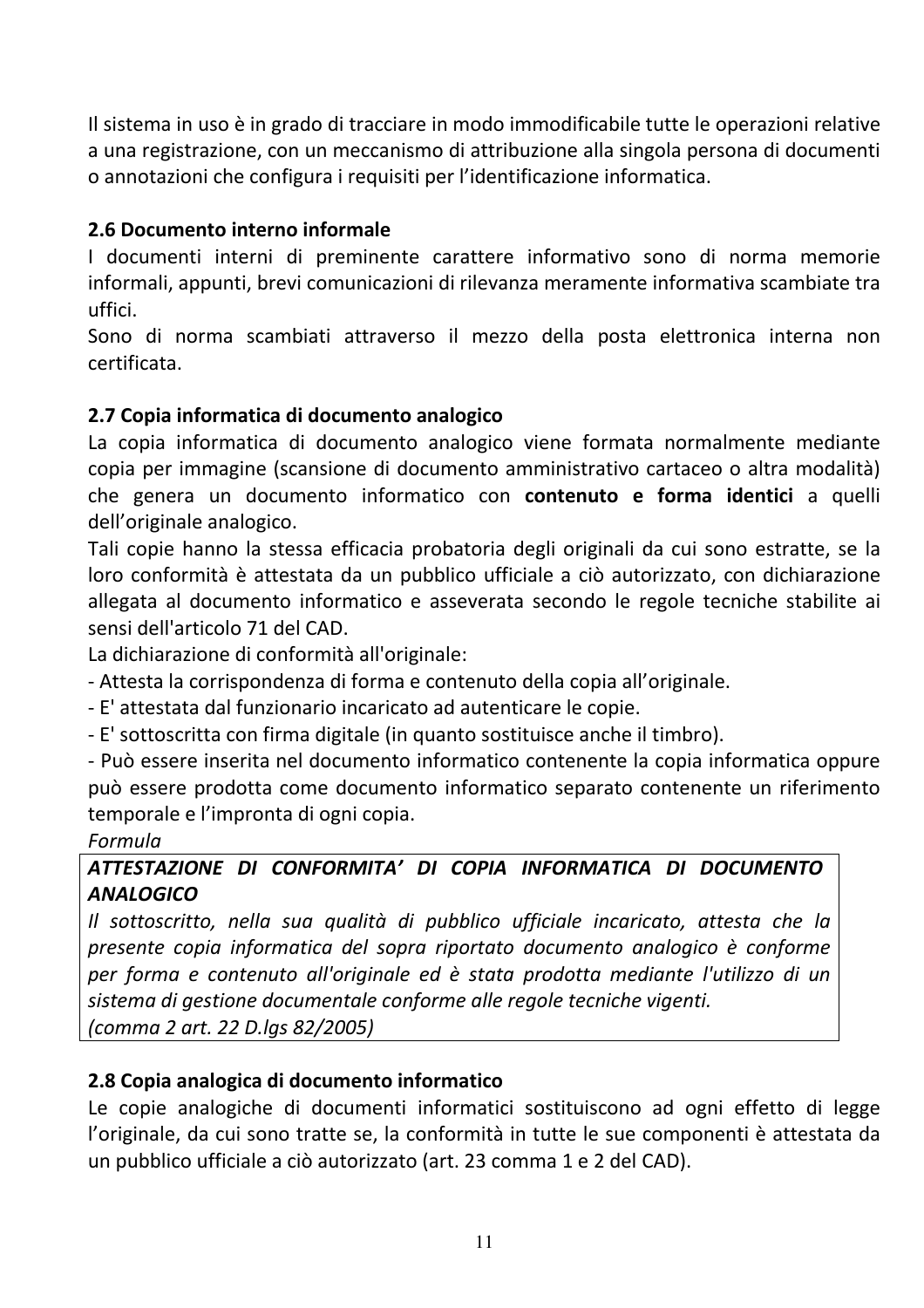Il sistema in uso è in grado di tracciare in modo immodificabile tutte le operazioni relative a una registrazione, con un meccanismo di attribuzione alla singola persona di documenti o annotazioni che configura i requisiti per l'identificazione informatica.

# 2.6 Documento interno informale

I documenti interni di preminente carattere informativo sono di norma memorie informali, appunti, brevi comunicazioni di rilevanza meramente informativa scambiate tra uffici.

Sono di norma scambiati attraverso il mezzo della posta elettronica interna non certificata.

# 2.7 Copia informatica di documento analogico

La copia informatica di documento analogico viene formata normalmente mediante copia per immagine (scansione di documento amministrativo cartaceo o altra modalità) che genera un documento informatico con contenuto e forma identici a quelli dell'originale analogico.

Tali copie hanno la stessa efficacia probatoria degli originali da cui sono estratte, se la loro conformità è attestata da un pubblico ufficiale a ciò autorizzato, con dichiarazione allegata al documento informatico e asseverata secondo le regole tecniche stabilite ai sensi dell'articolo 71 del CAD.

La dichiarazione di conformità all'originale:

- Attesta la corrispondenza di forma e contenuto della copia all'originale.

- E' attestata dal funzionario incaricato ad autenticare le copie.
- E' sottoscritta con firma digitale (in quanto sostituisce anche il timbro).

- Può essere inserita nel documento informatico contenente la copia informatica oppure può essere prodotta come documento informatico separato contenente un riferimento temporale e l'impronta di ogni copia.

#### Formula

# ATTESTAZIONE DI CONFORMITA' DI COPIA INFORMATICA DI DOCUMENTO **ANALOGICO**

Il sottoscritto, nella sua qualità di pubblico ufficiale incaricato, attesta che la presente copia informatica del sopra riportato documento analogico è conforme per forma e contenuto all'originale ed è stata prodotta mediante l'utilizzo di un sistema di gestione documentale conforme alle regole tecniche vigenti.

(comma 2 art. 22 D.lgs 82/2005)

# 2.8 Copia analogica di documento informatico

Le copie analogiche di documenti informatici sostituiscono ad ogni effetto di legge l'originale, da cui sono tratte se, la conformità in tutte le sue componenti è attestata da un pubblico ufficiale a ciò autorizzato (art. 23 comma 1 e 2 del CAD).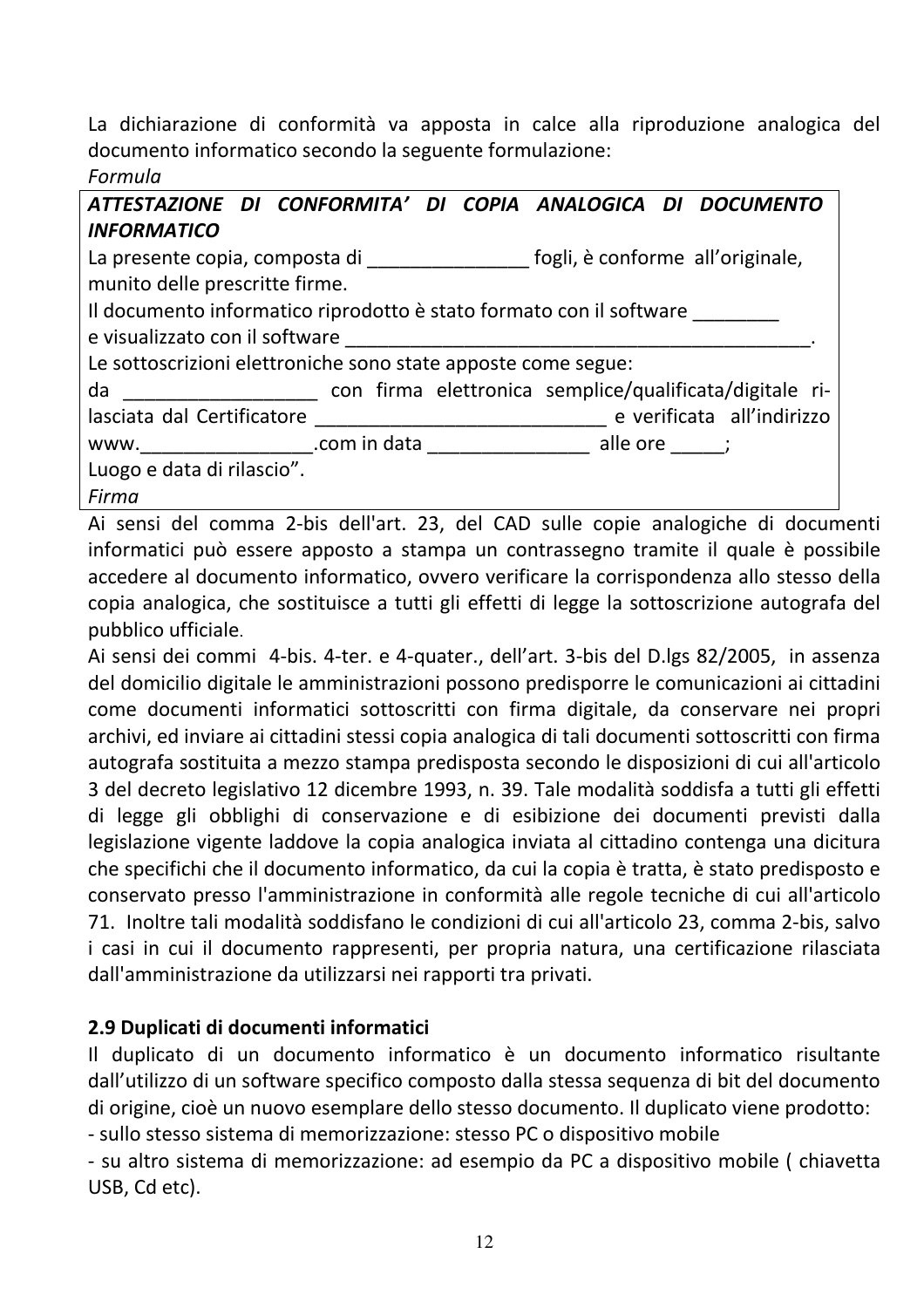La dichiarazione di conformità va apposta in calce alla riproduzione analogica del documento informatico secondo la seguente formulazione:

#### Formula

|                                                                                        | Formula                                                                         |  |                                                               |  |  |  |
|----------------------------------------------------------------------------------------|---------------------------------------------------------------------------------|--|---------------------------------------------------------------|--|--|--|
|                                                                                        |                                                                                 |  | ATTESTAZIONE DI CONFORMITA' DI COPIA ANALOGICA DI DOCUMENTO   |  |  |  |
|                                                                                        | <b>INFORMATICO</b>                                                              |  |                                                               |  |  |  |
| La presente copia, composta di _______________________fogli, è conforme all'originale, |                                                                                 |  |                                                               |  |  |  |
|                                                                                        | munito delle prescritte firme.                                                  |  |                                                               |  |  |  |
|                                                                                        | Il documento informatico riprodotto è stato formato con il software             |  |                                                               |  |  |  |
|                                                                                        |                                                                                 |  |                                                               |  |  |  |
|                                                                                        | Le sottoscrizioni elettroniche sono state apposte come segue:                   |  |                                                               |  |  |  |
|                                                                                        |                                                                                 |  | da da con firma elettronica semplice/qualificata/digitale ri- |  |  |  |
|                                                                                        |                                                                                 |  |                                                               |  |  |  |
|                                                                                        | www._____________________.com in data ________________________ alle ore ______; |  |                                                               |  |  |  |
|                                                                                        | Luogo e data di rilascio".                                                      |  |                                                               |  |  |  |
|                                                                                        | Firma                                                                           |  |                                                               |  |  |  |

Ai sensi del comma 2-bis dell'art. 23, del CAD sulle copie analogiche di documenti informatici può essere apposto a stampa un contrassegno tramite il quale è possibile accedere al documento informatico, ovvero verificare la corrispondenza allo stesso della copia analogica, che sostituisce a tutti gli effetti di legge la sottoscrizione autografa del pubblico ufficiale.

Ai sensi dei commi 4-bis. 4-ter. e 4-quater., dell'art. 3-bis del D.lgs 82/2005, in assenza del domicilio digitale le amministrazioni possono predisporre le comunicazioni ai cittadini come documenti informatici sottoscritti con firma digitale, da conservare nei propri archivi, ed inviare ai cittadini stessi copia analogica di tali documenti sottoscritti con firma autografa sostituita a mezzo stampa predisposta secondo le disposizioni di cui all'articolo 3 del decreto legislativo 12 dicembre 1993, n. 39. Tale modalità soddisfa a tutti gli effetti di legge gli obblighi di conservazione e di esibizione dei documenti previsti dalla legislazione vigente laddove la copia analogica inviata al cittadino contenga una dicitura che specifichi che il documento informatico, da cui la copia è tratta, è stato predisposto e conservato presso l'amministrazione in conformità alle regole tecniche di cui all'articolo 71. Inoltre tali modalità soddisfano le condizioni di cui all'articolo 23, comma 2-bis, salvo i casi in cui il documento rappresenti, per propria natura, una certificazione rilasciata dall'amministrazione da utilizzarsi nei rapporti tra privati.

# 2.9 Duplicati di documenti informatici

Il duplicato di un documento informatico è un documento informatico risultante dall'utilizzo di un software specifico composto dalla stessa sequenza di bit del documento di origine, cioè un nuovo esemplare dello stesso documento. Il duplicato viene prodotto:

- sullo stesso sistema di memorizzazione: stesso PC o dispositivo mobile

- su altro sistema di memorizzazione: ad esempio da PC a dispositivo mobile (chiavetta USB, Cd etc).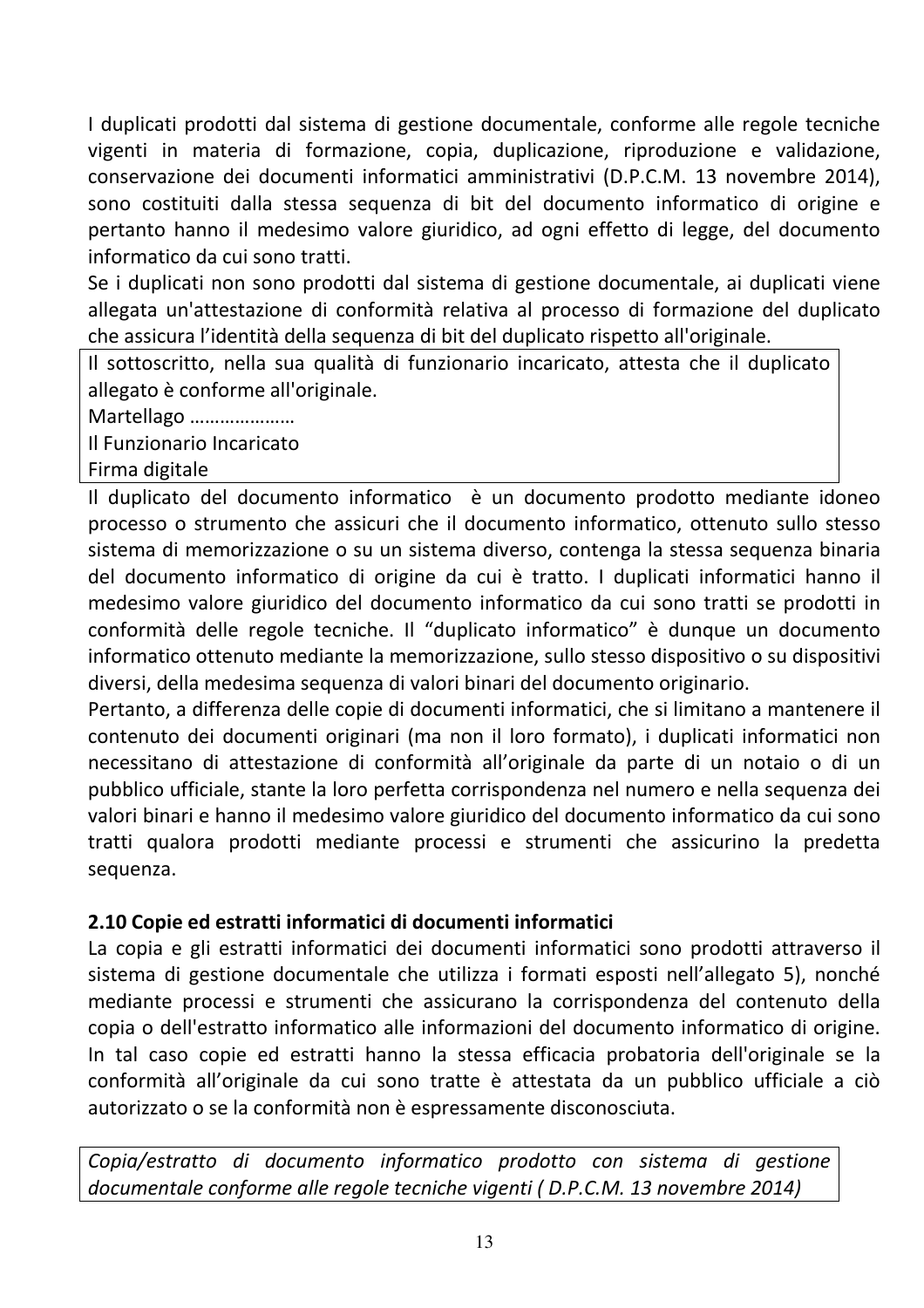I duplicati prodotti dal sistema di gestione documentale, conforme alle regole tecniche vigenti in materia di formazione, copia, duplicazione, riproduzione e validazione, conservazione dei documenti informatici amministrativi (D.P.C.M. 13 novembre 2014), sono costituiti dalla stessa sequenza di bit del documento informatico di origine e pertanto hanno il medesimo valore giuridico, ad ogni effetto di legge, del documento informatico da cui sono tratti.

Se i duplicati non sono prodotti dal sistema di gestione documentale, ai duplicati viene allegata un'attestazione di conformità relativa al processo di formazione del duplicato che assicura l'identità della sequenza di bit del duplicato rispetto all'originale.

Il sottoscritto, nella sua qualità di funzionario incaricato, attesta che il duplicato allegato è conforme all'originale.

Martellago .....................

Il Funzionario Incaricato

Firma digitale

Il duplicato del documento informatico è un documento prodotto mediante idoneo processo o strumento che assicuri che il documento informatico, ottenuto sullo stesso sistema di memorizzazione o su un sistema diverso, contenga la stessa seguenza binaria del documento informatico di origine da cui è tratto. I duplicati informatici hanno il medesimo valore giuridico del documento informatico da cui sono tratti se prodotti in conformità delle regole tecniche. Il "duplicato informatico" è dunque un documento informatico ottenuto mediante la memorizzazione, sullo stesso dispositivo o su dispositivi diversi, della medesima seguenza di valori binari del documento originario.

Pertanto, a differenza delle copie di documenti informatici, che si limitano a mantenere il contenuto dei documenti originari (ma non il loro formato), i duplicati informatici non necessitano di attestazione di conformità all'originale da parte di un notaio o di un pubblico ufficiale, stante la loro perfetta corrispondenza nel numero e nella seguenza dei valori binari e hanno il medesimo valore giuridico del documento informatico da cui sono tratti qualora prodotti mediante processi e strumenti che assicurino la predetta sequenza.

#### 2.10 Copie ed estratti informatici di documenti informatici

La copia e gli estratti informatici dei documenti informatici sono prodotti attraverso il sistema di gestione documentale che utilizza i formati esposti nell'allegato 5), nonché mediante processi e strumenti che assicurano la corrispondenza del contenuto della copia o dell'estratto informatico alle informazioni del documento informatico di origine. In tal caso copie ed estratti hanno la stessa efficacia probatoria dell'originale se la conformità all'originale da cui sono tratte è attestata da un pubblico ufficiale a ciò autorizzato o se la conformità non è espressamente disconosciuta.

Copia/estratto di documento informatico prodotto con sistema di gestione documentale conforme alle regole tecniche vigenti (D.P.C.M. 13 novembre 2014)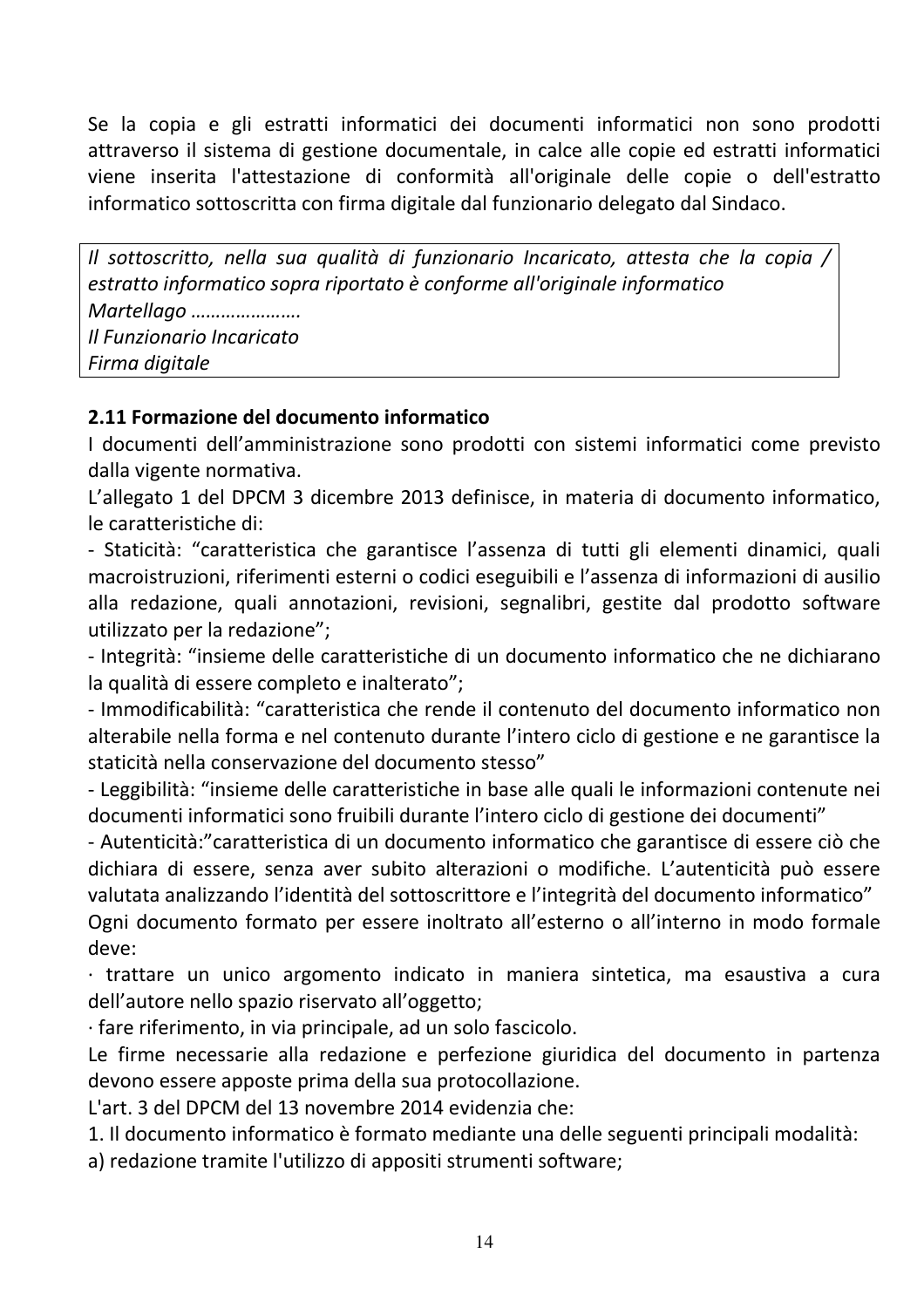Se la copia e gli estratti informatici dei documenti informatici non sono prodotti attraverso il sistema di gestione documentale, in calce alle copie ed estratti informatici viene inserita l'attestazione di conformità all'originale delle copie o dell'estratto informatico sottoscritta con firma digitale dal funzionario delegato dal Sindaco.

Il sottoscritto, nella sua qualità di funzionario Incaricato, attesta che la copia / estratto informatico sopra riportato è conforme all'originale informatico Martellago ...................... Il Funzionario Incaricato Firma digitale

#### 2.11 Formazione del documento informatico

I documenti dell'amministrazione sono prodotti con sistemi informatici come previsto dalla vigente normativa.

L'allegato 1 del DPCM 3 dicembre 2013 definisce, in materia di documento informatico, le caratteristiche di:

- Staticità: "caratteristica che garantisce l'assenza di tutti gli elementi dinamici, quali macroistruzioni, riferimenti esterni o codici eseguibili e l'assenza di informazioni di ausilio alla redazione, quali annotazioni, revisioni, segnalibri, gestite dal prodotto software utilizzato per la redazione";

- Integrità: "insieme delle caratteristiche di un documento informatico che ne dichiarano la qualità di essere completo e inalterato";

- Immodificabilità: "caratteristica che rende il contenuto del documento informatico non alterabile nella forma e nel contenuto durante l'intero ciclo di gestione e ne garantisce la staticità nella conservazione del documento stesso"

- Leggibilità: "insieme delle caratteristiche in base alle quali le informazioni contenute nei documenti informatici sono fruibili durante l'intero ciclo di gestione dei documenti"

- Autenticità: "caratteristica di un documento informatico che garantisce di essere ciò che dichiara di essere, senza aver subito alterazioni o modifiche. L'autenticità può essere valutata analizzando l'identità del sottoscrittore e l'integrità del documento informatico" Ogni documento formato per essere inoltrato all'esterno o all'interno in modo formale deve:

 $\cdot$  trattare un unico argomento indicato in maniera sintetica, ma esaustiva a cura dell'autore nello spazio riservato all'oggetto;

· fare riferimento, in via principale, ad un solo fascicolo.

Le firme necessarie alla redazione e perfezione giuridica del documento in partenza devono essere apposte prima della sua protocollazione.

L'art. 3 del DPCM del 13 novembre 2014 evidenzia che:

1. Il documento informatico è formato mediante una delle seguenti principali modalità:

a) redazione tramite l'utilizzo di appositi strumenti software;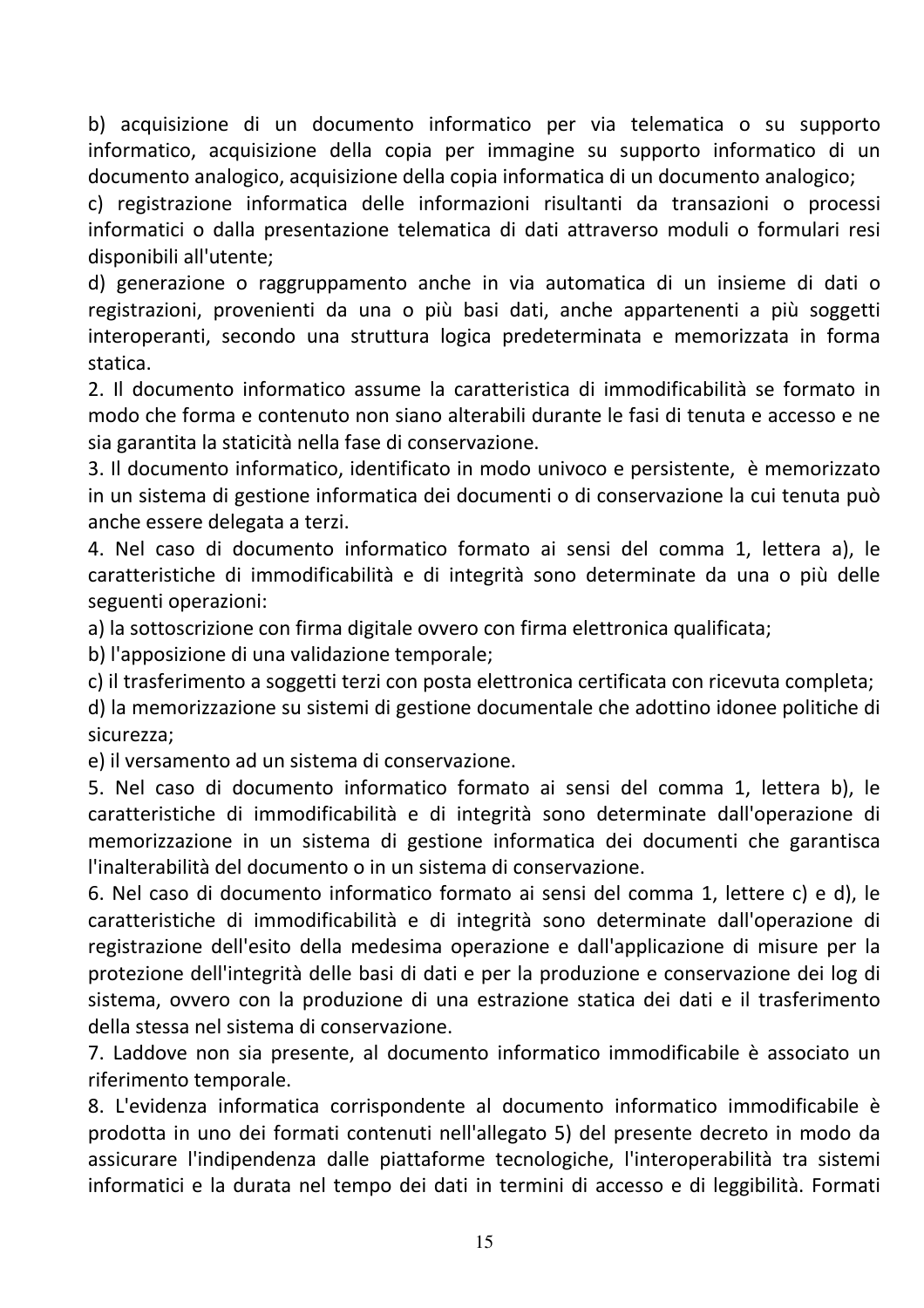b) acquisizione di un documento informatico per via telematica o su supporto informatico, acquisizione della copia per immagine su supporto informatico di un documento analogico, acquisizione della copia informatica di un documento analogico;

c) registrazione informatica delle informazioni risultanti da transazioni o processi informatici o dalla presentazione telematica di dati attraverso moduli o formulari resi disponibili all'utente:

d) generazione o raggruppamento anche in via automatica di un insieme di dati o registrazioni, provenienti da una o più basi dati, anche appartenenti a più soggetti interoperanti, secondo una struttura logica predeterminata e memorizzata in forma statica.

2. Il documento informatico assume la caratteristica di immodificabilità se formato in modo che forma e contenuto non siano alterabili durante le fasi di tenuta e accesso e ne sia garantita la staticità nella fase di conservazione.

3. Il documento informatico, identificato in modo univoco e persistente, è memorizzato in un sistema di gestione informatica dei documenti o di conservazione la cui tenuta può anche essere delegata a terzi.

4. Nel caso di documento informatico formato ai sensi del comma 1, lettera a), le caratteristiche di immodificabilità e di integrità sono determinate da una o più delle seguenti operazioni:

a) la sottoscrizione con firma digitale ovvero con firma elettronica qualificata;

b) l'apposizione di una validazione temporale;

c) il trasferimento a soggetti terzi con posta elettronica certificata con ricevuta completa;

d) la memorizzazione su sistemi di gestione documentale che adottino idonee politiche di sicurezza;

e) il versamento ad un sistema di conservazione.

5. Nel caso di documento informatico formato ai sensi del comma 1, lettera b), le caratteristiche di immodificabilità e di integrità sono determinate dall'operazione di memorizzazione in un sistema di gestione informatica dei documenti che garantisca l'inalterabilità del documento o in un sistema di conservazione.

6. Nel caso di documento informatico formato ai sensi del comma 1. lettere c) e d), le caratteristiche di immodificabilità e di integrità sono determinate dall'operazione di registrazione dell'esito della medesima operazione e dall'applicazione di misure per la protezione dell'integrità delle basi di dati e per la produzione e conservazione dei log di sistema, ovvero con la produzione di una estrazione statica dei dati e il trasferimento della stessa nel sistema di conservazione.

7. Laddove non sia presente, al documento informatico immodificabile è associato un riferimento temporale.

8. L'evidenza informatica corrispondente al documento informatico immodificabile è prodotta in uno dei formati contenuti nell'allegato 5) del presente decreto in modo da assicurare l'indipendenza dalle piattaforme tecnologiche, l'interoperabilità tra sistemi informatici e la durata nel tempo dei dati in termini di accesso e di leggibilità. Formati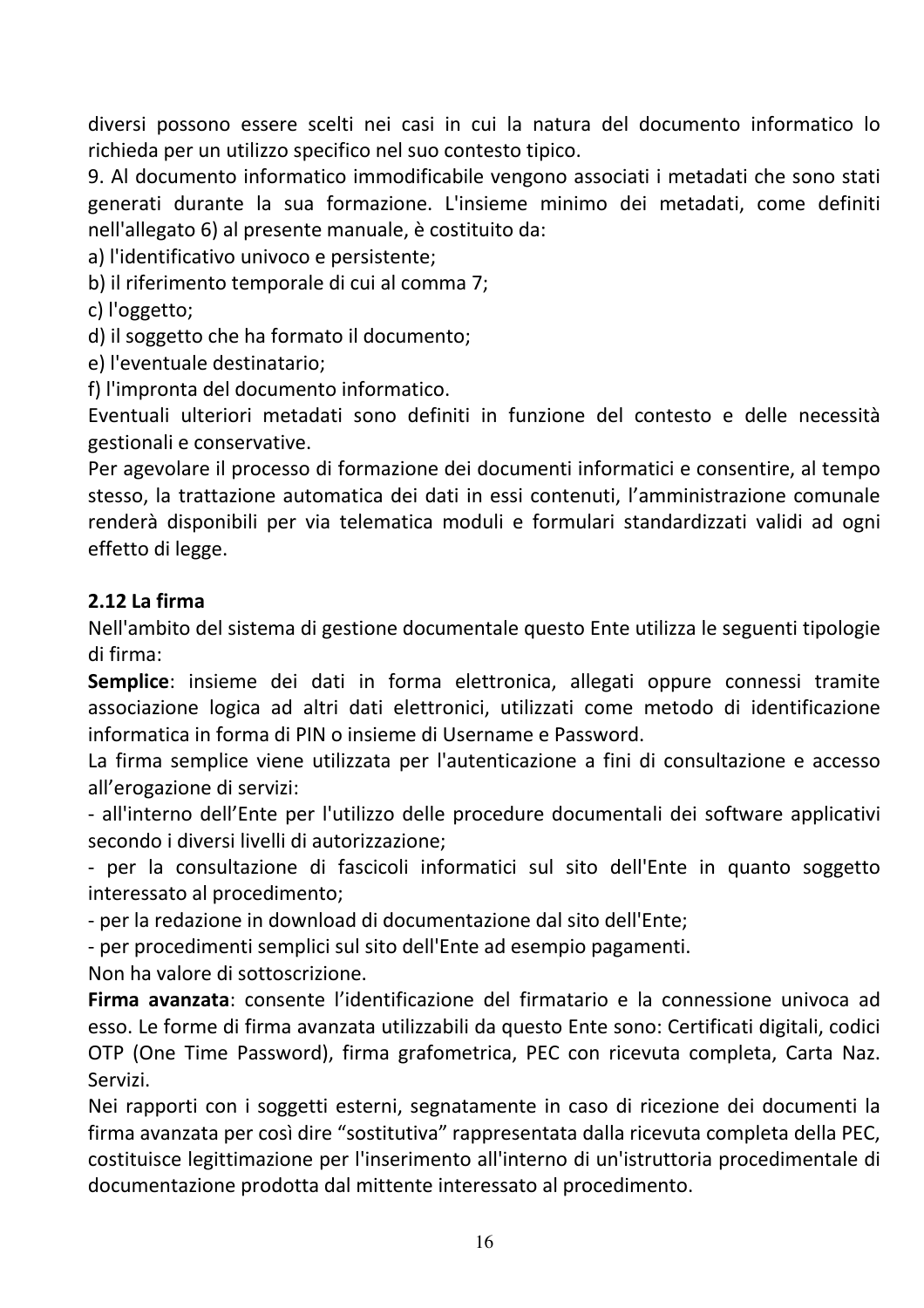diversi possono essere scelti nei casi in cui la natura del documento informatico lo richieda per un utilizzo specifico nel suo contesto tipico.

9. Al documento informatico immodificabile vengono associati i metadati che sono stati generati durante la sua formazione. L'insieme minimo dei metadati, come definiti nell'allegato 6) al presente manuale, è costituito da:

a) l'identificativo univoco e persistente;

b) il riferimento temporale di cui al comma 7;

c) l'oggetto;

d) il soggetto che ha formato il documento;

e) l'eventuale destinatario;

f) l'impronta del documento informatico.

Eventuali ulteriori metadati sono definiti in funzione del contesto e delle necessità gestionali e conservative.

Per agevolare il processo di formazione dei documenti informatici e consentire, al tempo stesso, la trattazione automatica dei dati in essi contenuti, l'amministrazione comunale renderà disponibili per via telematica moduli e formulari standardizzati validi ad ogni effetto di legge.

#### 2.12 La firma

Nell'ambito del sistema di gestione documentale questo Ente utilizza le seguenti tipologie di firma:

Semplice: insieme dei dati in forma elettronica, allegati oppure connessi tramite associazione logica ad altri dati elettronici, utilizzati come metodo di identificazione informatica in forma di PIN o insieme di Username e Password.

La firma semplice viene utilizzata per l'autenticazione a fini di consultazione e accesso all'erogazione di servizi:

- all'interno dell'Ente per l'utilizzo delle procedure documentali dei software applicativi secondo i diversi livelli di autorizzazione;

- per la consultazione di fascicoli informatici sul sito dell'Ente in quanto soggetto interessato al procedimento:

- per la redazione in download di documentazione dal sito dell'Ente;

- per procedimenti semplici sul sito dell'Ente ad esempio pagamenti.

Non ha valore di sottoscrizione.

Firma avanzata: consente l'identificazione del firmatario e la connessione univoca ad esso. Le forme di firma avanzata utilizzabili da questo Ente sono: Certificati digitali, codici OTP (One Time Password), firma grafometrica, PEC con ricevuta completa, Carta Naz. Servizi.

Nei rapporti con i soggetti esterni, segnatamente in caso di ricezione dei documenti la firma avanzata per così dire "sostitutiva" rappresentata dalla ricevuta completa della PEC, costituisce legittimazione per l'inserimento all'interno di un'istruttoria procedimentale di documentazione prodotta dal mittente interessato al procedimento.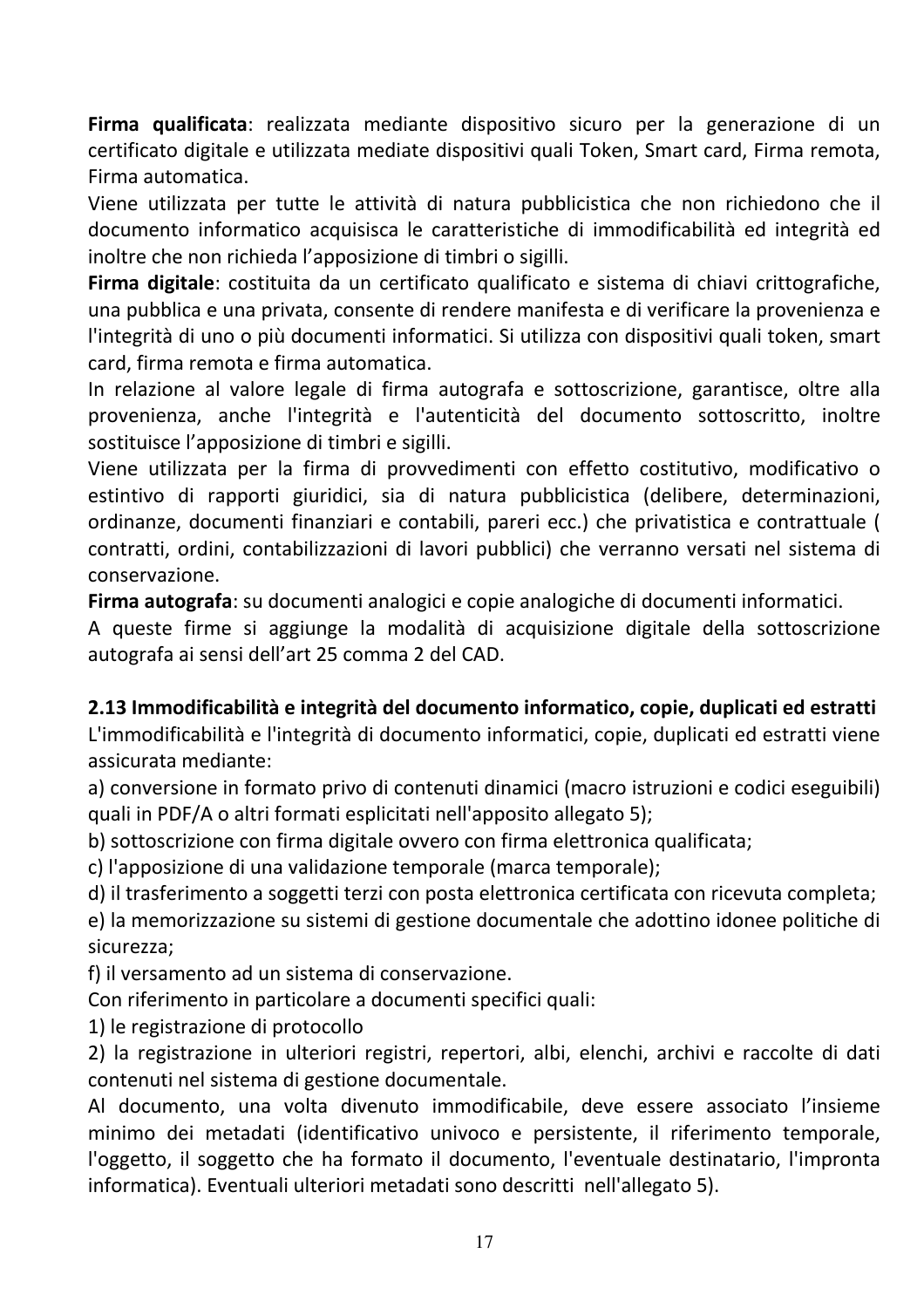Firma qualificata: realizzata mediante dispositivo sicuro per la generazione di un certificato digitale e utilizzata mediate dispositivi quali Token, Smart card, Firma remota, Firma automatica.

Viene utilizzata per tutte le attività di natura pubblicistica che non richiedono che il documento informatico acquisisca le caratteristiche di immodificabilità ed integrità ed inoltre che non richieda l'apposizione di timbri o sigilli.

Firma digitale: costituita da un certificato qualificato e sistema di chiavi crittografiche, una pubblica e una privata, consente di rendere manifesta e di verificare la provenienza e l'integrità di uno o più documenti informatici. Si utilizza con dispositivi quali token, smart card, firma remota e firma automatica.

In relazione al valore legale di firma autografa e sottoscrizione, garantisce, oltre alla provenienza, anche l'integrità e l'autenticità del documento sottoscritto, inoltre sostituisce l'apposizione di timbri e sigilli.

Viene utilizzata per la firma di provvedimenti con effetto costitutivo, modificativo o estintivo di rapporti giuridici, sia di natura pubblicistica (delibere, determinazioni, ordinanze, documenti finanziari e contabili, pareri ecc.) che privatistica e contrattuale ( contratti, ordini, contabilizzazioni di lavori pubblici) che verranno versati nel sistema di conservazione.

Firma autografa: su documenti analogici e copie analogiche di documenti informatici.

A queste firme si aggiunge la modalità di acquisizione digitale della sottoscrizione autografa ai sensi dell'art 25 comma 2 del CAD.

#### 2.13 Immodificabilità e integrità del documento informatico, copie, duplicati ed estratti

L'immodificabilità e l'integrità di documento informatici, copie, duplicati ed estratti viene assicurata mediante:

a) conversione in formato privo di contenuti dinamici (macro istruzioni e codici eseguibili) quali in PDF/A o altri formati esplicitati nell'apposito allegato 5);

b) sottoscrizione con firma digitale ovvero con firma elettronica qualificata;

c) l'apposizione di una validazione temporale (marca temporale);

d) il trasferimento a soggetti terzi con posta elettronica certificata con ricevuta completa;

e) la memorizzazione su sistemi di gestione documentale che adottino idonee politiche di sicurezza;

f) il versamento ad un sistema di conservazione.

Con riferimento in particolare a documenti specifici quali:

1) le registrazione di protocollo

2) la registrazione in ulteriori registri, repertori, albi, elenchi, archivi e raccolte di dati contenuti nel sistema di gestione documentale.

Al documento, una volta divenuto immodificabile, deve essere associato l'insieme minimo dei metadati (identificativo univoco e persistente, il riferimento temporale, l'oggetto, il soggetto che ha formato il documento, l'eventuale destinatario, l'impronta informatica). Eventuali ulteriori metadati sono descritti nell'allegato 5).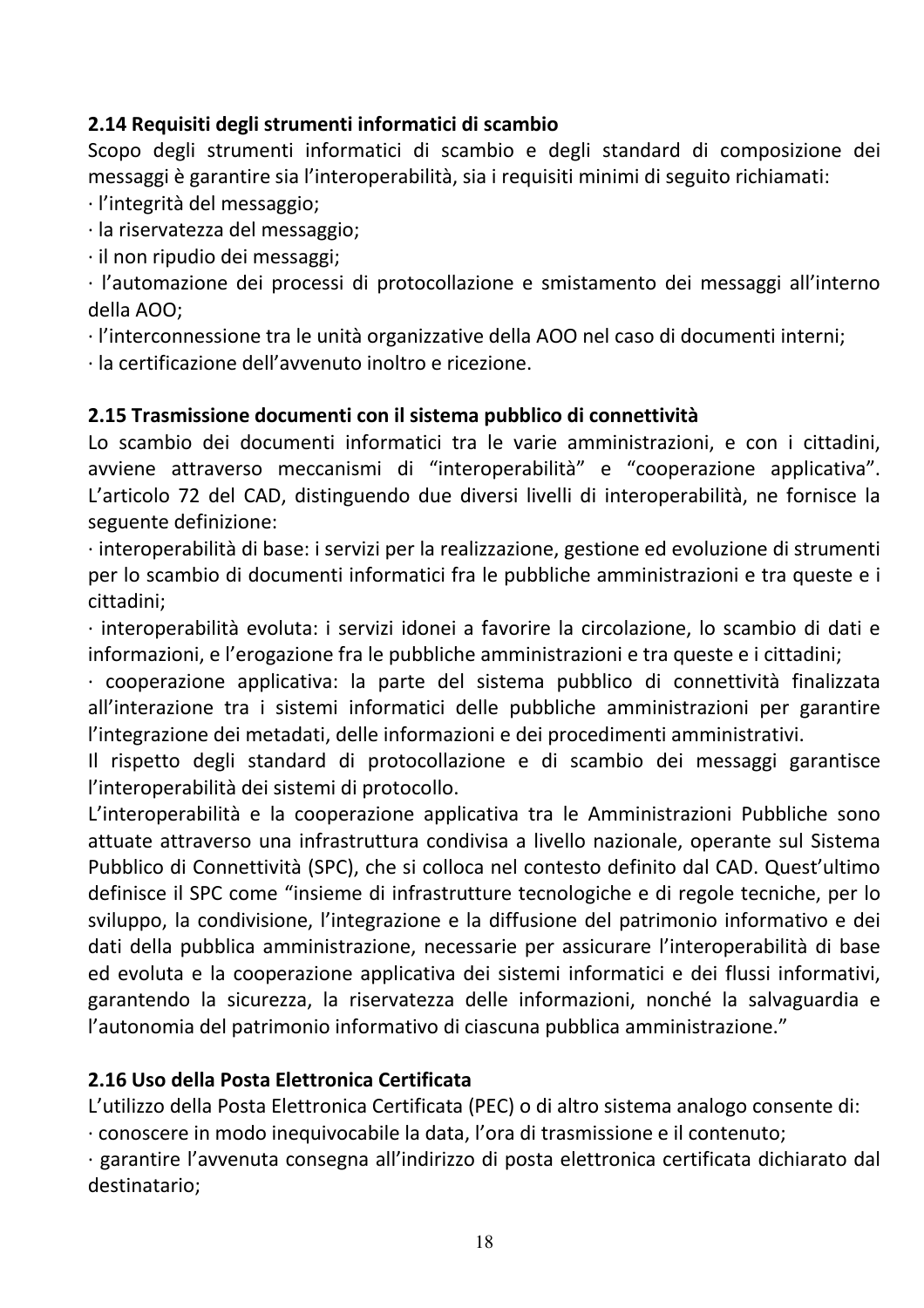#### 2.14 Requisiti degli strumenti informatici di scambio

Scopo degli strumenti informatici di scambio e degli standard di composizione dei messaggi è garantire sia l'interoperabilità, sia i requisiti minimi di seguito richiamati:

· l'integrità del messaggio;

· la riservatezza del messaggio:

· il non ripudio dei messaggi;

· l'automazione dei processi di protocollazione e smistamento dei messaggi all'interno della AOO;

· l'interconnessione tra le unità organizzative della AOO nel caso di documenti interni;

· la certificazione dell'avvenuto inoltro e ricezione.

#### 2.15 Trasmissione documenti con il sistema pubblico di connettività

Lo scambio dei documenti informatici tra le varie amministrazioni, e con i cittadini, avviene attraverso meccanismi di "interoperabilità" e "cooperazione applicativa". L'articolo 72 del CAD, distinguendo due diversi livelli di interoperabilità, ne fornisce la seguente definizione:

· interoperabilità di base: i servizi per la realizzazione, gestione ed evoluzione di strumenti per lo scambio di documenti informatici fra le pubbliche amministrazioni e tra queste e i cittadini;

· interoperabilità evoluta: i servizi idonei a favorire la circolazione, lo scambio di dati e informazioni, e l'erogazione fra le pubbliche amministrazioni e tra queste e i cittadini;

· cooperazione applicativa: la parte del sistema pubblico di connettività finalizzata all'interazione tra i sistemi informatici delle pubbliche amministrazioni per garantire l'integrazione dei metadati, delle informazioni e dei procedimenti amministrativi.

Il rispetto degli standard di protocollazione e di scambio dei messaggi garantisce l'interoperabilità dei sistemi di protocollo.

L'interoperabilità e la cooperazione applicativa tra le Amministrazioni Pubbliche sono attuate attraverso una infrastruttura condivisa a livello nazionale, operante sul Sistema Pubblico di Connettività (SPC), che si colloca nel contesto definito dal CAD. Quest'ultimo definisce il SPC come "insieme di infrastrutture tecnologiche e di regole tecniche, per lo sviluppo, la condivisione, l'integrazione e la diffusione del patrimonio informativo e dei dati della pubblica amministrazione, necessarie per assicurare l'interoperabilità di base ed evoluta e la cooperazione applicativa dei sistemi informatici e dei flussi informativi, garantendo la sicurezza, la riservatezza delle informazioni, nonché la salvaguardia e l'autonomia del patrimonio informativo di ciascuna pubblica amministrazione."

#### 2.16 Uso della Posta Elettronica Certificata

L'utilizzo della Posta Elettronica Certificata (PEC) o di altro sistema analogo consente di:

conoscere in modo inequivocabile la data, l'ora di trasmissione e il contenuto;

· garantire l'avvenuta consegna all'indirizzo di posta elettronica certificata dichiarato dal destinatario: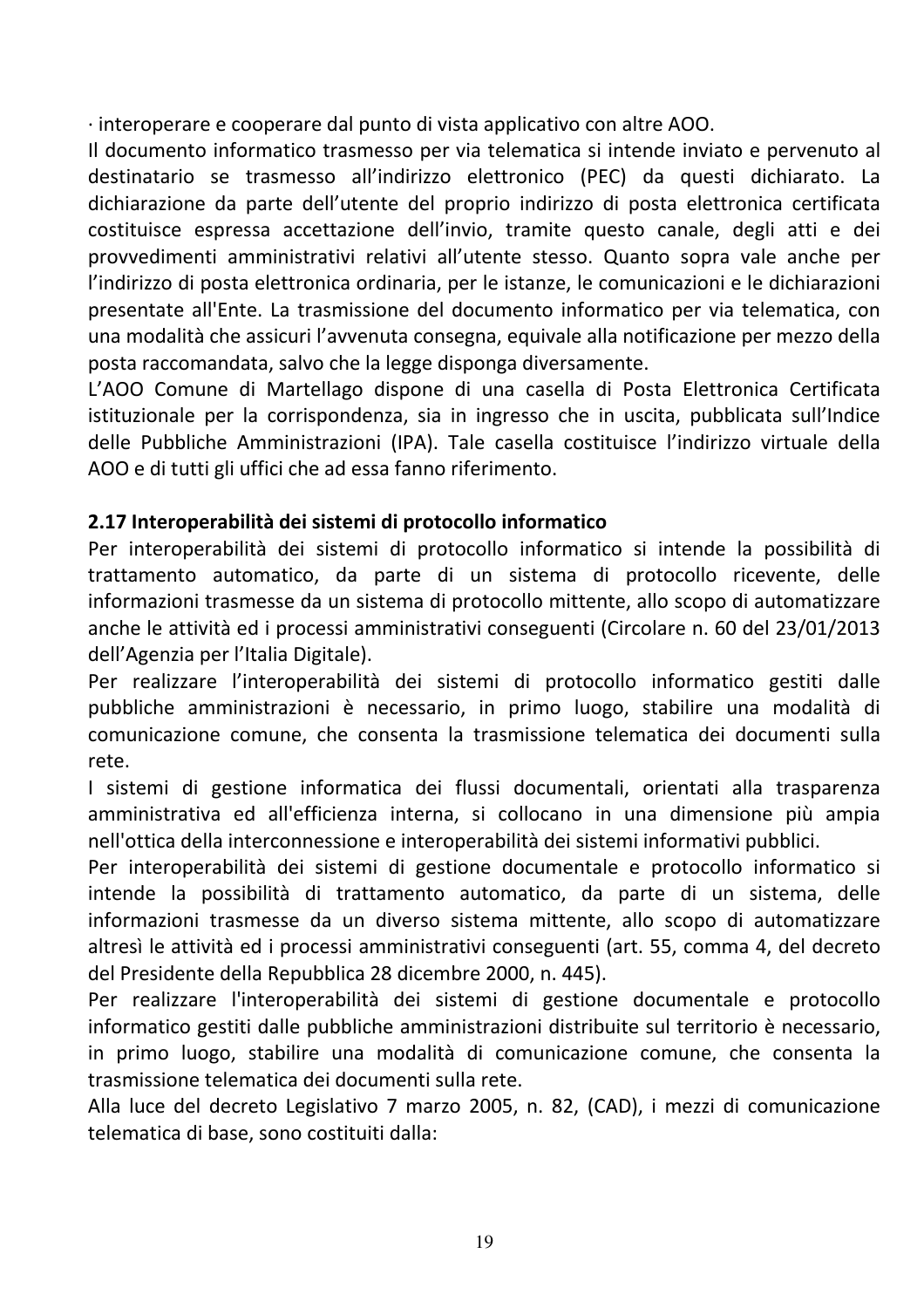· interoperare e cooperare dal punto di vista applicativo con altre AOO.

Il documento informatico trasmesso per via telematica si intende inviato e pervenuto al destinatario se trasmesso all'indirizzo elettronico (PEC) da questi dichiarato. La dichiarazione da parte dell'utente del proprio indirizzo di posta elettronica certificata costituisce espressa accettazione dell'invio, tramite questo canale, degli atti e dei provvedimenti amministrativi relativi all'utente stesso. Quanto sopra vale anche per l'indirizzo di posta elettronica ordinaria, per le istanze, le comunicazioni e le dichiarazioni presentate all'Ente. La trasmissione del documento informatico per via telematica, con una modalità che assicuri l'avvenuta consegna, equivale alla notificazione per mezzo della posta raccomandata, salvo che la legge disponga diversamente.

L'AOO Comune di Martellago dispone di una casella di Posta Elettronica Certificata istituzionale per la corrispondenza, sia in ingresso che in uscita, pubblicata sull'Indice delle Pubbliche Amministrazioni (IPA). Tale casella costituisce l'indirizzo virtuale della AOO e di tutti gli uffici che ad essa fanno riferimento.

# 2.17 Interoperabilità dei sistemi di protocollo informatico

Per interoperabilità dei sistemi di protocollo informatico si intende la possibilità di trattamento automatico, da parte di un sistema di protocollo ricevente, delle informazioni trasmesse da un sistema di protocollo mittente, allo scopo di automatizzare anche le attività ed i processi amministrativi conseguenti (Circolare n. 60 del 23/01/2013 dell'Agenzia per l'Italia Digitale).

Per realizzare l'interoperabilità dei sistemi di protocollo informatico gestiti dalle pubbliche amministrazioni è necessario, in primo luogo, stabilire una modalità di comunicazione comune, che consenta la trasmissione telematica dei documenti sulla rete

I sistemi di gestione informatica dei flussi documentali, orientati alla trasparenza amministrativa ed all'efficienza interna, si collocano in una dimensione più ampia nell'ottica della interconnessione e interoperabilità dei sistemi informativi pubblici.

Per interoperabilità dei sistemi di gestione documentale e protocollo informatico si intende la possibilità di trattamento automatico, da parte di un sistema, delle informazioni trasmesse da un diverso sistema mittente, allo scopo di automatizzare altresì le attività ed i processi amministrativi conseguenti (art. 55, comma 4, del decreto del Presidente della Repubblica 28 dicembre 2000, n. 445).

Per realizzare l'interoperabilità dei sistemi di gestione documentale e protocollo informatico gestiti dalle pubbliche amministrazioni distribuite sul territorio è necessario, in primo luogo, stabilire una modalità di comunicazione comune, che consenta la trasmissione telematica dei documenti sulla rete.

Alla luce del decreto Legislativo 7 marzo 2005, n. 82, (CAD), i mezzi di comunicazione telematica di base, sono costituiti dalla: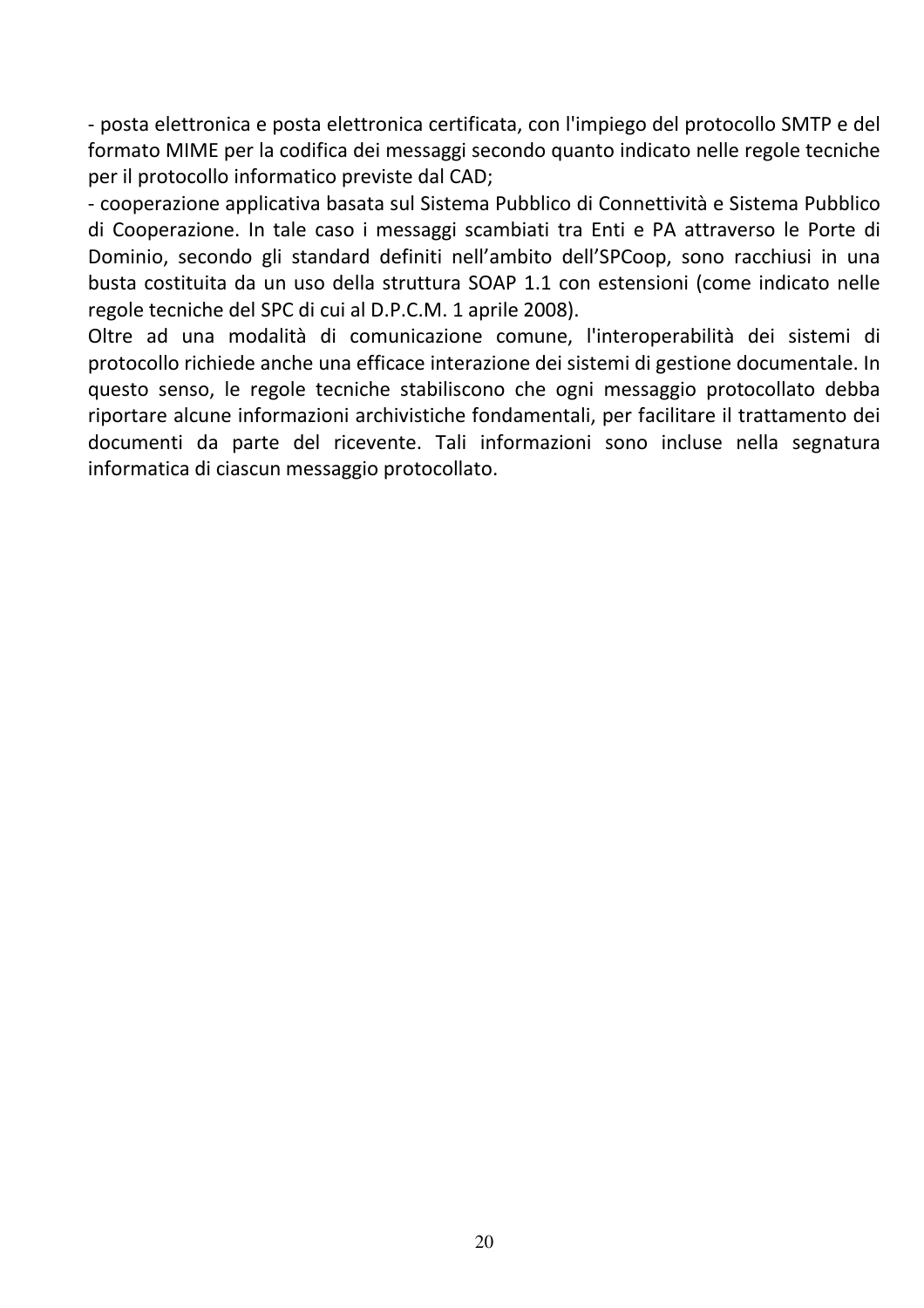- posta elettronica e posta elettronica certificata, con l'impiego del protocollo SMTP e del formato MIME per la codifica dei messaggi secondo quanto indicato nelle regole tecniche per il protocollo informatico previste dal CAD;

- cooperazione applicativa basata sul Sistema Pubblico di Connettività e Sistema Pubblico di Cooperazione. In tale caso i messaggi scambiati tra Enti e PA attraverso le Porte di Dominio, secondo gli standard definiti nell'ambito dell'SPCoop, sono racchiusi in una busta costituita da un uso della struttura SOAP 1.1 con estensioni (come indicato nelle regole tecniche del SPC di cui al D.P.C.M. 1 aprile 2008).

Oltre ad una modalità di comunicazione comune, l'interoperabilità dei sistemi di protocollo richiede anche una efficace interazione dei sistemi di gestione documentale. In questo senso, le regole tecniche stabiliscono che ogni messaggio protocollato debba riportare alcune informazioni archivistiche fondamentali, per facilitare il trattamento dei documenti da parte del ricevente. Tali informazioni sono incluse nella segnatura informatica di ciascun messaggio protocollato.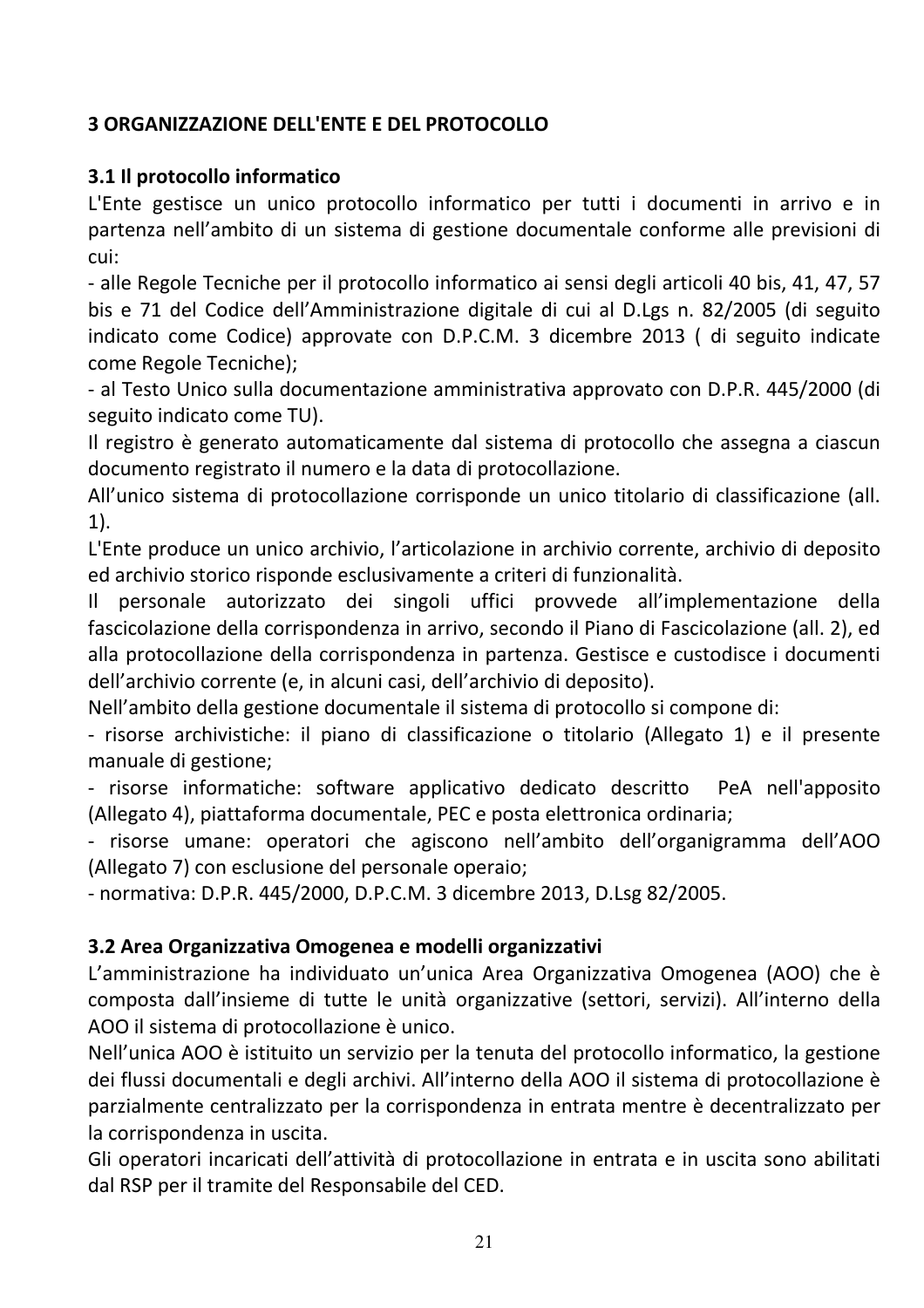# **3 ORGANIZZAZIONE DELL'ENTE E DEL PROTOCOLLO**

#### 3.1 Il protocollo informatico

L'Ente gestisce un unico protocollo informatico per tutti i documenti in arrivo e in partenza nell'ambito di un sistema di gestione documentale conforme alle previsioni di cui:

- alle Regole Tecniche per il protocollo informatico ai sensi degli articoli 40 bis, 41, 47, 57 bis e 71 del Codice dell'Amministrazione digitale di cui al D.Lgs n. 82/2005 (di seguito indicato come Codice) approvate con D.P.C.M. 3 dicembre 2013 ( di seguito indicate come Regole Tecniche);

- al Testo Unico sulla documentazione amministrativa approvato con D.P.R. 445/2000 (di seguito indicato come TU).

Il registro è generato automaticamente dal sistema di protocollo che assegna a ciascun documento registrato il numero e la data di protocollazione.

All'unico sistema di protocollazione corrisponde un unico titolario di classificazione (all.  $1$ ).

L'Ente produce un unico archivio, l'articolazione in archivio corrente, archivio di deposito ed archivio storico risponde esclusivamente a criteri di funzionalità.

personale autorizzato dei singoli uffici provvede all'implementazione della  $\mathbf{I}$ fascicolazione della corrispondenza in arrivo, secondo il Piano di Fascicolazione (all. 2), ed alla protocollazione della corrispondenza in partenza. Gestisce e custodisce i documenti dell'archivio corrente (e, in alcuni casi, dell'archivio di deposito).

Nell'ambito della gestione documentale il sistema di protocollo si compone di:

- risorse archivistiche: il piano di classificazione o titolario (Allegato 1) e il presente manuale di gestione:

- risorse informatiche: software applicativo dedicato descritto PeA nell'apposito (Allegato 4), piattaforma documentale, PEC e posta elettronica ordinaria;

- risorse umane: operatori che agiscono nell'ambito dell'organigramma dell'AOO (Allegato 7) con esclusione del personale operaio;

- normativa: D.P.R. 445/2000. D.P.C.M. 3 dicembre 2013. D.Lsg 82/2005.

#### 3.2 Area Organizzativa Omogenea e modelli organizzativi

L'amministrazione ha individuato un'unica Area Organizzativa Omogenea (AOO) che è composta dall'insieme di tutte le unità organizzative (settori, servizi). All'interno della AOO il sistema di protocollazione è unico.

Nell'unica AOO è istituito un servizio per la tenuta del protocollo informatico, la gestione dei flussi documentali e degli archivi. All'interno della AOO il sistema di protocollazione è parzialmente centralizzato per la corrispondenza in entrata mentre è decentralizzato per la corrispondenza in uscita.

Gli operatori incaricati dell'attività di protocollazione in entrata e in uscita sono abilitati dal RSP per il tramite del Responsabile del CED.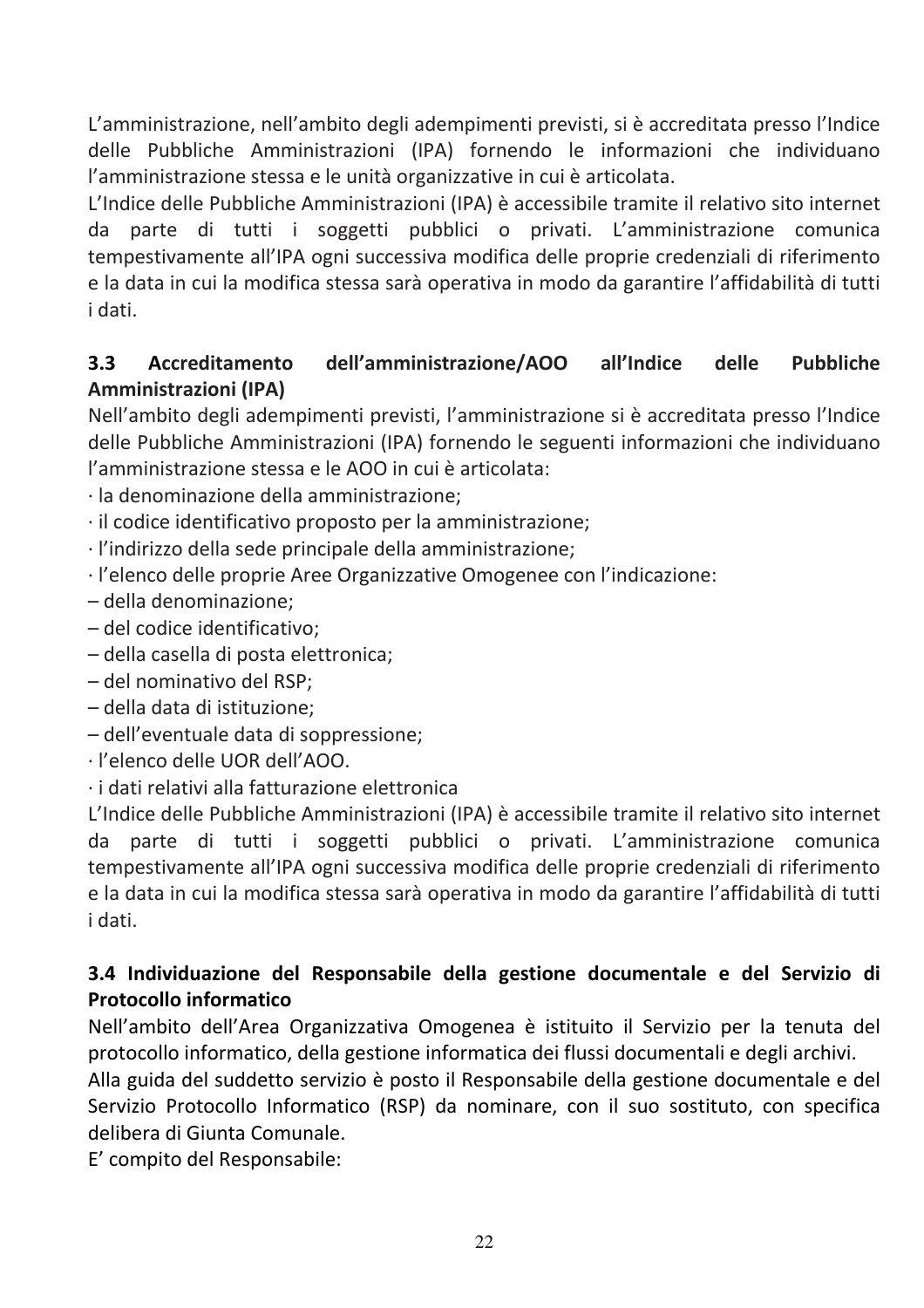L'amministrazione, nell'ambito degli adempimenti previsti, si è accreditata presso l'Indice delle Pubbliche Amministrazioni (IPA) fornendo le informazioni che individuano l'amministrazione stessa e le unità organizzative in cui è articolata.

L'Indice delle Pubbliche Amministrazioni (IPA) è accessibile tramite il relativo sito internet da parte di tutti i soggetti pubblici o privati. L'amministrazione comunica tempestivamente all'IPA ogni successiva modifica delle proprie credenziali di riferimento e la data in cui la modifica stessa sarà operativa in modo da garantire l'affidabilità di tutti i dati.

#### $3.3$ Accreditamento dell'amministrazione/AOO all'Indice delle **Pubbliche** Amministrazioni (IPA)

Nell'ambito degli adempimenti previsti, l'amministrazione si è accreditata presso l'Indice delle Pubbliche Amministrazioni (IPA) fornendo le seguenti informazioni che individuano l'amministrazione stessa e le AOO in cui è articolata:

- ·la denominazione della amministrazione:
- · il codice identificativo proposto per la amministrazione;
- ·l'indirizzo della sede principale della amministrazione;
- · l'elenco delle proprie Aree Organizzative Omogenee con l'indicazione:
- della denominazione;
- del codice identificativo:
- della casella di posta elettronica;
- del nominativo del RSP;
- della data di istituzione:
- dell'eventuale data di soppressione;
- · l'elenco delle UOR dell'AOO
- · i dati relativi alla fatturazione elettronica

L'Indice delle Pubbliche Amministrazioni (IPA) è accessibile tramite il relativo sito internet da parte di tutti i soggetti pubblici o privati. L'amministrazione comunica tempestivamente all'IPA ogni successiva modifica delle proprie credenziali di riferimento e la data in cui la modifica stessa sarà operativa in modo da garantire l'affidabilità di tutti i dati.

# 3.4 Individuazione del Responsabile della gestione documentale e del Servizio di **Protocollo informatico**

Nell'ambito dell'Area Organizzativa Omogenea è istituito il Servizio per la tenuta del protocollo informatico, della gestione informatica dei flussi documentali e degli archivi.

Alla guida del suddetto servizio è posto il Responsabile della gestione documentale e del Servizio Protocollo Informatico (RSP) da nominare, con il suo sostituto, con specifica delibera di Giunta Comunale.

E' compito del Responsabile: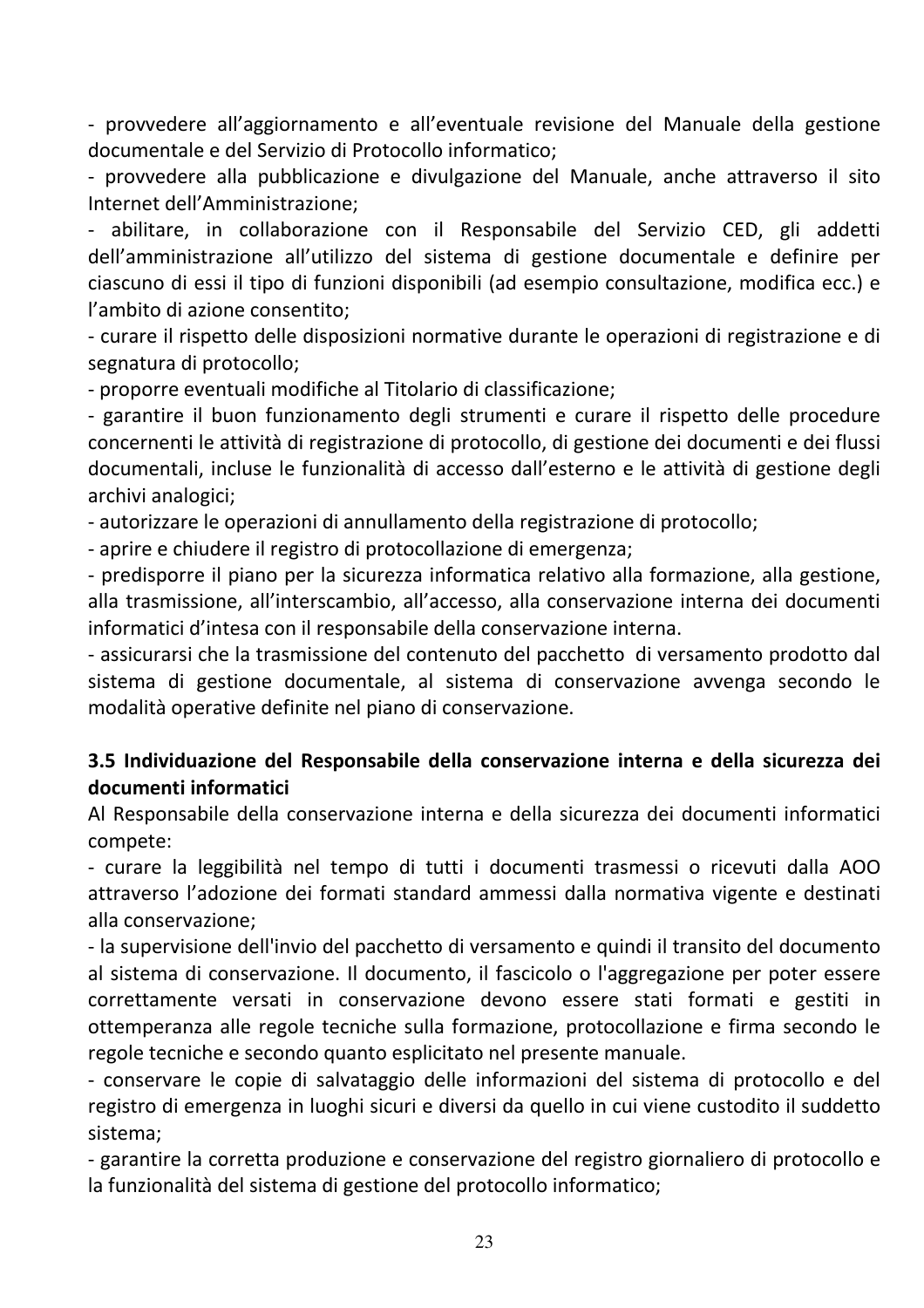- provvedere all'aggiornamento e all'eventuale revisione del Manuale della gestione documentale e del Servizio di Protocollo informatico;

- provvedere alla pubblicazione e divulgazione del Manuale, anche attraverso il sito Internet dell'Amministrazione:

- abilitare, in collaborazione con il Responsabile del Servizio CED, gli addetti dell'amministrazione all'utilizzo del sistema di gestione documentale e definire per ciascuno di essi il tipo di funzioni disponibili (ad esempio consultazione, modifica ecc.) e l'ambito di azione consentito;

- curare il rispetto delle disposizioni normative durante le operazioni di registrazione e di segnatura di protocollo;

- proporre eventuali modifiche al Titolario di classificazione;

- garantire il buon funzionamento degli strumenti e curare il rispetto delle procedure concernenti le attività di registrazione di protocollo, di gestione dei documenti e dei flussi documentali, incluse le funzionalità di accesso dall'esterno e le attività di gestione degli archivi analogici;

- autorizzare le operazioni di annullamento della registrazione di protocollo;

- aprire e chiudere il registro di protocollazione di emergenza;

- predisporre il piano per la sicurezza informatica relativo alla formazione, alla gestione, alla trasmissione, all'interscambio, all'accesso, alla conservazione interna dei documenti informatici d'intesa con il responsabile della conservazione interna.

- assicurarsi che la trasmissione del contenuto del pacchetto di versamento prodotto dal sistema di gestione documentale, al sistema di conservazione avvenga secondo le modalità operative definite nel piano di conservazione.

#### 3.5 Individuazione del Responsabile della conservazione interna e della sicurezza dei documenti informatici

Al Responsabile della conservazione interna e della sicurezza dei documenti informatici compete:

- curare la leggibilità nel tempo di tutti i documenti trasmessi o ricevuti dalla AOO attraverso l'adozione dei formati standard ammessi dalla normativa vigente e destinati alla conservazione:

- la supervisione dell'invio del pacchetto di versamento e quindi il transito del documento al sistema di conservazione. Il documento, il fascicolo o l'aggregazione per poter essere correttamente versati in conservazione devono essere stati formati e gestiti in ottemperanza alle regole tecniche sulla formazione, protocollazione e firma secondo le regole tecniche e secondo quanto esplicitato nel presente manuale.

- conservare le copie di salvataggio delle informazioni del sistema di protocollo e del registro di emergenza in luoghi sicuri e diversi da quello in cui viene custodito il suddetto sistema:

- garantire la corretta produzione e conservazione del registro giornaliero di protocollo e la funzionalità del sistema di gestione del protocollo informatico;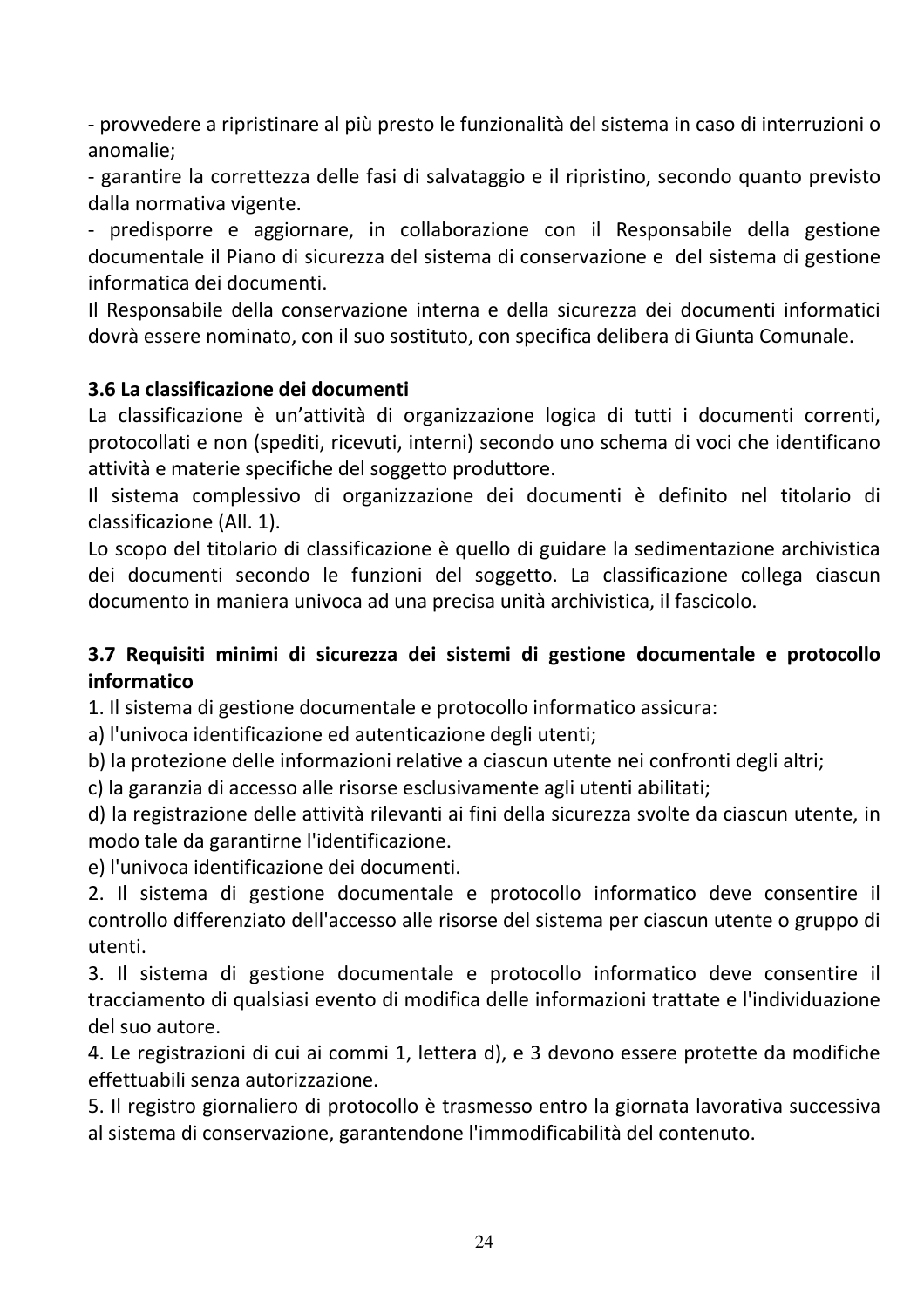- provvedere a ripristinare al più presto le funzionalità del sistema in caso di interruzioni o anomalie;

- garantire la correttezza delle fasi di salvataggio e il ripristino, secondo quanto previsto dalla normativa vigente.

- predisporre e aggiornare, in collaborazione con il Responsabile della gestione documentale il Piano di sicurezza del sistema di conservazione e del sistema di gestione informatica dei documenti.

Il Responsabile della conservazione interna e della sicurezza dei documenti informatici dovrà essere nominato, con il suo sostituto, con specifica delibera di Giunta Comunale.

#### 3.6 La classificazione dei documenti

La classificazione è un'attività di organizzazione logica di tutti i documenti correnti, protocollati e non (spediti, ricevuti, interni) secondo uno schema di voci che identificano attività e materie specifiche del soggetto produttore.

Il sistema complessivo di organizzazione dei documenti è definito nel titolario di classificazione (All. 1).

Lo scopo del titolario di classificazione è quello di guidare la sedimentazione archivistica dei documenti secondo le funzioni del soggetto. La classificazione collega ciascun documento in maniera univoca ad una precisa unità archivistica, il fascicolo.

#### 3.7 Requisiti minimi di sicurezza dei sistemi di gestione documentale e protocollo informatico

1. Il sistema di gestione documentale e protocollo informatico assicura:

a) l'univoca identificazione ed autenticazione degli utenti;

b) la protezione delle informazioni relative a ciascun utente nei confronti degli altri;

c) la garanzia di accesso alle risorse esclusivamente agli utenti abilitati;

d) la registrazione delle attività rilevanti ai fini della sicurezza svolte da ciascun utente, in modo tale da garantirne l'identificazione.

e) l'univoca identificazione dei documenti.

2. Il sistema di gestione documentale e protocollo informatico deve consentire il controllo differenziato dell'accesso alle risorse del sistema per ciascun utente o gruppo di utenti.

3. Il sistema di gestione documentale e protocollo informatico deve consentire il tracciamento di qualsiasi evento di modifica delle informazioni trattate e l'individuazione del suo autore.

4. Le registrazioni di cui ai commi 1, lettera d), e 3 devono essere protette da modifiche effettuabili senza autorizzazione.

5. Il registro giornaliero di protocollo è trasmesso entro la giornata lavorativa successiva al sistema di conservazione, garantendone l'immodificabilità del contenuto.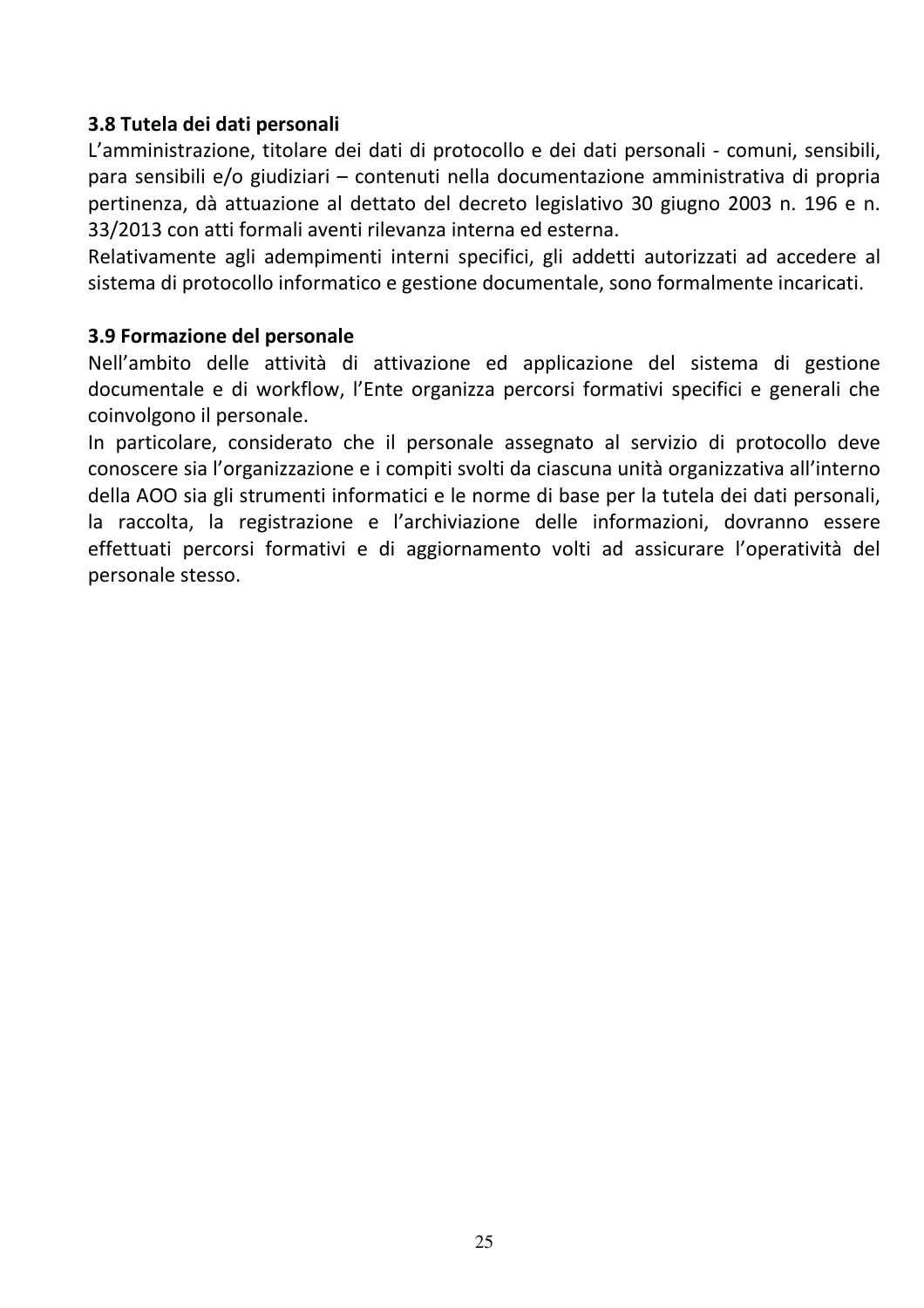#### 3.8 Tutela dei dati personali

L'amministrazione, titolare dei dati di protocollo e dei dati personali - comuni, sensibili, para sensibili e/o giudiziari - contenuti nella documentazione amministrativa di propria pertinenza, dà attuazione al dettato del decreto legislativo 30 giugno 2003 n. 196 e n. 33/2013 con atti formali aventi rilevanza interna ed esterna.

Relativamente agli adempimenti interni specifici, gli addetti autorizzati ad accedere al sistema di protocollo informatico e gestione documentale, sono formalmente incaricati.

#### 3.9 Formazione del personale

Nell'ambito delle attività di attivazione ed applicazione del sistema di gestione documentale e di workflow, l'Ente organizza percorsi formativi specifici e generali che coinvolgono il personale.

In particolare, considerato che il personale assegnato al servizio di protocollo deve conoscere sia l'organizzazione e i compiti svolti da ciascuna unità organizzativa all'interno della AOO sia gli strumenti informatici e le norme di base per la tutela dei dati personali, la raccolta, la registrazione e l'archiviazione delle informazioni, dovranno essere effettuati percorsi formativi e di aggiornamento volti ad assicurare l'operatività del personale stesso.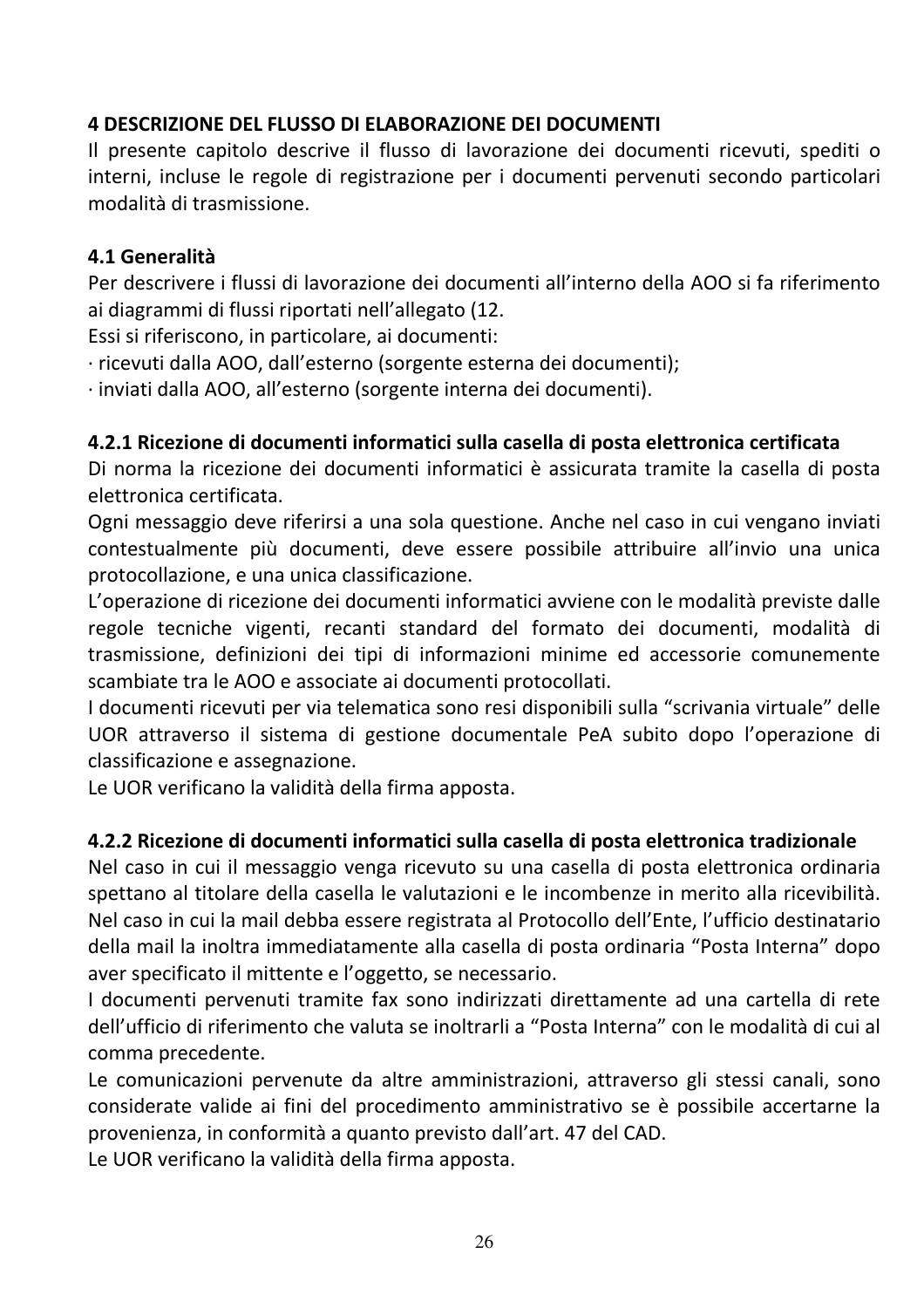# **4 DESCRIZIONE DEL FLUSSO DI ELABORAZIONE DEI DOCUMENTI**

Il presente capitolo descrive il flusso di lavorazione dei documenti ricevuti, spediti o interni, incluse le regole di registrazione per i documenti pervenuti secondo particolari modalità di trasmissione.

#### 4.1 Generalità

Per descrivere i flussi di lavorazione dei documenti all'interno della AOO si fa riferimento ai diagrammi di flussi riportati nell'allegato (12.

Essi si riferiscono, in particolare, ai documenti:

· ricevuti dalla AOO, dall'esterno (sorgente esterna dei documenti);

· inviati dalla AOO, all'esterno (sorgente interna dei documenti).

#### 4.2.1 Ricezione di documenti informatici sulla casella di posta elettronica certificata

Di norma la ricezione dei documenti informatici è assicurata tramite la casella di posta elettronica certificata.

Ogni messaggio deve riferirsi a una sola questione. Anche nel caso in cui vengano inviati contestualmente più documenti, deve essere possibile attribuire all'invio una unica protocollazione, e una unica classificazione.

L'operazione di ricezione dei documenti informatici avviene con le modalità previste dalle regole tecniche vigenti, recanti standard del formato dei documenti, modalità di trasmissione, definizioni dei tipi di informazioni minime ed accessorie comunemente scambiate tra le AOO e associate ai documenti protocollati.

I documenti ricevuti per via telematica sono resi disponibili sulla "scrivania virtuale" delle UOR attraverso il sistema di gestione documentale PeA subito dopo l'operazione di classificazione e assegnazione.

Le UOR verificano la validità della firma apposta.

#### 4.2.2 Ricezione di documenti informatici sulla casella di posta elettronica tradizionale

Nel caso in cui il messaggio venga ricevuto su una casella di posta elettronica ordinaria spettano al titolare della casella le valutazioni e le incombenze in merito alla ricevibilità. Nel caso in cui la mail debba essere registrata al Protocollo dell'Ente, l'ufficio destinatario della mail la inoltra immediatamente alla casella di posta ordinaria "Posta Interna" dopo aver specificato il mittente e l'oggetto, se necessario.

I documenti pervenuti tramite fax sono indirizzati direttamente ad una cartella di rete dell'ufficio di riferimento che valuta se inoltrarli a "Posta Interna" con le modalità di cui al comma precedente.

Le comunicazioni pervenute da altre amministrazioni, attraverso gli stessi canali, sono considerate valide ai fini del procedimento amministrativo se è possibile accertarne la provenienza, in conformità a quanto previsto dall'art. 47 del CAD.

Le UOR verificano la validità della firma apposta.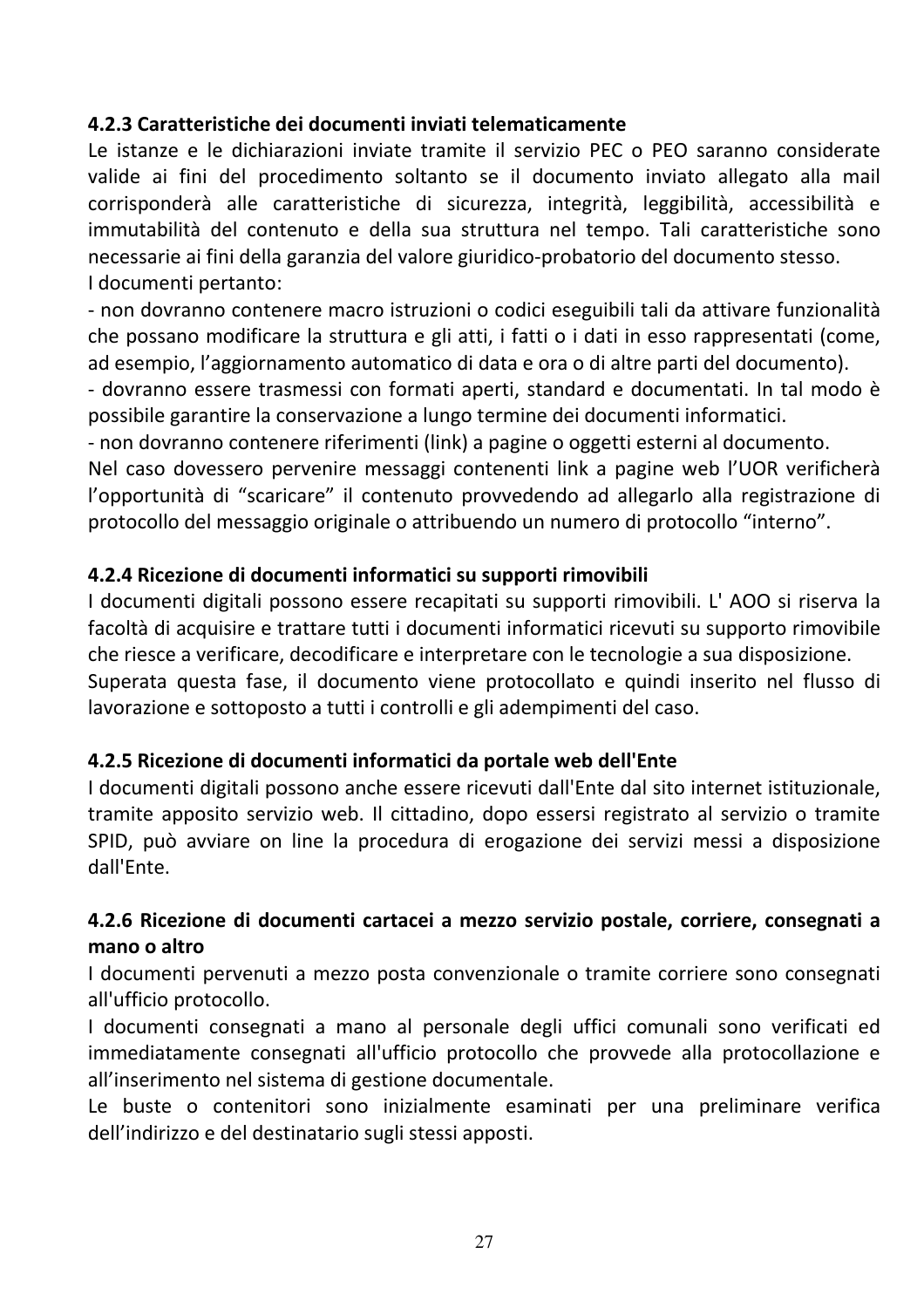#### 4.2.3 Caratteristiche dei documenti inviati telematicamente

Le istanze e le dichiarazioni inviate tramite il servizio PEC o PEO saranno considerate valide ai fini del procedimento soltanto se il documento inviato allegato alla mail corrisponderà alle caratteristiche di sicurezza, integrità, leggibilità, accessibilità e immutabilità del contenuto e della sua struttura nel tempo. Tali caratteristiche sono necessarie ai fini della garanzia del valore giuridico-probatorio del documento stesso. I documenti pertanto:

- non dovranno contenere macro istruzioni o codici eseguibili tali da attivare funzionalità che possano modificare la struttura e gli atti, i fatti o i dati in esso rappresentati (come, ad esempio, l'aggiornamento automatico di data e ora o di altre parti del documento).

- dovranno essere trasmessi con formati aperti, standard e documentati. In tal modo è possibile garantire la conservazione a lungo termine dei documenti informatici.

- non dovranno contenere riferimenti (link) a pagine o oggetti esterni al documento.

Nel caso dovessero pervenire messaggi contenenti link a pagine web l'UOR verificherà l'opportunità di "scaricare" il contenuto provvedendo ad allegarlo alla registrazione di protocollo del messaggio originale o attribuendo un numero di protocollo "interno".

#### 4.2.4 Ricezione di documenti informatici su supporti rimovibili

I documenti digitali possono essere recapitati su supporti rimovibili. L'AOO si riserva la facoltà di acquisire e trattare tutti i documenti informatici ricevuti su supporto rimovibile che riesce a verificare, decodificare e interpretare con le tecnologie a sua disposizione. Superata questa fase, il documento viene protocollato e quindi inserito nel flusso di lavorazione e sottoposto a tutti i controlli e gli adempimenti del caso.

#### 4.2.5 Ricezione di documenti informatici da portale web dell'Ente

I documenti digitali possono anche essere ricevuti dall'Ente dal sito internet istituzionale, tramite apposito servizio web. Il cittadino, dopo essersi registrato al servizio o tramite SPID, può avviare on line la procedura di erogazione dei servizi messi a disposizione dall'Ente

# 4.2.6 Ricezione di documenti cartacei a mezzo servizio postale, corriere, consegnati a mano o altro

I documenti pervenuti a mezzo posta convenzionale o tramite corriere sono consegnati all'ufficio protocollo.

I documenti consegnati a mano al personale degli uffici comunali sono verificati ed immediatamente consegnati all'ufficio protocollo che provvede alla protocollazione e all'inserimento nel sistema di gestione documentale.

Le buste o contenitori sono inizialmente esaminati per una preliminare verifica dell'indirizzo e del destinatario sugli stessi apposti.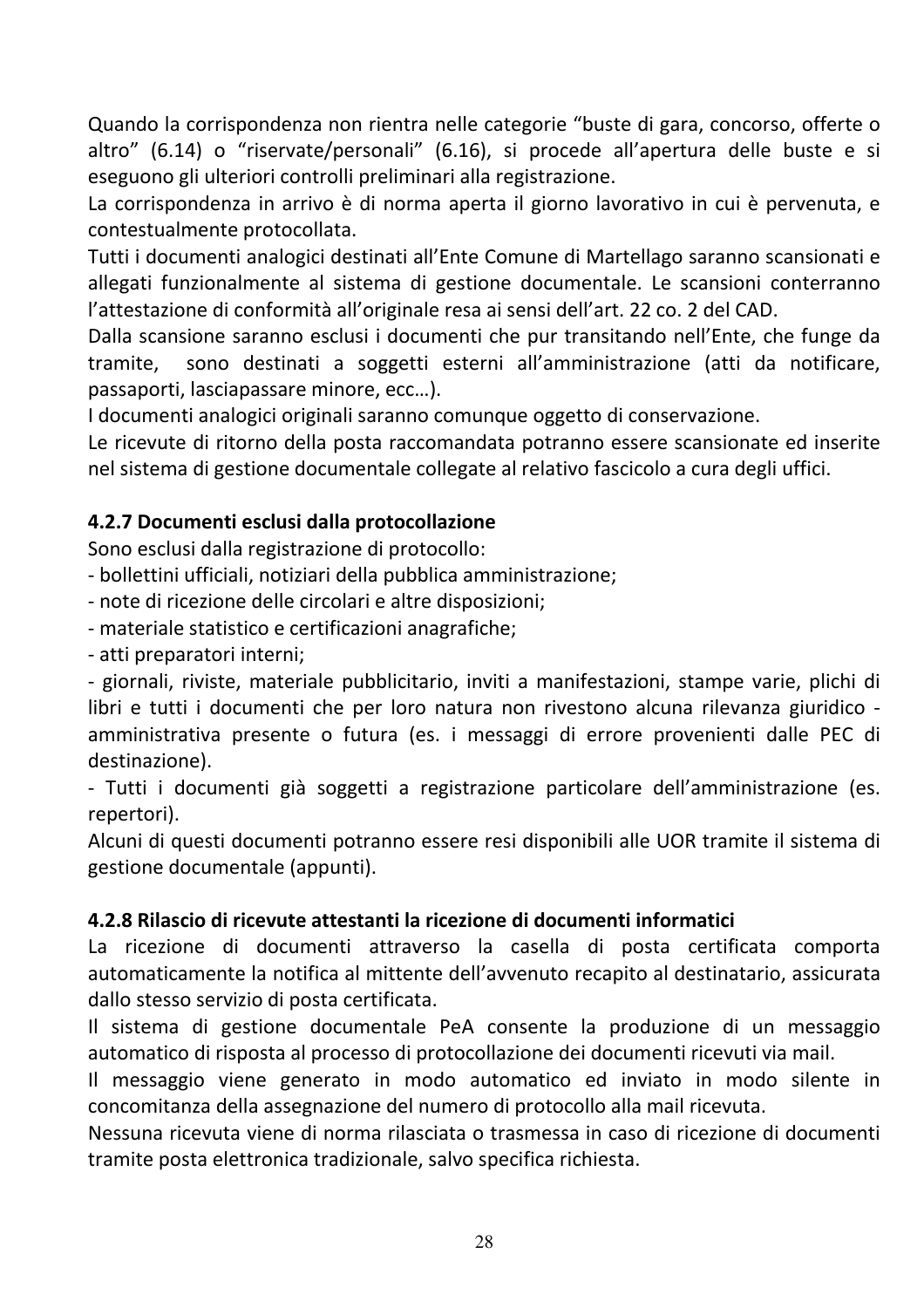Quando la corrispondenza non rientra nelle categorie "buste di gara, concorso, offerte o altro" (6.14) o "riservate/personali" (6.16), si procede all'apertura delle buste e si eseguono gli ulteriori controlli preliminari alla registrazione.

La corrispondenza in arrivo è di norma aperta il giorno lavorativo in cui è pervenuta, e contestualmente protocollata.

Tutti i documenti analogici destinati all'Ente Comune di Martellago saranno scansionati e allegati funzionalmente al sistema di gestione documentale. Le scansioni conterranno l'attestazione di conformità all'originale resa ai sensi dell'art. 22 co. 2 del CAD.

Dalla scansione saranno esclusi i documenti che pur transitando nell'Ente, che funge da sono destinati a soggetti esterni all'amministrazione (atti da notificare, tramite, passaporti, lasciapassare minore, ecc...).

I documenti analogici originali saranno comunque oggetto di conservazione.

Le ricevute di ritorno della posta raccomandata potranno essere scansionate ed inserite nel sistema di gestione documentale collegate al relativo fascicolo a cura degli uffici.

# 4.2.7 Documenti esclusi dalla protocollazione

Sono esclusi dalla registrazione di protocollo:

- bollettini ufficiali, notiziari della pubblica amministrazione;

- note di ricezione delle circolari e altre disposizioni;

- materiale statistico e certificazioni anagrafiche;

- atti preparatori interni;

- giornali, riviste, materiale pubblicitario, inviti a manifestazioni, stampe varie, plichi di libri e tutti i documenti che per loro natura non rivestono alcuna rilevanza giuridico amministrativa presente o futura (es. i messaggi di errore provenienti dalle PEC di destinazione).

- Tutti i documenti già soggetti a registrazione particolare dell'amministrazione (es. repertori).

Alcuni di questi documenti potranno essere resi disponibili alle UOR tramite il sistema di gestione documentale (appunti).

#### 4.2.8 Rilascio di ricevute attestanti la ricezione di documenti informatici

La ricezione di documenti attraverso la casella di posta certificata comporta automaticamente la notifica al mittente dell'avvenuto recapito al destinatario, assicurata dallo stesso servizio di posta certificata.

Il sistema di gestione documentale PeA consente la produzione di un messaggio automatico di risposta al processo di protocollazione dei documenti ricevuti via mail.

Il messaggio viene generato in modo automatico ed inviato in modo silente in concomitanza della assegnazione del numero di protocollo alla mail ricevuta.

Nessuna ricevuta viene di norma rilasciata o trasmessa in caso di ricezione di documenti tramite posta elettronica tradizionale, salvo specifica richiesta.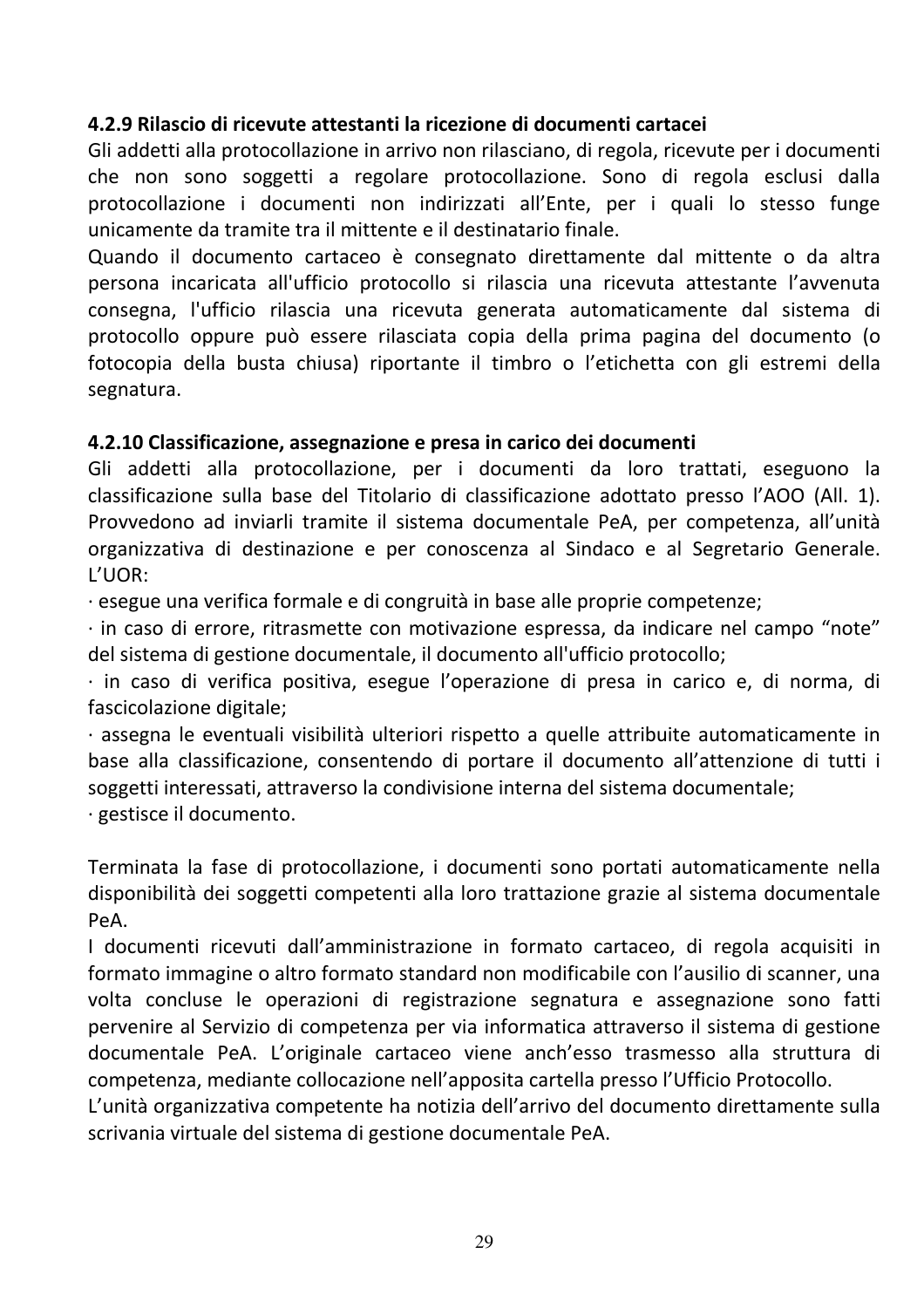#### 4.2.9 Rilascio di ricevute attestanti la ricezione di documenti cartacei

Gli addetti alla protocollazione in arrivo non rilasciano, di regola, ricevute per i documenti che non sono soggetti a regolare protocollazione. Sono di regola esclusi dalla protocollazione i documenti non indirizzati all'Ente, per i quali lo stesso funge unicamente da tramite tra il mittente e il destinatario finale.

Quando il documento cartaceo è consegnato direttamente dal mittente o da altra persona incaricata all'ufficio protocollo si rilascia una ricevuta attestante l'avvenuta consegna, l'ufficio rilascia una ricevuta generata automaticamente dal sistema di protocollo oppure può essere rilasciata copia della prima pagina del documento (o fotocopia della busta chiusa) riportante il timbro o l'etichetta con gli estremi della segnatura.

#### 4.2.10 Classificazione, assegnazione e presa in carico dei documenti

Gli addetti alla protocollazione, per i documenti da loro trattati, eseguono la classificazione sulla base del Titolario di classificazione adottato presso l'AOO (All. 1). Provvedono ad inviarli tramite il sistema documentale PeA, per competenza, all'unità organizzativa di destinazione e per conoscenza al Sindaco e al Segretario Generale. L'UOR:

· esegue una verifica formale e di congruità in base alle proprie competenze;

· in caso di errore, ritrasmette con motivazione espressa, da indicare nel campo "note" del sistema di gestione documentale, il documento all'ufficio protocollo;

· in caso di verifica positiva, esegue l'operazione di presa in carico e, di norma, di fascicolazione digitale;

· assegna le eventuali visibilità ulteriori rispetto a quelle attribuite automaticamente in base alla classificazione, consentendo di portare il documento all'attenzione di tutti i soggetti interessati, attraverso la condivisione interna del sistema documentale;

· gestisce il documento.

Terminata la fase di protocollazione, i documenti sono portati automaticamente nella disponibilità dei soggetti competenti alla loro trattazione grazie al sistema documentale  $P_{\mathsf{P}}A$ .

I documenti ricevuti dall'amministrazione in formato cartaceo, di regola acquisiti in formato immagine o altro formato standard non modificabile con l'ausilio di scanner, una volta concluse le operazioni di registrazione segnatura e assegnazione sono fatti pervenire al Servizio di competenza per via informatica attraverso il sistema di gestione documentale PeA. L'originale cartaceo viene anch'esso trasmesso alla struttura di competenza, mediante collocazione nell'apposita cartella presso l'Ufficio Protocollo.

L'unità organizzativa competente ha notizia dell'arrivo del documento direttamente sulla scrivania virtuale del sistema di gestione documentale PeA.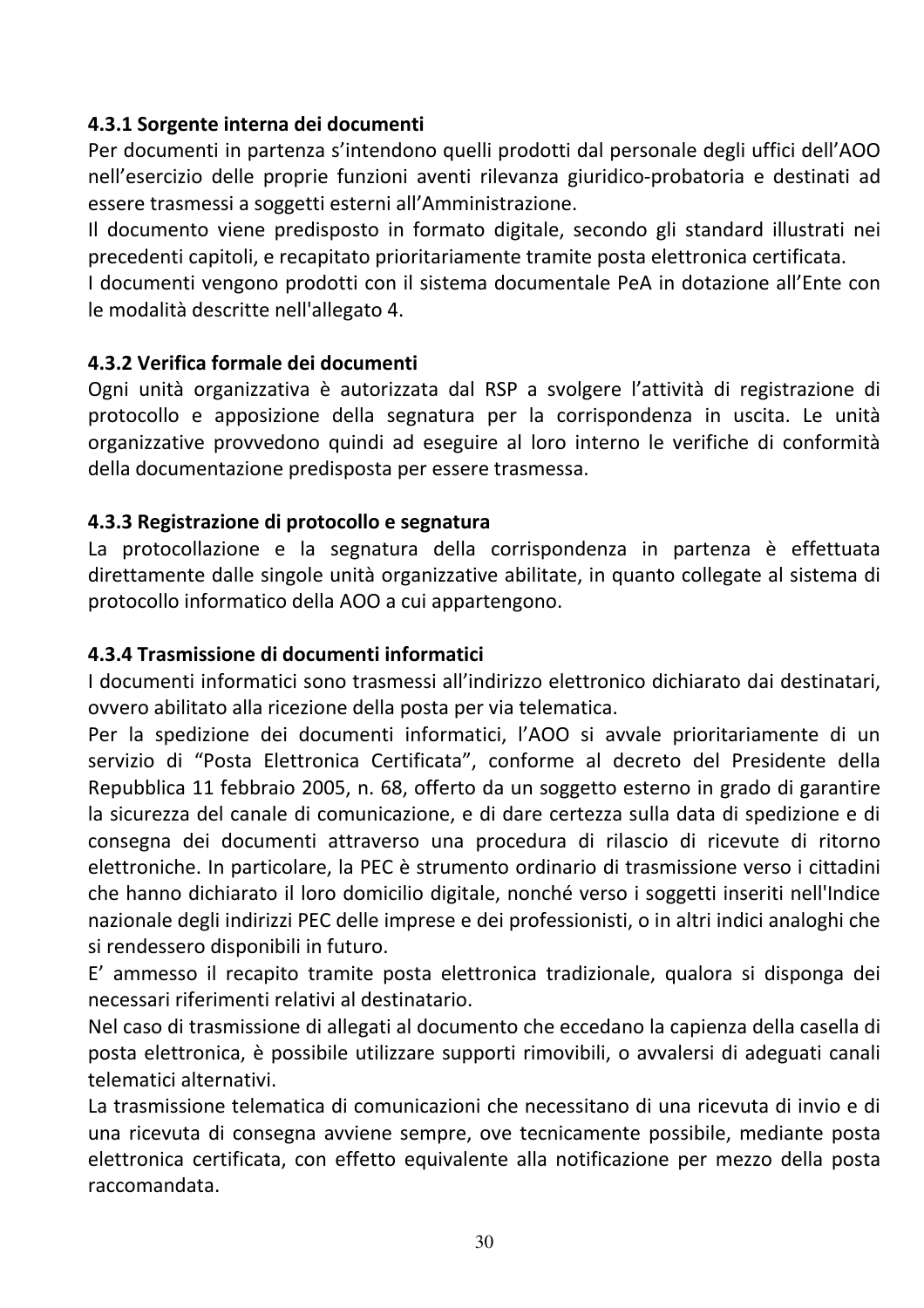#### 4.3.1 Sorgente interna dei documenti

Per documenti in partenza s'intendono quelli prodotti dal personale degli uffici dell'AOO nell'esercizio delle proprie funzioni aventi rilevanza giuridico-probatoria e destinati ad essere trasmessi a soggetti esterni all'Amministrazione.

Il documento viene predisposto in formato digitale, secondo gli standard illustrati nei precedenti capitoli, e recapitato prioritariamente tramite posta elettronica certificata.

I documenti vengono prodotti con il sistema documentale PeA in dotazione all'Ente con le modalità descritte nell'allegato 4.

#### 4.3.2 Verifica formale dei documenti

Ogni unità organizzativa è autorizzata dal RSP a svolgere l'attività di registrazione di protocollo e apposizione della segnatura per la corrispondenza in uscita. Le unità organizzative provvedono quindi ad eseguire al loro interno le verifiche di conformità della documentazione predisposta per essere trasmessa.

#### 4.3.3 Registrazione di protocollo e segnatura

La protocollazione e la segnatura della corrispondenza in partenza è effettuata direttamente dalle singole unità organizzative abilitate, in quanto collegate al sistema di protocollo informatico della AOO a cui appartengono.

#### 4.3.4 Trasmissione di documenti informatici

I documenti informatici sono trasmessi all'indirizzo elettronico dichiarato dai destinatari, ovvero abilitato alla ricezione della posta per via telematica.

Per la spedizione dei documenti informatici, l'AOO si avvale prioritariamente di un servizio di "Posta Elettronica Certificata", conforme al decreto del Presidente della Repubblica 11 febbraio 2005, n. 68, offerto da un soggetto esterno in grado di garantire la sicurezza del canale di comunicazione, e di dare certezza sulla data di spedizione e di consegna dei documenti attraverso una procedura di rilascio di ricevute di ritorno elettroniche. In particolare, la PEC è strumento ordinario di trasmissione verso i cittadini che hanno dichiarato il loro domicilio digitale, nonché verso i soggetti inseriti nell'Indice nazionale degli indirizzi PEC delle imprese e dei professionisti, o in altri indici analoghi che si rendessero disponibili in futuro.

E' ammesso il recapito tramite posta elettronica tradizionale, qualora si disponga dei necessari riferimenti relativi al destinatario.

Nel caso di trasmissione di allegati al documento che eccedano la capienza della casella di posta elettronica, è possibile utilizzare supporti rimovibili, o avvalersi di adeguati canali telematici alternativi.

La trasmissione telematica di comunicazioni che necessitano di una ricevuta di invio e di una ricevuta di consegna avviene sempre, ove tecnicamente possibile, mediante posta elettronica certificata, con effetto equivalente alla notificazione per mezzo della posta raccomandata.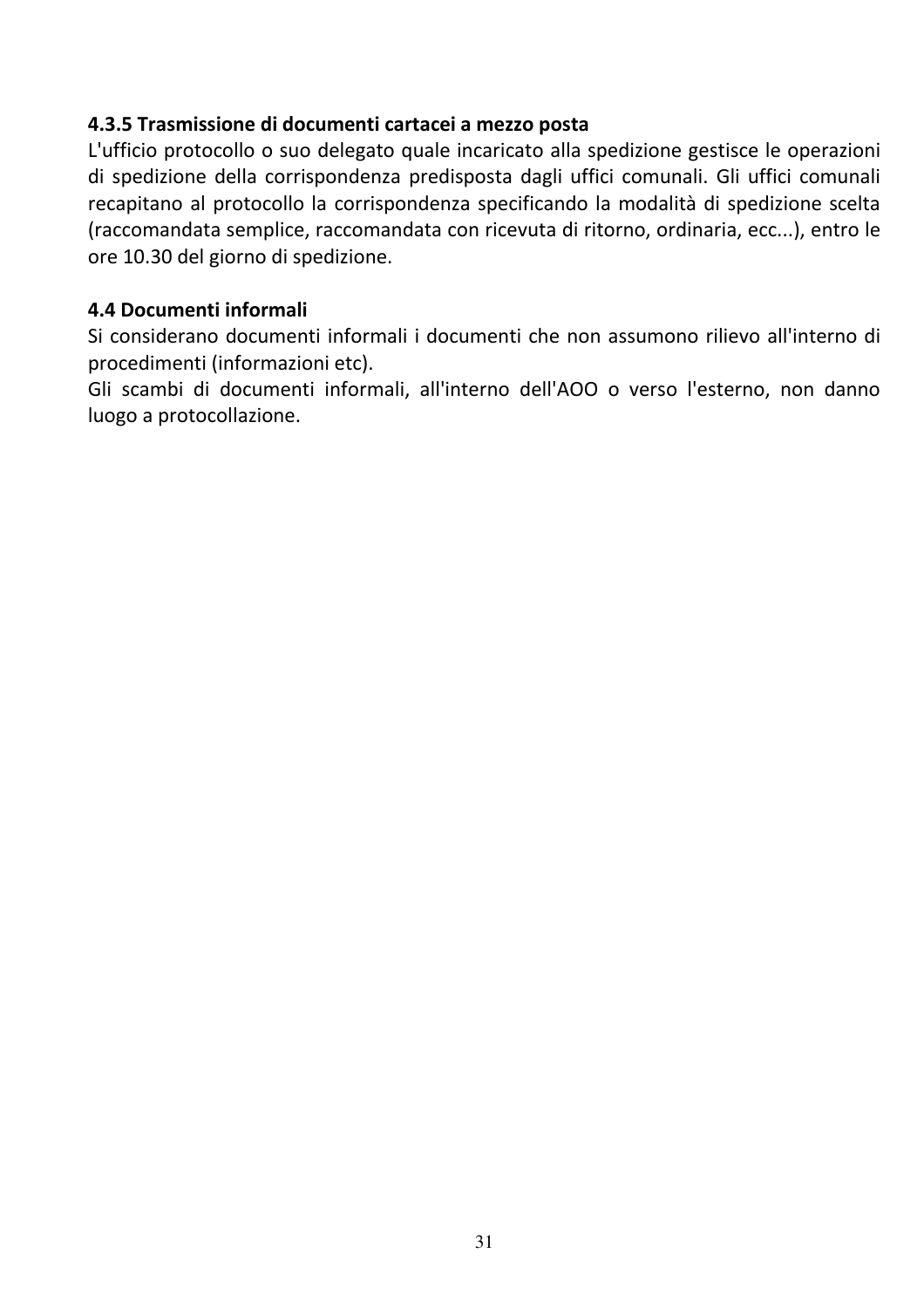#### 4.3.5 Trasmissione di documenti cartacei a mezzo posta

L'ufficio protocollo o suo delegato quale incaricato alla spedizione gestisce le operazioni di spedizione della corrispondenza predisposta dagli uffici comunali. Gli uffici comunali recapitano al protocollo la corrispondenza specificando la modalità di spedizione scelta (raccomandata semplice, raccomandata con ricevuta di ritorno, ordinaria, ecc...), entro le ore 10.30 del giorno di spedizione.

#### 4.4 Documenti informali

Si considerano documenti informali i documenti che non assumono rilievo all'interno di procedimenti (informazioni etc).

Gli scambi di documenti informali, all'interno dell'AOO o verso l'esterno, non danno luogo a protocollazione.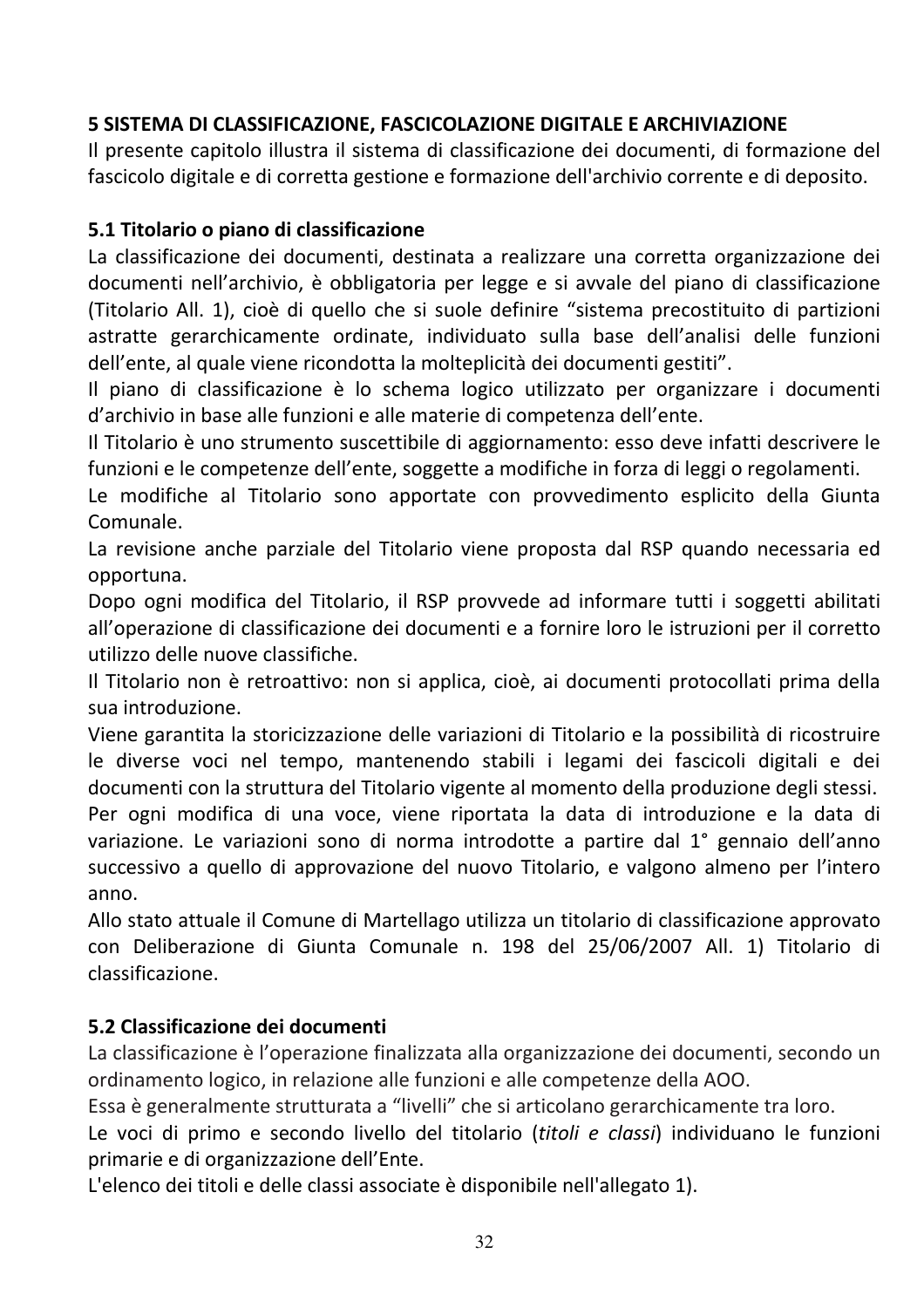# 5 SISTEMA DI CLASSIFICAZIONE, FASCICOLAZIONE DIGITALE E ARCHIVIAZIONE

Il presente capitolo illustra il sistema di classificazione dei documenti, di formazione del fascicolo digitale e di corretta gestione e formazione dell'archivio corrente e di deposito.

#### 5.1 Titolario o piano di classificazione

La classificazione dei documenti, destinata a realizzare una corretta organizzazione dei documenti nell'archivio, è obbligatoria per legge e si avvale del piano di classificazione (Titolario All. 1), cioè di quello che si suole definire "sistema precostituito di partizioni astratte gerarchicamente ordinate, individuato sulla base dell'analisi delle funzioni dell'ente, al quale viene ricondotta la molteplicità dei documenti gestiti".

Il piano di classificazione è lo schema logico utilizzato per organizzare i documenti d'archivio in base alle funzioni e alle materie di competenza dell'ente.

Il Titolario è uno strumento suscettibile di aggiornamento: esso deve infatti descrivere le funzioni e le competenze dell'ente, soggette a modifiche in forza di leggi o regolamenti.

Le modifiche al Titolario sono apportate con provvedimento esplicito della Giunta Comunale.

La revisione anche parziale del Titolario viene proposta dal RSP quando necessaria ed opportuna.

Dopo ogni modifica del Titolario, il RSP provvede ad informare tutti i soggetti abilitati all'operazione di classificazione dei documenti e a fornire loro le istruzioni per il corretto utilizzo delle nuove classifiche.

Il Titolario non è retroattivo: non si applica, cioè, ai documenti protocollati prima della sua introduzione.

Viene garantita la storicizzazione delle variazioni di Titolario e la possibilità di ricostruire le diverse voci nel tempo, mantenendo stabili i legami dei fascicoli digitali e dei documenti con la struttura del Titolario vigente al momento della produzione degli stessi. Per ogni modifica di una voce, viene riportata la data di introduzione e la data di variazione. Le variazioni sono di norma introdotte a partire dal 1° gennaio dell'anno successivo a quello di approvazione del nuovo Titolario, e valgono almeno per l'intero  $anno.$ 

Allo stato attuale il Comune di Martellago utilizza un titolario di classificazione approvato con Deliberazione di Giunta Comunale n. 198 del 25/06/2007 All. 1) Titolario di classificazione.

#### 5.2 Classificazione dei documenti

La classificazione è l'operazione finalizzata alla organizzazione dei documenti, secondo un ordinamento logico, in relazione alle funzioni e alle competenze della AOO.

Essa è generalmente strutturata a "livelli" che si articolano gerarchicamente tra loro.

Le voci di primo e secondo livello del titolario (titoli e classi) individuano le funzioni primarie e di organizzazione dell'Ente.

L'elenco dei titoli e delle classi associate è disponibile nell'allegato 1).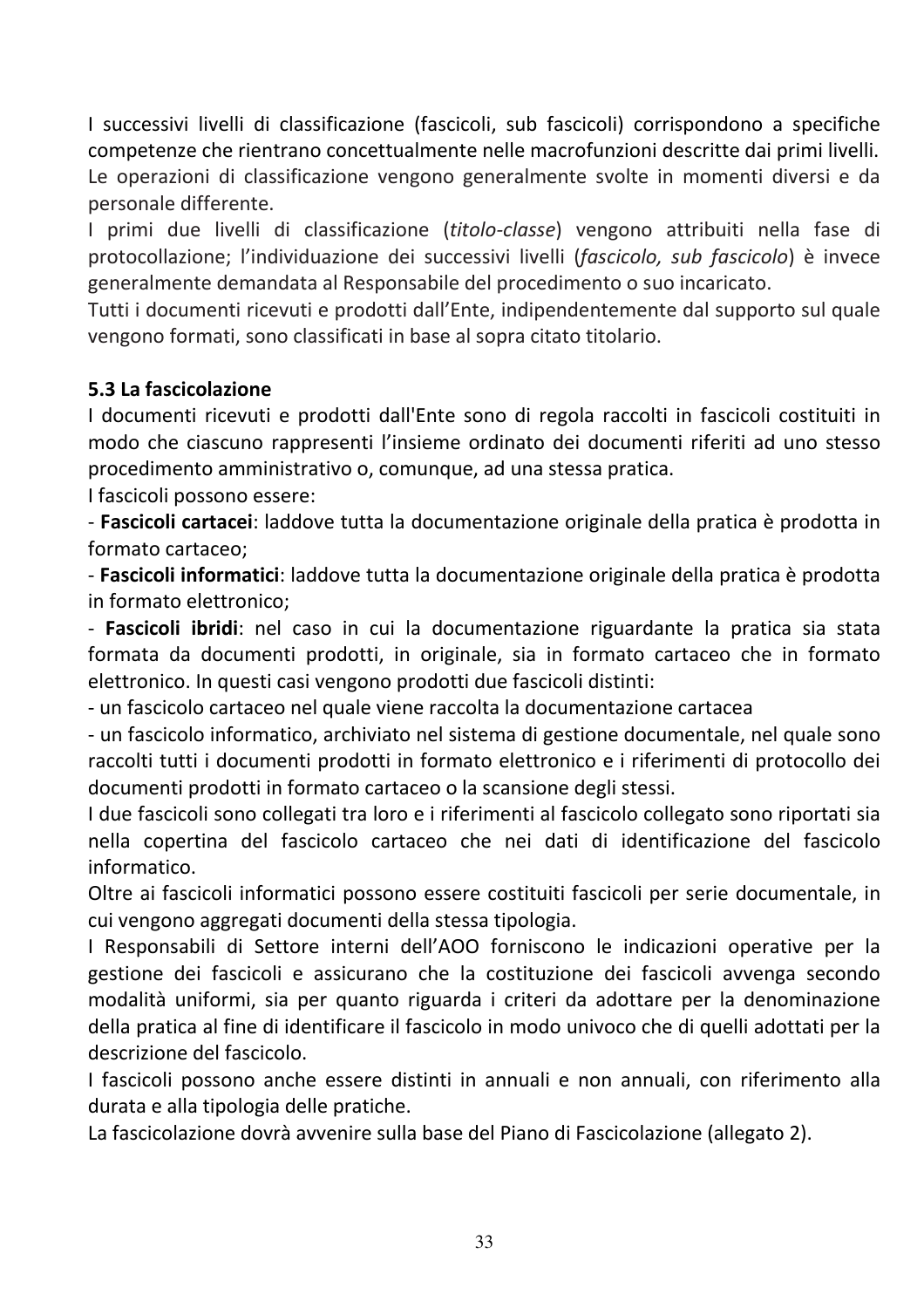I successivi livelli di classificazione (fascicoli, sub fascicoli) corrispondono a specifiche competenze che rientrano concettualmente nelle macrofunzioni descritte dai primi livelli. Le operazioni di classificazione vengono generalmente svolte in momenti diversi e da personale differente.

I primi due livelli di classificazione (titolo-classe) vengono attribuiti nella fase di protocollazione; l'individuazione dei successivi livelli (fascicolo, sub fascicolo) è invece generalmente demandata al Responsabile del procedimento o suo incaricato.

Tutti i documenti ricevuti e prodotti dall'Ente, indipendentemente dal supporto sul quale vengono formati, sono classificati in base al sopra citato titolario.

#### 5.3 La fascicolazione

I documenti ricevuti e prodotti dall'Ente sono di regola raccolti in fascicoli costituiti in modo che ciascuno rappresenti l'insieme ordinato dei documenti riferiti ad uno stesso procedimento amministrativo o, comunque, ad una stessa pratica.

I fascicoli possono essere:

- Fascicoli cartacei: laddove tutta la documentazione originale della pratica è prodotta in formato cartaceo:

- Fascicoli informatici: laddove tutta la documentazione originale della pratica è prodotta in formato elettronico;

- Fascicoli ibridi: nel caso in cui la documentazione riguardante la pratica sia stata formata da documenti prodotti, in originale, sia in formato cartaceo che in formato elettronico. In questi casi vengono prodotti due fascicoli distinti:

- un fascicolo cartaceo nel quale viene raccolta la documentazione cartacea

- un fascicolo informatico, archiviato nel sistema di gestione documentale, nel quale sono raccolti tutti i documenti prodotti in formato elettronico e i riferimenti di protocollo dei documenti prodotti in formato cartaceo o la scansione degli stessi.

I due fascicoli sono collegati tra loro e i riferimenti al fascicolo collegato sono riportati sia nella copertina del fascicolo cartaceo che nei dati di identificazione del fascicolo informatico.

Oltre ai fascicoli informatici possono essere costituiti fascicoli per serie documentale, in cui vengono aggregati documenti della stessa tipologia.

I Responsabili di Settore interni dell'AOO forniscono le indicazioni operative per la gestione dei fascicoli e assicurano che la costituzione dei fascicoli avvenga secondo modalità uniformi, sia per quanto riguarda i criteri da adottare per la denominazione della pratica al fine di identificare il fascicolo in modo univoco che di quelli adottati per la descrizione del fascicolo.

I fascicoli possono anche essere distinti in annuali e non annuali, con riferimento alla durata e alla tipologia delle pratiche.

La fascicolazione dovrà avvenire sulla base del Piano di Fascicolazione (allegato 2).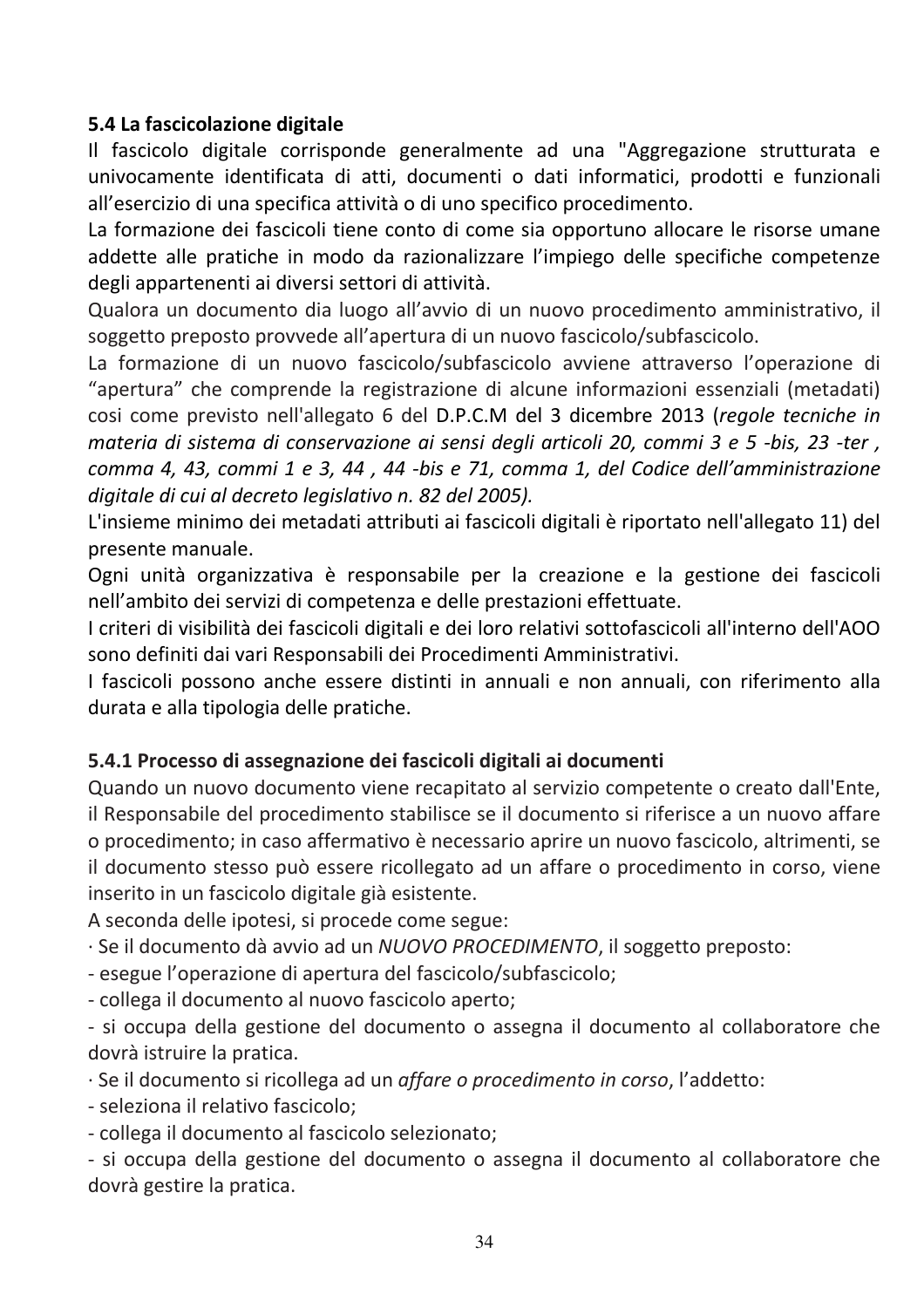#### 5.4 La fascicolazione digitale

Il fascicolo digitale corrisponde generalmente ad una "Aggregazione strutturata e univocamente identificata di atti, documenti o dati informatici, prodotti e funzionali all'esercizio di una specifica attività o di uno specifico procedimento.

La formazione dei fascicoli tiene conto di come sia opportuno allocare le risorse umane addette alle pratiche in modo da razionalizzare l'impiego delle specifiche competenze degli appartenenti ai diversi settori di attività.

Qualora un documento dia luogo all'avvio di un nuovo procedimento amministrativo, il soggetto preposto provvede all'apertura di un nuovo fascicolo/subfascicolo.

La formazione di un nuovo fascicolo/subfascicolo avviene attraverso l'operazione di "apertura" che comprende la registrazione di alcune informazioni essenziali (metadati) cosi come previsto nell'allegato 6 del D.P.C.M del 3 dicembre 2013 (regole tecniche in materia di sistema di conservazione ai sensi degli articoli 20, commi 3 e 5 -bis, 23 -ter, comma 4, 43, commi 1 e 3, 44, 44 -bis e 71, comma 1, del Codice dell'amministrazione digitale di cui al decreto legislativo n. 82 del 2005).

L'insieme minimo dei metadati attributi ai fascicoli digitali è riportato nell'allegato 11) del presente manuale.

Ogni unità organizzativa è responsabile per la creazione e la gestione dei fascicoli nell'ambito dei servizi di competenza e delle prestazioni effettuate.

I criteri di visibilità dei fascicoli digitali e dei loro relativi sottofascicoli all'interno dell'AOO sono definiti dai vari Responsabili dei Procedimenti Amministrativi.

I fascicoli possono anche essere distinti in annuali e non annuali, con riferimento alla durata e alla tipologia delle pratiche.

#### 5.4.1 Processo di assegnazione dei fascicoli digitali ai documenti

Quando un nuovo documento viene recapitato al servizio competente o creato dall'Ente, il Responsabile del procedimento stabilisce se il documento si riferisce a un nuovo affare o procedimento; in caso affermativo è necessario aprire un nuovo fascicolo, altrimenti, se il documento stesso può essere ricollegato ad un affare o procedimento in corso, viene inserito in un fascicolo digitale già esistente.

A seconda delle ipotesi, si procede come segue:

· Se il documento dà avvio ad un NUOVO PROCEDIMENTO, il soggetto preposto:

- esegue l'operazione di apertura del fascicolo/subfascicolo;

- collega il documento al nuovo fascicolo aperto;

- si occupa della gestione del documento o assegna il documento al collaboratore che dovrà istruire la pratica.

· Se il documento si ricollega ad un *affare o procedimento in corso*, l'addetto:

- seleziona il relativo fascicolo;

- collega il documento al fascicolo selezionato;

- si occupa della gestione del documento o assegna il documento al collaboratore che dovrà gestire la pratica.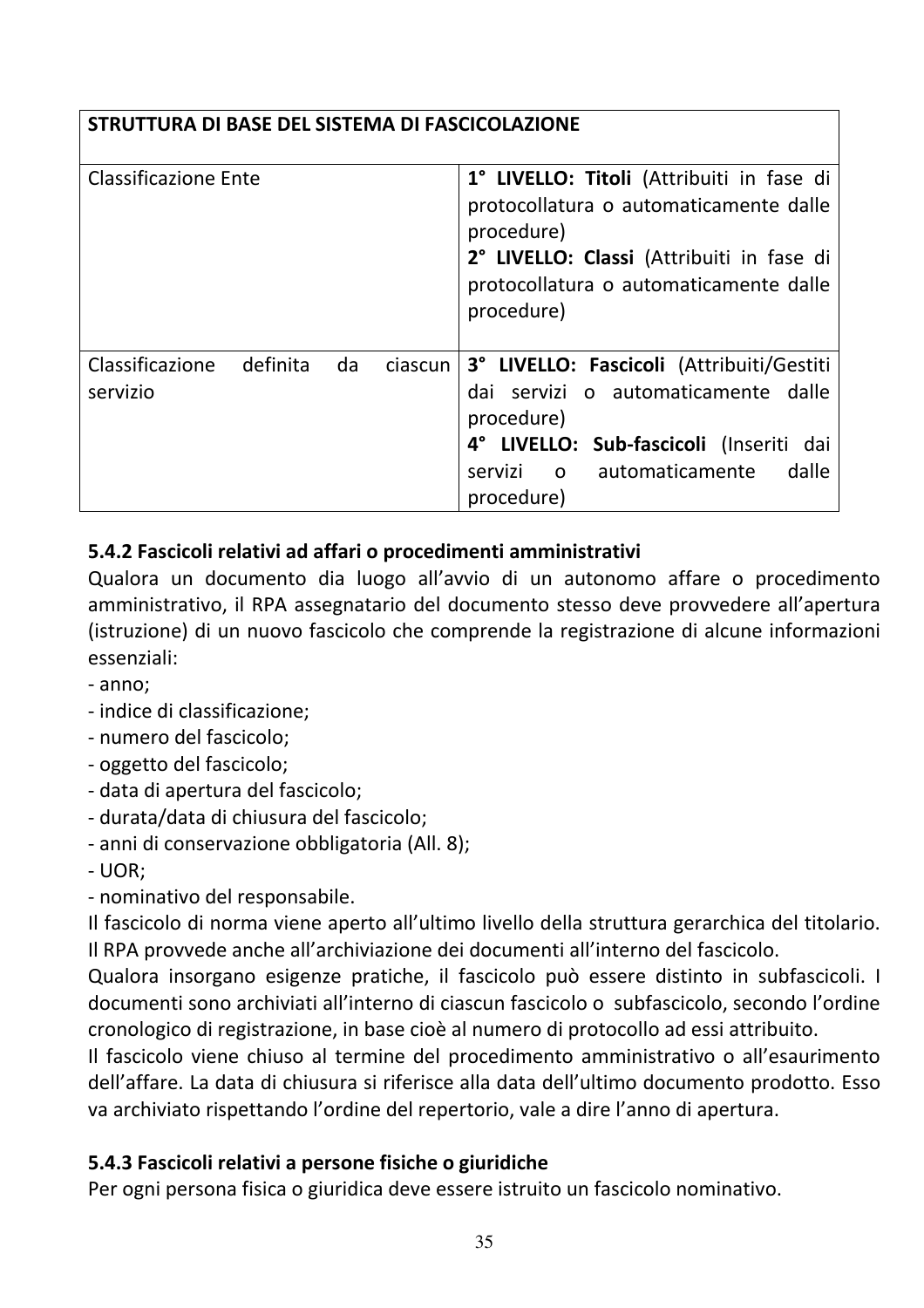# STRUTTURA DI BASE DEL SISTEMA DI FASCICOLAZIONE

| <b>Classificazione Ente</b> |          |    |         | 1° LIVELLO: Titoli (Attribuiti in fase di<br>protocollatura o automaticamente dalle<br>procedure)<br>2° LIVELLO: Classi (Attribuiti in fase di<br>protocollatura o automaticamente dalle<br>procedure) |
|-----------------------------|----------|----|---------|--------------------------------------------------------------------------------------------------------------------------------------------------------------------------------------------------------|
| Classificazione<br>servizio | definita | da | ciascun | 3° LIVELLO: Fascicoli (Attribuiti/Gestiti<br>dai servizi o automaticamente dalle<br>procedure)<br>4° LIVELLO: Sub-fascicoli (Inseriti dai<br>o automaticamente<br>dalle<br>servizi<br>procedure)       |

# 5.4.2 Fascicoli relativi ad affari o procedimenti amministrativi

Qualora un documento dia luogo all'avvio di un autonomo affare o procedimento amministrativo, il RPA assegnatario del documento stesso deve provvedere all'apertura (istruzione) di un nuovo fascicolo che comprende la registrazione di alcune informazioni essenziali:

- anno:
- indice di classificazione;
- numero del fascicolo;
- oggetto del fascicolo;
- data di apertura del fascicolo;
- durata/data di chiusura del fascicolo;
- anni di conservazione obbligatoria (All. 8);
- $-$  UOR;

- nominativo del responsabile.

Il fascicolo di norma viene aperto all'ultimo livello della struttura gerarchica del titolario. Il RPA provvede anche all'archiviazione dei documenti all'interno del fascicolo.

Qualora insorgano esigenze pratiche, il fascicolo può essere distinto in subfascicoli. I documenti sono archiviati all'interno di ciascun fascicolo o subfascicolo, secondo l'ordine cronologico di registrazione, in base cioè al numero di protocollo ad essi attribuito.

Il fascicolo viene chiuso al termine del procedimento amministrativo o all'esaurimento dell'affare. La data di chiusura si riferisce alla data dell'ultimo documento prodotto. Esso va archiviato rispettando l'ordine del repertorio, vale a dire l'anno di apertura.

#### 5.4.3 Fascicoli relativi a persone fisiche o giuridiche

Per ogni persona fisica o giuridica deve essere istruito un fascicolo nominativo.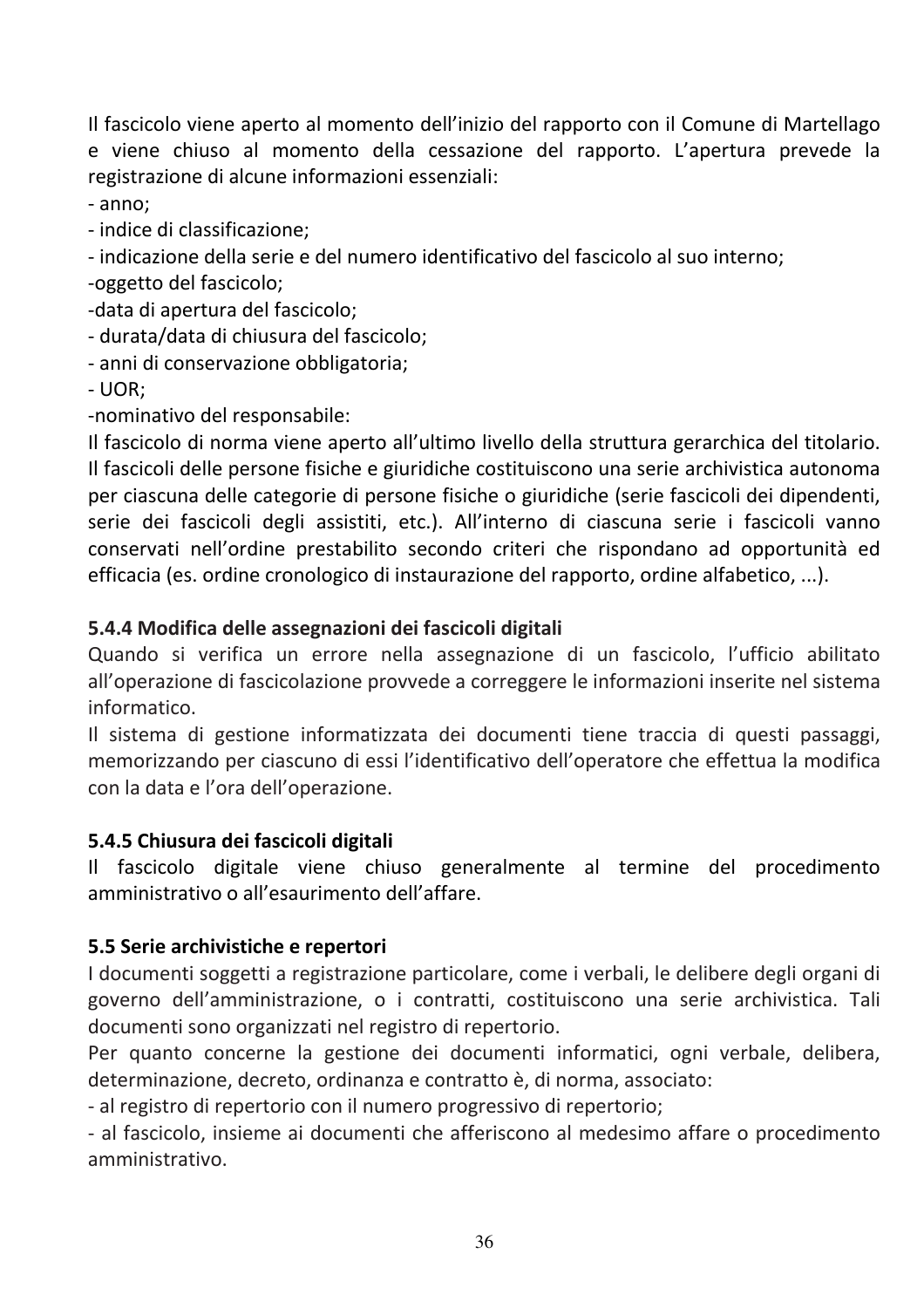Il fascicolo viene aperto al momento dell'inizio del rapporto con il Comune di Martellago e viene chiuso al momento della cessazione del rapporto. L'apertura prevede la registrazione di alcune informazioni essenziali:

- anno:

- indice di classificazione:

- indicazione della serie e del numero identificativo del fascicolo al suo interno:

-oggetto del fascicolo;

-data di apertura del fascicolo;

- durata/data di chiusura del fascicolo;

- anni di conservazione obbligatoria;

 $-$  UOR:

-nominativo del responsabile:

Il fascicolo di norma viene aperto all'ultimo livello della struttura gerarchica del titolario. Il fascicoli delle persone fisiche e giuridiche costituiscono una serie archivistica autonoma per ciascuna delle categorie di persone fisiche o giuridiche (serie fascicoli dei dipendenti, serie dei fascicoli degli assistiti, etc.). All'interno di ciascuna serie i fascicoli vanno conservati nell'ordine prestabilito secondo criteri che rispondano ad opportunità ed efficacia (es. ordine cronologico di instaurazione del rapporto, ordine alfabetico, ...).

#### 5.4.4 Modifica delle assegnazioni dei fascicoli digitali

Quando si verifica un errore nella assegnazione di un fascicolo, l'ufficio abilitato all'operazione di fascicolazione provvede a correggere le informazioni inserite nel sistema informatico.

Il sistema di gestione informatizzata dei documenti tiene traccia di questi passaggi, memorizzando per ciascuno di essi l'identificativo dell'operatore che effettua la modifica con la data e l'ora dell'operazione.

#### 5.4.5 Chiusura dei fascicoli digitali

Il fascicolo digitale viene chiuso generalmente al termine del procedimento amministrativo o all'esaurimento dell'affare.

#### 5.5 Serie archivistiche e repertori

I documenti soggetti a registrazione particolare, come i verbali, le delibere degli organi di governo dell'amministrazione, o i contratti, costituiscono una serie archivistica. Tali documenti sono organizzati nel registro di repertorio.

Per quanto concerne la gestione dei documenti informatici, ogni verbale, delibera, determinazione, decreto, ordinanza e contratto è, di norma, associato:

- al registro di repertorio con il numero progressivo di repertorio;

- al fascicolo, insieme ai documenti che afferiscono al medesimo affare o procedimento amministrativo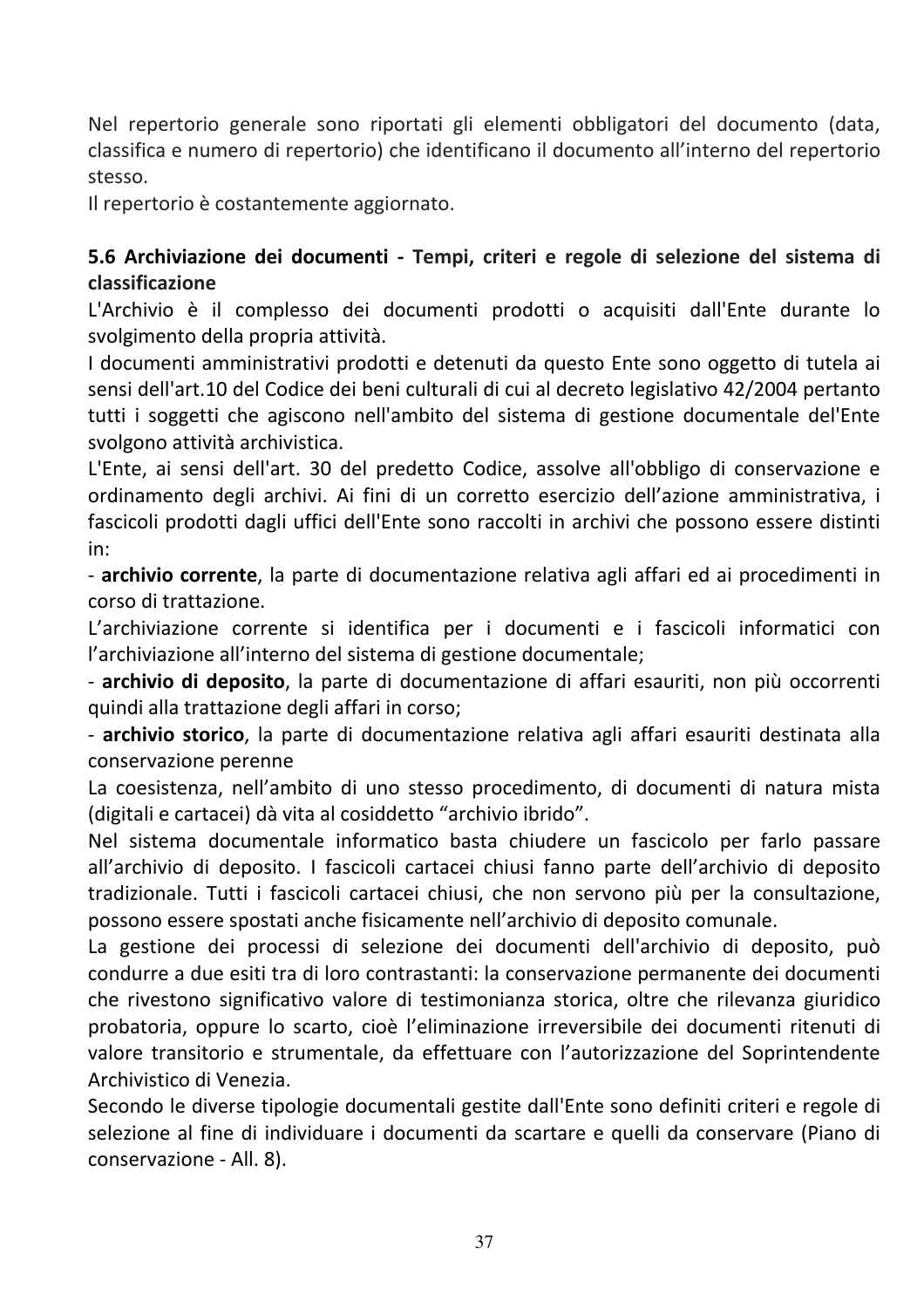Nel repertorio generale sono riportati gli elementi obbligatori del documento (data, classifica e numero di repertorio) che identificano il documento all'interno del repertorio stesso.

Il repertorio è costantemente aggiornato.

#### 5.6 Archiviazione dei documenti - Tempi, criteri e regole di selezione del sistema di classificazione

L'Archivio è il complesso dei documenti prodotti o acquisiti dall'Ente durante lo svolgimento della propria attività.

I documenti amministrativi prodotti e detenuti da questo Ente sono oggetto di tutela ai sensi dell'art.10 del Codice dei beni culturali di cui al decreto legislativo 42/2004 pertanto tutti i soggetti che agiscono nell'ambito del sistema di gestione documentale del'Ente svolgono attività archivistica.

L'Ente, ai sensi dell'art. 30 del predetto Codice, assolve all'obbligo di conservazione e ordinamento degli archivi. Ai fini di un corretto esercizio dell'azione amministrativa, i fascicoli prodotti dagli uffici dell'Ente sono raccolti in archivi che possono essere distinti in:

- archivio corrente, la parte di documentazione relativa agli affari ed ai procedimenti in corso di trattazione.

L'archiviazione corrente si identifica per i documenti e i fascicoli informatici con l'archiviazione all'interno del sistema di gestione documentale;

- archivio di deposito, la parte di documentazione di affari esauriti, non più occorrenti quindi alla trattazione degli affari in corso;

- archivio storico, la parte di documentazione relativa agli affari esauriti destinata alla conservazione perenne

La coesistenza, nell'ambito di uno stesso procedimento, di documenti di natura mista (digitali e cartacei) dà vita al cosiddetto "archivio ibrido".

Nel sistema documentale informatico basta chiudere un fascicolo per farlo passare all'archivio di deposito. I fascicoli cartacei chiusi fanno parte dell'archivio di deposito tradizionale. Tutti i fascicoli cartacei chiusi, che non servono più per la consultazione. possono essere spostati anche fisicamente nell'archivio di deposito comunale.

La gestione dei processi di selezione dei documenti dell'archivio di deposito, può condurre a due esiti tra di loro contrastanti: la conservazione permanente dei documenti che rivestono significativo valore di testimonianza storica, oltre che rilevanza giuridico probatoria, oppure lo scarto, cioè l'eliminazione irreversibile dei documenti ritenuti di valore transitorio e strumentale, da effettuare con l'autorizzazione del Soprintendente Archivistico di Venezia.

Secondo le diverse tipologie documentali gestite dall'Ente sono definiti criteri e regole di selezione al fine di individuare i documenti da scartare e quelli da conservare (Piano di conservazione - All. 8).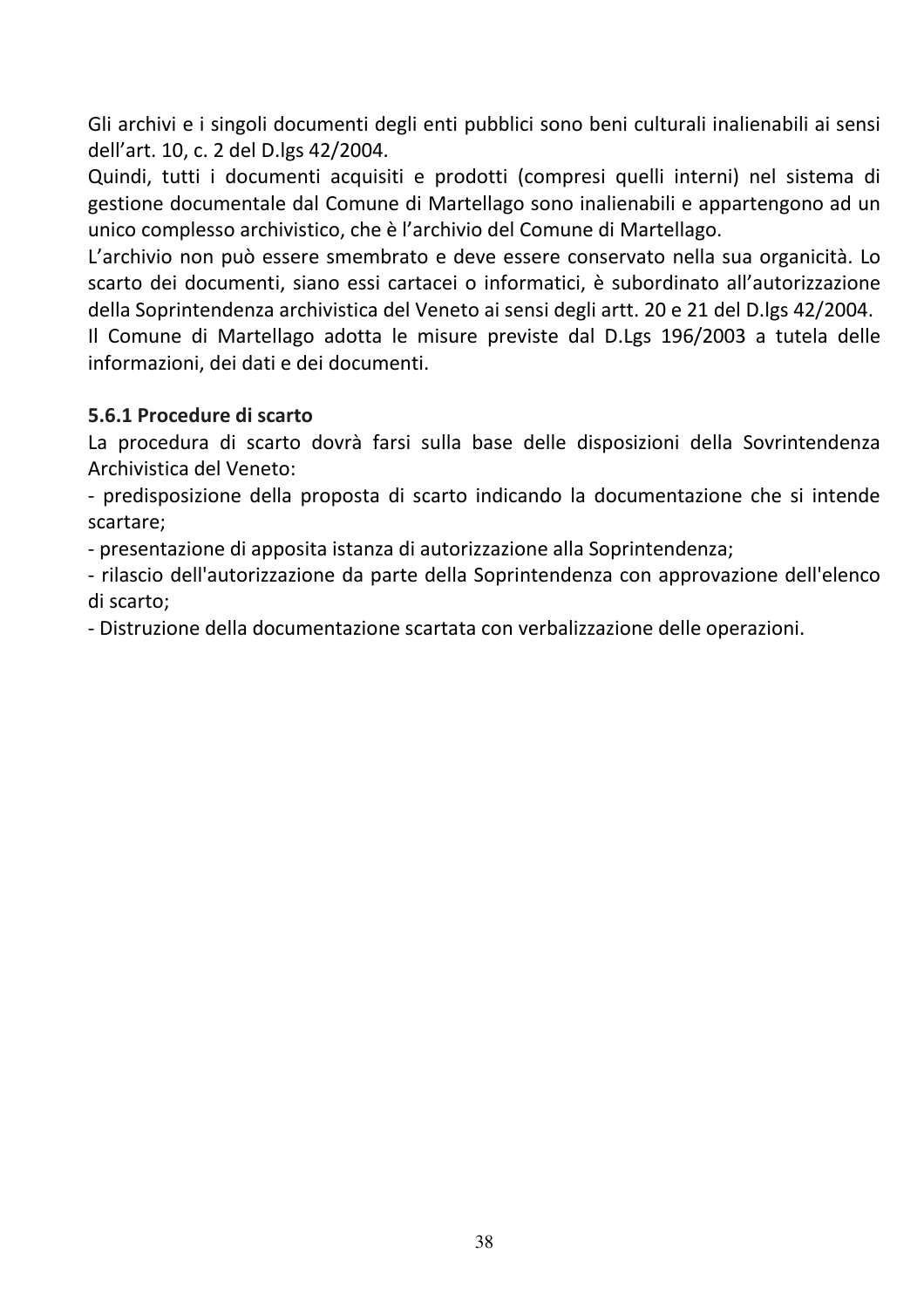Gli archivi e i singoli documenti degli enti pubblici sono beni culturali inalienabili ai sensi dell'art. 10, c. 2 del D.lgs 42/2004.

Quindi, tutti i documenti acquisiti e prodotti (compresi quelli interni) nel sistema di gestione documentale dal Comune di Martellago sono inalienabili e appartengono ad un unico complesso archivistico, che è l'archivio del Comune di Martellago.

L'archivio non può essere smembrato e deve essere conservato nella sua organicità. Lo scarto dei documenti, siano essi cartacei o informatici, è subordinato all'autorizzazione della Soprintendenza archivistica del Veneto ai sensi degli artt. 20 e 21 del D.lgs 42/2004.

Il Comune di Martellago adotta le misure previste dal D.Lgs 196/2003 a tutela delle informazioni, dei dati e dei documenti.

#### 5.6.1 Procedure di scarto

La procedura di scarto dovrà farsi sulla base delle disposizioni della Sovrintendenza Archivistica del Veneto:

- predisposizione della proposta di scarto indicando la documentazione che si intende scartare;

- presentazione di apposita istanza di autorizzazione alla Soprintendenza;

- rilascio dell'autorizzazione da parte della Soprintendenza con approvazione dell'elenco di scarto:

- Distruzione della documentazione scartata con verbalizzazione delle operazioni.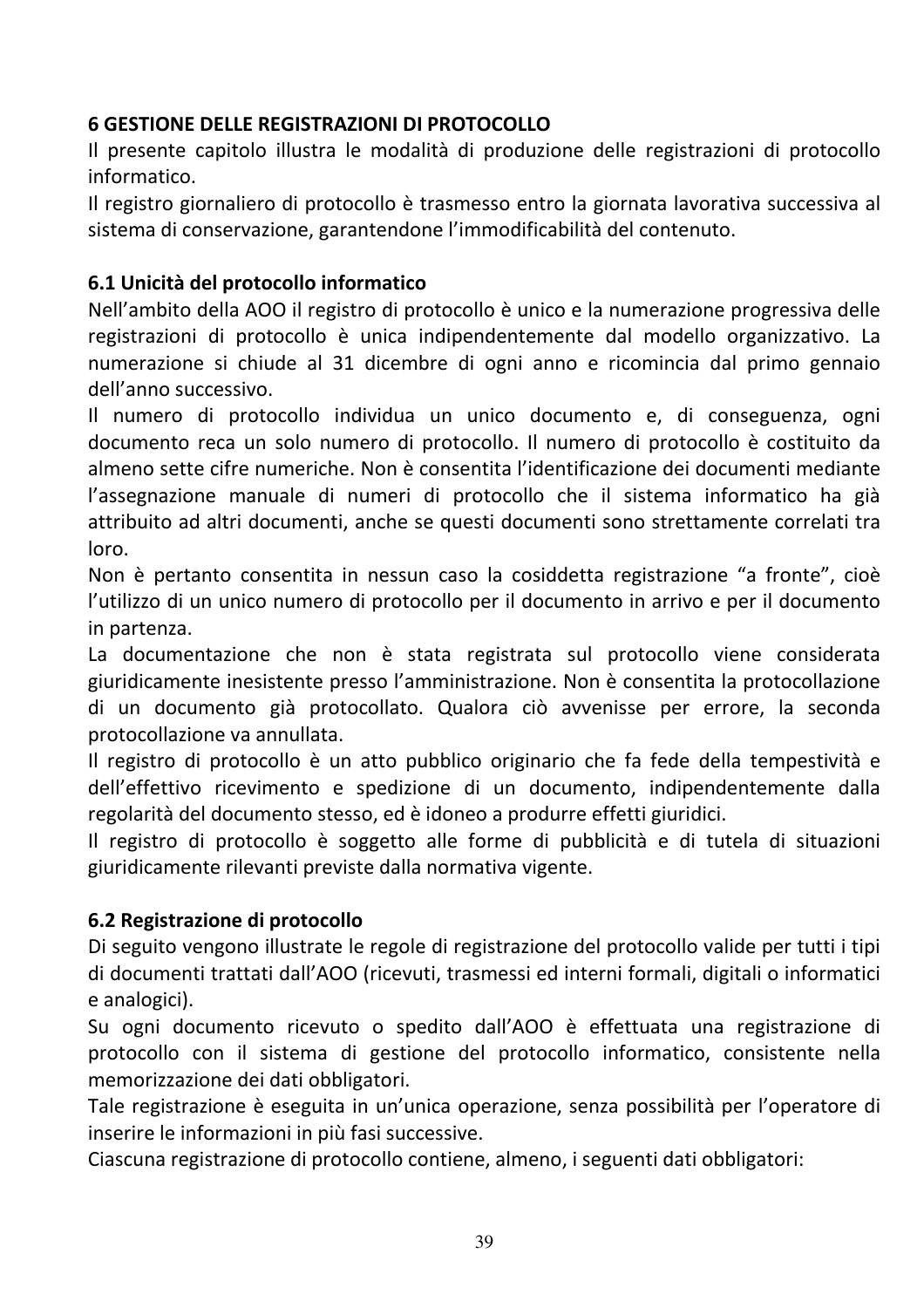# **6 GESTIONE DELLE REGISTRAZIONI DI PROTOCOLLO**

Il presente capitolo illustra le modalità di produzione delle registrazioni di protocollo informatico.

Il registro giornaliero di protocollo è trasmesso entro la giornata lavorativa successiva al sistema di conservazione, garantendone l'immodificabilità del contenuto.

# 6.1 Unicità del protocollo informatico

Nell'ambito della AOO il registro di protocollo è unico e la numerazione progressiva delle registrazioni di protocollo è unica indipendentemente dal modello organizzativo. La numerazione si chiude al 31 dicembre di ogni anno e ricomincia dal primo gennaio dell'anno successivo.

Il numero di protocollo individua un unico documento e, di conseguenza, ogni documento reca un solo numero di protocollo. Il numero di protocollo è costituito da almeno sette cifre numeriche. Non è consentita l'identificazione dei documenti mediante l'assegnazione manuale di numeri di protocollo che il sistema informatico ha già attribuito ad altri documenti, anche se questi documenti sono strettamente correlati tra loro.

Non è pertanto consentita in nessun caso la cosiddetta registrazione "a fronte", cioè l'utilizzo di un unico numero di protocollo per il documento in arrivo e per il documento in partenza.

La documentazione che non è stata registrata sul protocollo viene considerata giuridicamente inesistente presso l'amministrazione. Non è consentita la protocollazione di un documento già protocollato. Qualora ciò avvenisse per errore, la seconda protocollazione va annullata.

Il registro di protocollo è un atto pubblico originario che fa fede della tempestività e dell'effettivo ricevimento e spedizione di un documento, indipendentemente dalla regolarità del documento stesso, ed è idoneo a produrre effetti giuridici.

Il registro di protocollo è soggetto alle forme di pubblicità e di tutela di situazioni giuridicamente rilevanti previste dalla normativa vigente.

#### 6.2 Registrazione di protocollo

Di seguito vengono illustrate le regole di registrazione del protocollo valide per tutti i tipi di documenti trattati dall'AOO (ricevuti, trasmessi ed interni formali, digitali o informatici e analogici).

Su ogni documento ricevuto o spedito dall'AOO è effettuata una registrazione di protocollo con il sistema di gestione del protocollo informatico, consistente nella memorizzazione dei dati obbligatori.

Tale registrazione è eseguita in un'unica operazione, senza possibilità per l'operatore di inserire le informazioni in più fasi successive.

Ciascuna registrazione di protocollo contiene, almeno, i seguenti dati obbligatori: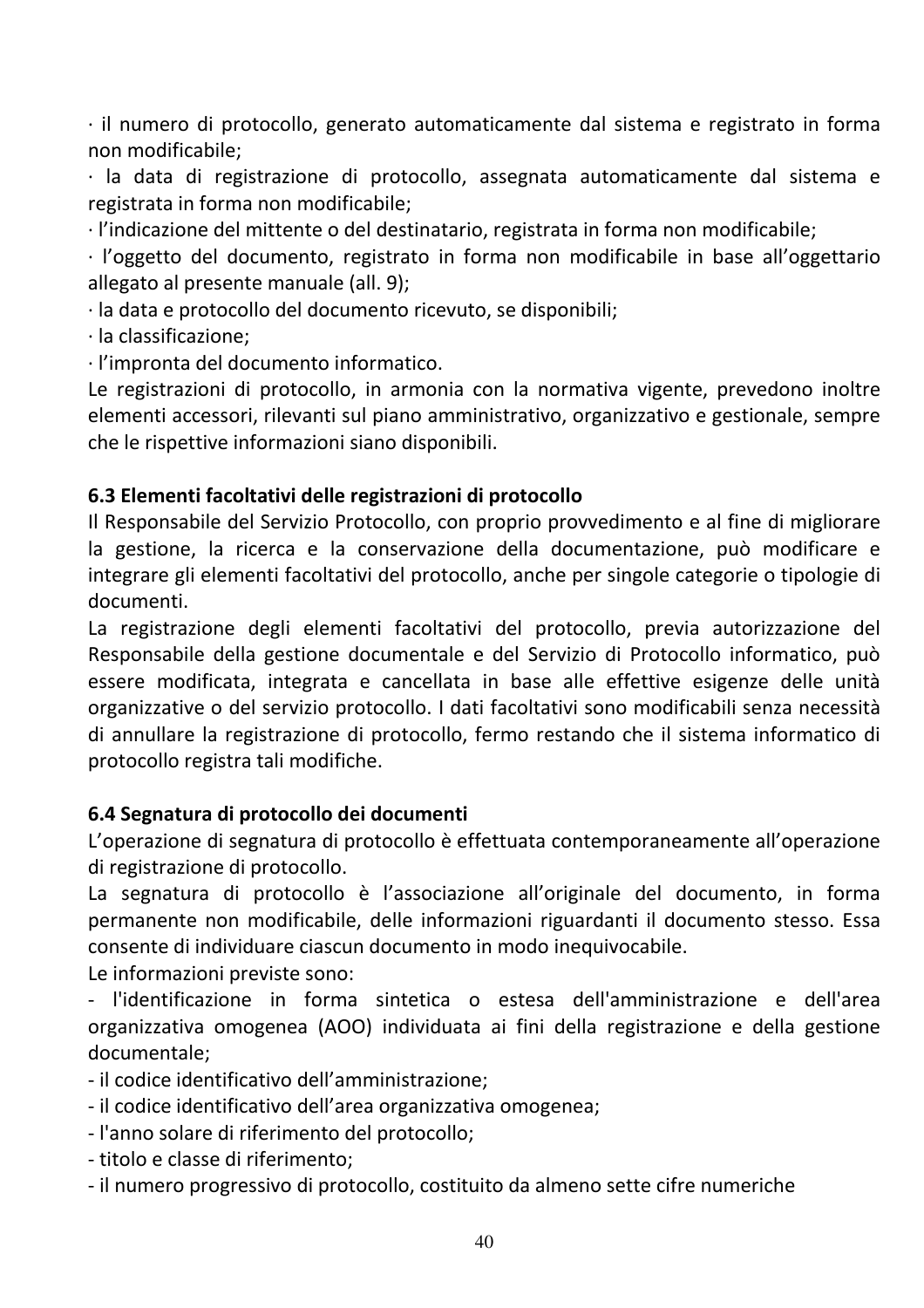· il numero di protocollo, generato automaticamente dal sistema e registrato in forma non modificabile:

· la data di registrazione di protocollo, assegnata automaticamente dal sistema e registrata in forma non modificabile;

· l'indicazione del mittente o del destinatario, registrata in forma non modificabile:

· l'oggetto del documento, registrato in forma non modificabile in base all'oggettario allegato al presente manuale (all. 9);

· la data e protocollo del documento ricevuto, se disponibili;

 $\cdot$  la classificazione:

· l'impronta del documento informatico.

Le registrazioni di protocollo, in armonia con la normativa vigente, prevedono inoltre elementi accessori, rilevanti sul piano amministrativo, organizzativo e gestionale, sempre che le rispettive informazioni siano disponibili.

#### 6.3 Elementi facoltativi delle registrazioni di protocollo

Il Responsabile del Servizio Protocollo, con proprio provvedimento e al fine di migliorare la gestione, la ricerca e la conservazione della documentazione, può modificare e integrare gli elementi facoltativi del protocollo, anche per singole categorie o tipologie di documenti.

La registrazione degli elementi facoltativi del protocollo, previa autorizzazione del Responsabile della gestione documentale e del Servizio di Protocollo informatico, può essere modificata, integrata e cancellata in base alle effettive esigenze delle unità organizzative o del servizio protocollo. I dati facoltativi sono modificabili senza necessità di annullare la registrazione di protocollo, fermo restando che il sistema informatico di protocollo registra tali modifiche.

#### 6.4 Segnatura di protocollo dei documenti

L'operazione di segnatura di protocollo è effettuata contemporaneamente all'operazione di registrazione di protocollo.

La segnatura di protocollo è l'associazione all'originale del documento, in forma permanente non modificabile, delle informazioni riguardanti il documento stesso. Essa consente di individuare ciascun documento in modo inequivocabile.

Le informazioni previste sono:

- l'identificazione in forma sintetica o estesa dell'amministrazione e dell'area organizzativa omogenea (AOO) individuata ai fini della registrazione e della gestione documentale:

- il codice identificativo dell'amministrazione;

- il codice identificativo dell'area organizzativa omogenea;

- l'anno solare di riferimento del protocollo;
- titolo e classe di riferimento:
- il numero progressivo di protocollo, costituito da almeno sette cifre numeriche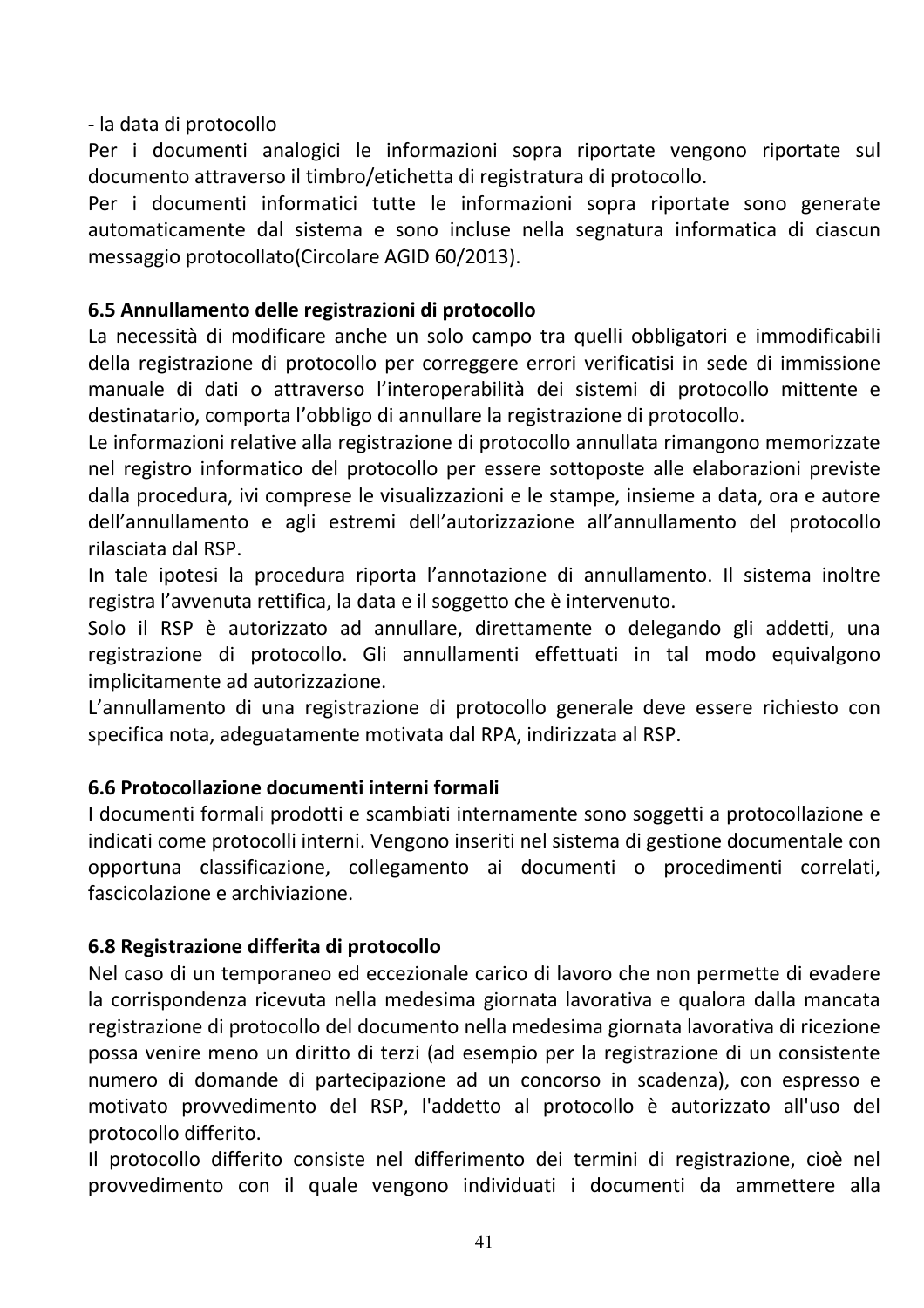- la data di protocollo

Per i documenti analogici le informazioni sopra riportate vengono riportate sul documento attraverso il timbro/etichetta di registratura di protocollo.

Per i documenti informatici tutte le informazioni sopra riportate sono generate automaticamente dal sistema e sono incluse nella segnatura informatica di ciascun messaggio protocollato (Circolare AGID 60/2013).

# 6.5 Annullamento delle registrazioni di protocollo

La necessità di modificare anche un solo campo tra quelli obbligatori e immodificabili della registrazione di protocollo per correggere errori verificatisi in sede di immissione manuale di dati o attraverso l'interoperabilità dei sistemi di protocollo mittente e destinatario, comporta l'obbligo di annullare la registrazione di protocollo.

Le informazioni relative alla registrazione di protocollo annullata rimangono memorizzate nel registro informatico del protocollo per essere sottoposte alle elaborazioni previste dalla procedura, ivi comprese le visualizzazioni e le stampe, insieme a data, ora e autore dell'annullamento e agli estremi dell'autorizzazione all'annullamento del protocollo rilasciata dal RSP.

In tale ipotesi la procedura riporta l'annotazione di annullamento. Il sistema inoltre registra l'avvenuta rettifica, la data e il soggetto che è intervenuto.

Solo il RSP è autorizzato ad annullare, direttamente o delegando gli addetti, una registrazione di protocollo. Gli annullamenti effettuati in tal modo equivalgono implicitamente ad autorizzazione.

L'annullamento di una registrazione di protocollo generale deve essere richiesto con specifica nota, adeguatamente motivata dal RPA, indirizzata al RSP.

#### 6.6 Protocollazione documenti interni formali

I documenti formali prodotti e scambiati internamente sono soggetti a protocollazione e indicati come protocolli interni. Vengono inseriti nel sistema di gestione documentale con opportuna classificazione, collegamento ai documenti o procedimenti correlati, fascicolazione e archiviazione.

#### 6.8 Registrazione differita di protocollo

Nel caso di un temporaneo ed eccezionale carico di lavoro che non permette di evadere la corrispondenza ricevuta nella medesima giornata lavorativa e qualora dalla mancata registrazione di protocollo del documento nella medesima giornata lavorativa di ricezione possa venire meno un diritto di terzi (ad esempio per la registrazione di un consistente numero di domande di partecipazione ad un concorso in scadenza), con espresso e motivato provvedimento del RSP, l'addetto al protocollo è autorizzato all'uso del protocollo differito.

Il protocollo differito consiste nel differimento dei termini di registrazione, cioè nel provvedimento con il quale vengono individuati i documenti da ammettere alla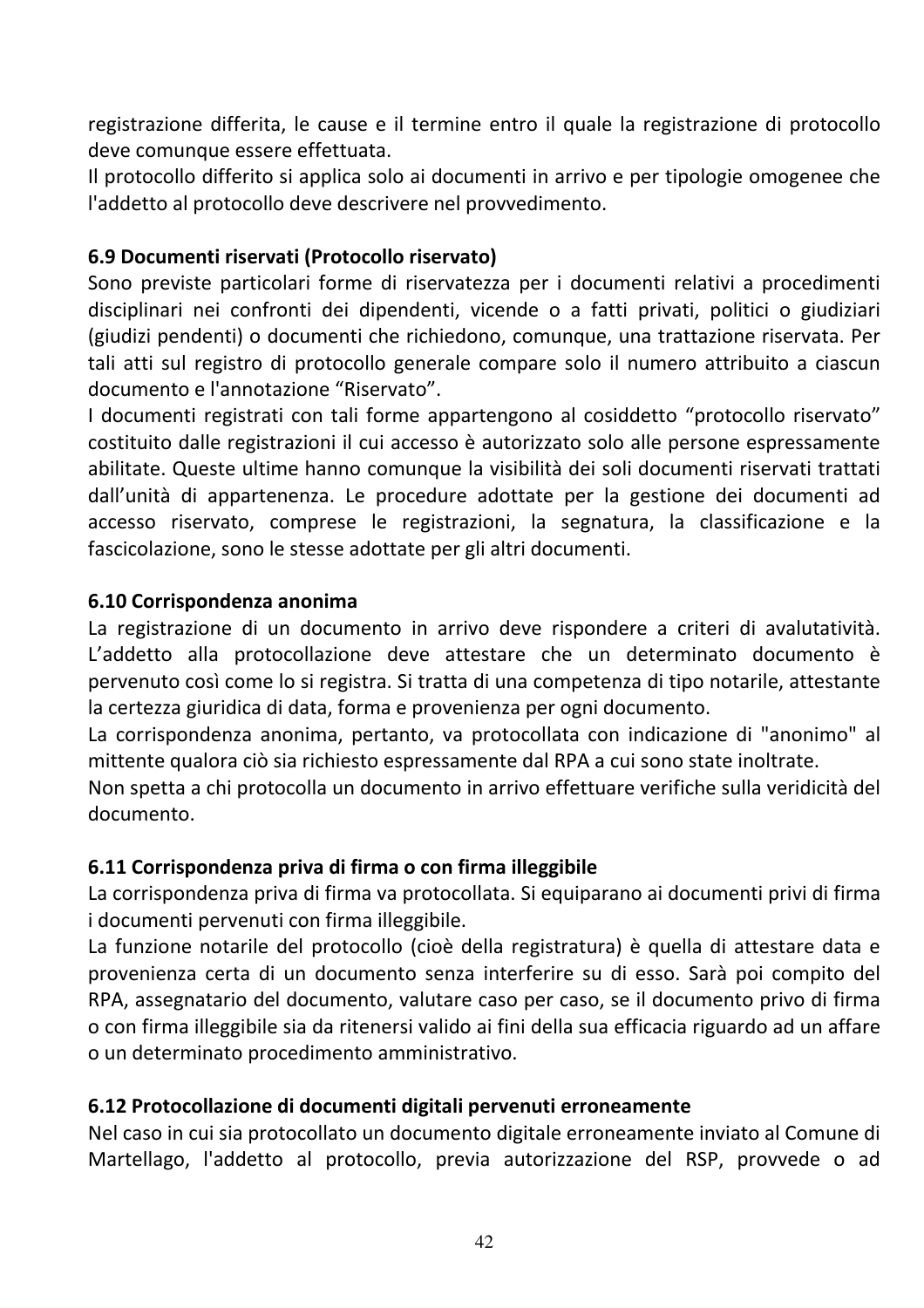registrazione differita, le cause e il termine entro il quale la registrazione di protocollo deve comunque essere effettuata.

Il protocollo differito si applica solo ai documenti in arrivo e per tipologie omogenee che l'addetto al protocollo deve descrivere nel provvedimento.

#### 6.9 Documenti riservati (Protocollo riservato)

Sono previste particolari forme di riservatezza per i documenti relativi a procedimenti disciplinari nei confronti dei dipendenti, vicende o a fatti privati, politici o giudiziari (giudizi pendenti) o documenti che richiedono, comunque, una trattazione riservata. Per tali atti sul registro di protocollo generale compare solo il numero attribuito a ciascun documento e l'annotazione "Riservato".

I documenti registrati con tali forme appartengono al cosiddetto "protocollo riservato" costituito dalle registrazioni il cui accesso è autorizzato solo alle persone espressamente abilitate. Queste ultime hanno comunque la visibilità dei soli documenti riservati trattati dall'unità di appartenenza. Le procedure adottate per la gestione dei documenti ad accesso riservato, comprese le registrazioni, la segnatura, la classificazione e la fascicolazione, sono le stesse adottate per gli altri documenti.

#### 6.10 Corrispondenza anonima

La registrazione di un documento in arrivo deve rispondere a criteri di avalutatività. L'addetto alla protocollazione deve attestare che un determinato documento è pervenuto così come lo si registra. Si tratta di una competenza di tipo notarile, attestante la certezza giuridica di data, forma e provenienza per ogni documento.

La corrispondenza anonima, pertanto, va protocollata con indicazione di "anonimo" al mittente qualora ciò sia richiesto espressamente dal RPA a cui sono state inoltrate.

Non spetta a chi protocolla un documento in arrivo effettuare verifiche sulla veridicità del documento.

#### 6.11 Corrispondenza priva di firma o con firma illeggibile

La corrispondenza priva di firma va protocollata. Si equiparano ai documenti privi di firma i documenti pervenuti con firma illeggibile.

La funzione notarile del protocollo (cioè della registratura) è quella di attestare data e provenienza certa di un documento senza interferire su di esso. Sarà poi compito del RPA, assegnatario del documento, valutare caso per caso, se il documento privo di firma o con firma illeggibile sia da ritenersi valido ai fini della sua efficacia riguardo ad un affare o un determinato procedimento amministrativo.

#### 6.12 Protocollazione di documenti digitali pervenuti erroneamente

Nel caso in cui sia protocollato un documento digitale erroneamente inviato al Comune di Martellago, l'addetto al protocollo, previa autorizzazione del RSP, provvede o ad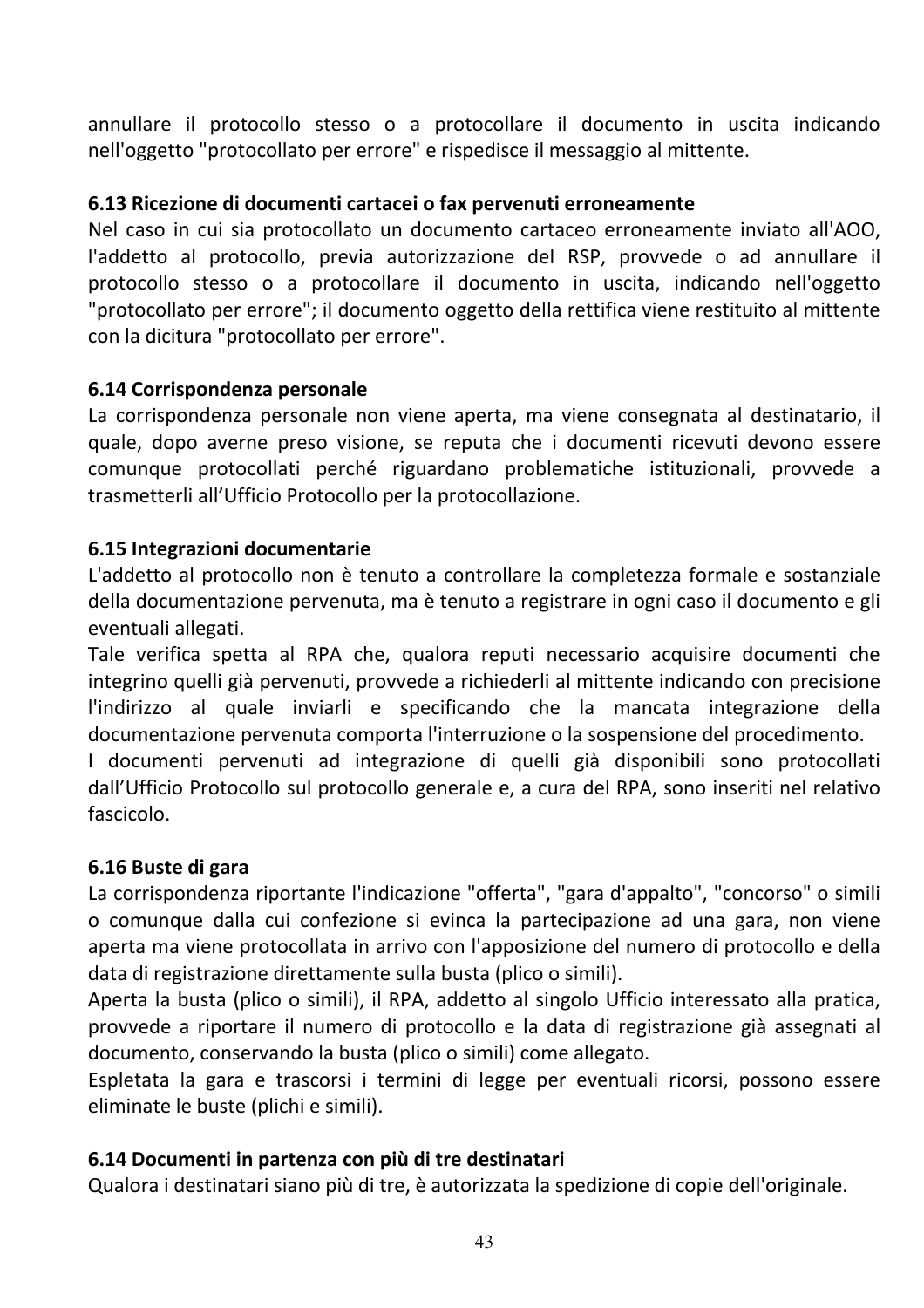annullare il protocollo stesso o a protocollare il documento in uscita indicando nell'oggetto "protocollato per errore" e rispedisce il messaggio al mittente.

#### 6.13 Ricezione di documenti cartacei o fax pervenuti erroneamente

Nel caso in cui sia protocollato un documento cartaceo erroneamente inviato all'AOO. l'addetto al protocollo, previa autorizzazione del RSP, provvede o ad annullare il protocollo stesso o a protocollare il documento in uscita, indicando nell'oggetto "protocollato per errore"; il documento oggetto della rettifica viene restituito al mittente con la dicitura "protocollato per errore".

#### 6.14 Corrispondenza personale

La corrispondenza personale non viene aperta, ma viene consegnata al destinatario, il quale, dopo averne preso visione, se reputa che i documenti ricevuti devono essere comunque protocollati perché riguardano problematiche istituzionali, provvede a trasmetterli all'Ufficio Protocollo per la protocollazione.

#### 6.15 Integrazioni documentarie

L'addetto al protocollo non è tenuto a controllare la completezza formale e sostanziale della documentazione pervenuta, ma è tenuto a registrare in ogni caso il documento e gli eventuali allegati.

Tale verifica spetta al RPA che, qualora reputi necessario acquisire documenti che integrino quelli già pervenuti, provvede a richiederli al mittente indicando con precisione l'indirizzo al quale inviarli e specificando che la mancata integrazione della documentazione pervenuta comporta l'interruzione o la sospensione del procedimento.

I documenti pervenuti ad integrazione di quelli già disponibili sono protocollati dall'Ufficio Protocollo sul protocollo generale e, a cura del RPA, sono inseriti nel relativo fascicolo.

#### 6.16 Buste di gara

La corrispondenza riportante l'indicazione "offerta", "gara d'appalto", "concorso" o simili o comunque dalla cui confezione si evinca la partecipazione ad una gara, non viene aperta ma viene protocollata in arrivo con l'apposizione del numero di protocollo e della data di registrazione direttamente sulla busta (plico o simili).

Aperta la busta (plico o simili), il RPA, addetto al singolo Ufficio interessato alla pratica, provvede a riportare il numero di protocollo e la data di registrazione già assegnati al documento, conservando la busta (plico o simili) come allegato.

Espletata la gara e trascorsi i termini di legge per eventuali ricorsi, possono essere eliminate le buste (plichi e simili).

#### 6.14 Documenti in partenza con più di tre destinatari

Qualora i destinatari siano più di tre, è autorizzata la spedizione di copie dell'originale.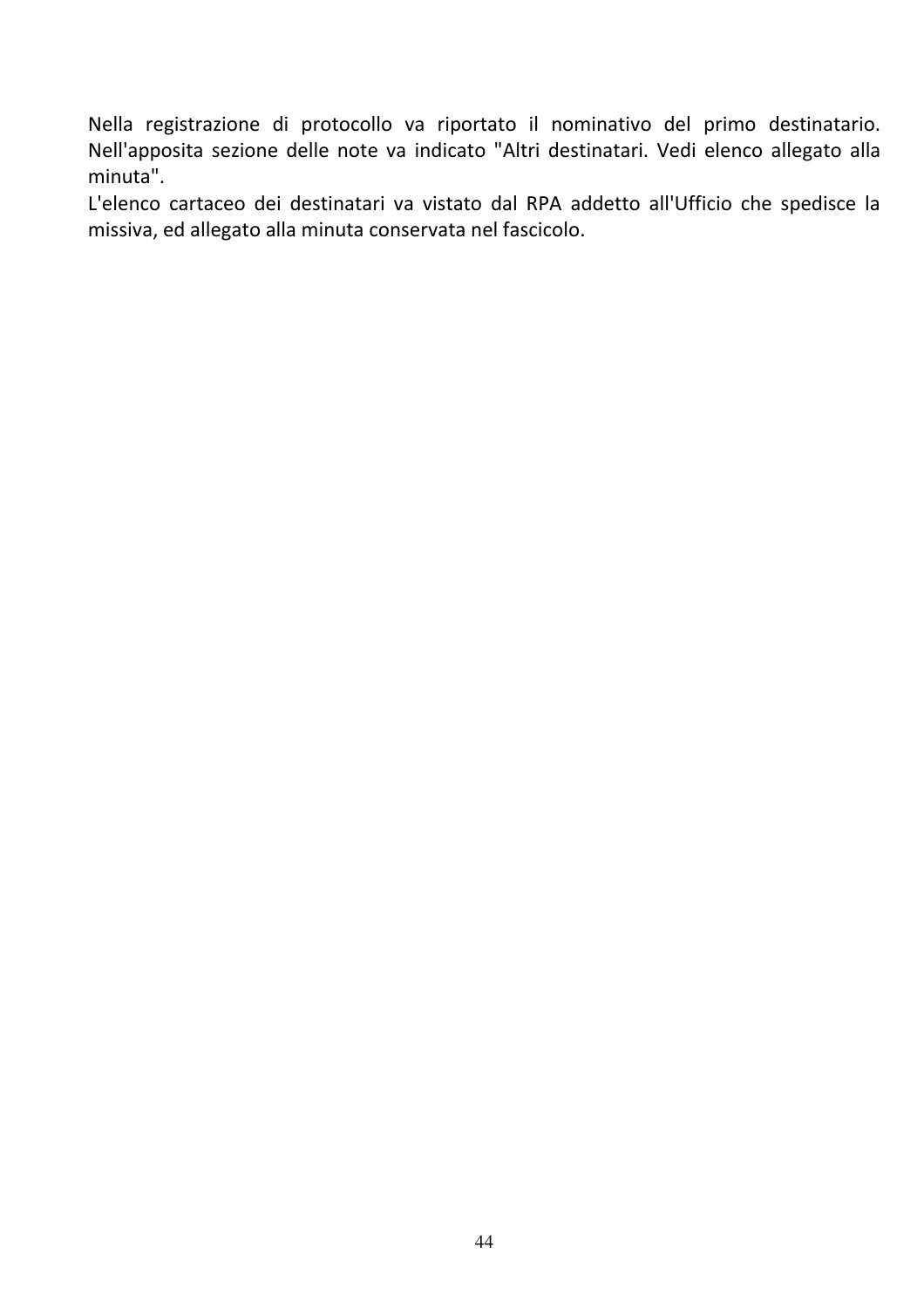Nella registrazione di protocollo va riportato il nominativo del primo destinatario. Nell'apposita sezione delle note va indicato "Altri destinatari. Vedi elenco allegato alla minuta".

L'elenco cartaceo dei destinatari va vistato dal RPA addetto all'Ufficio che spedisce la missiva, ed allegato alla minuta conservata nel fascicolo.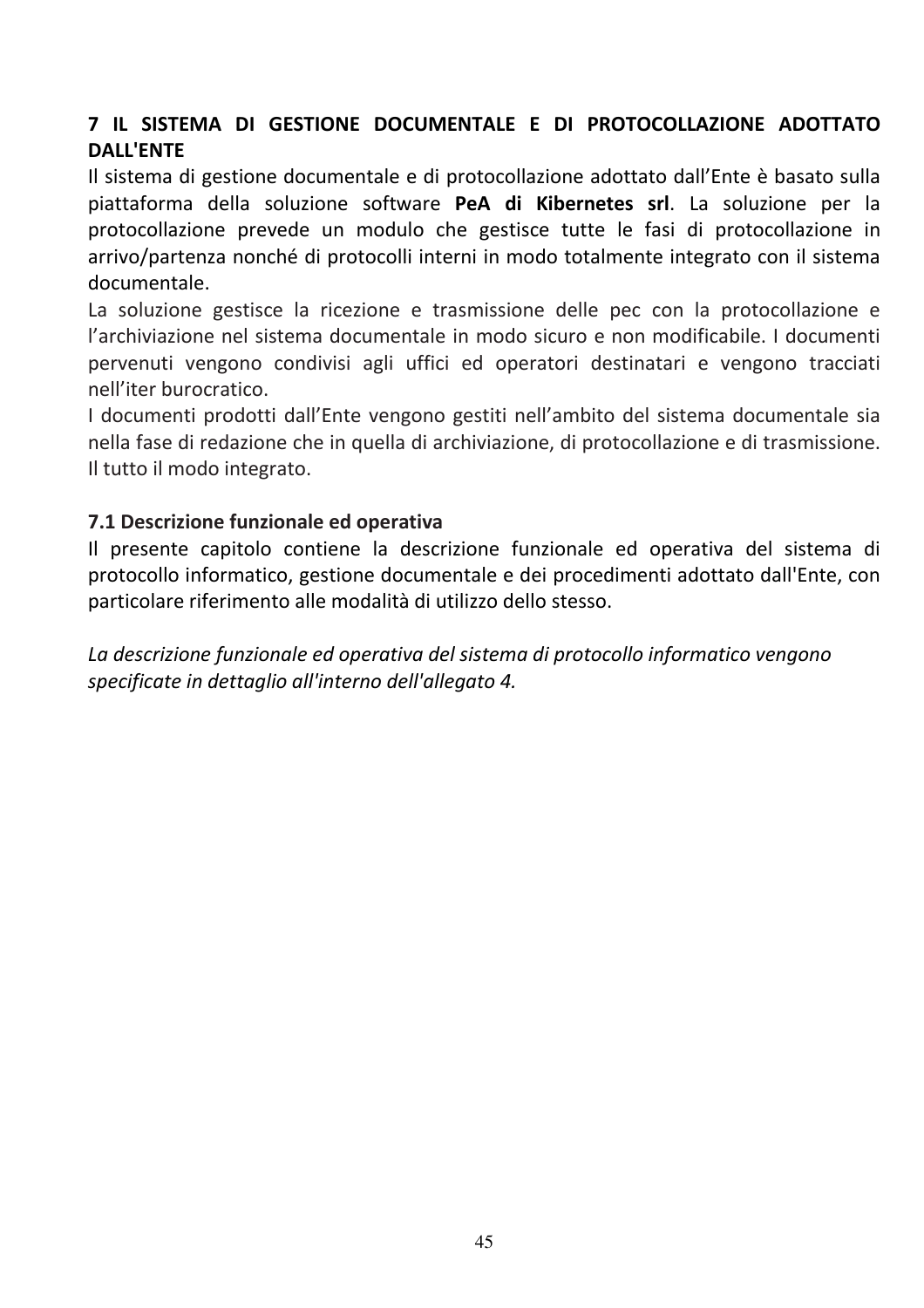# 7 IL SISTEMA DI GESTIONE DOCUMENTALE E DI PROTOCOLLAZIONE ADOTTATO **DALL'ENTE**

Il sistema di gestione documentale e di protocollazione adottato dall'Ente è basato sulla piattaforma della soluzione software PeA di Kibernetes srl. La soluzione per la protocollazione prevede un modulo che gestisce tutte le fasi di protocollazione in arrivo/partenza nonché di protocolli interni in modo totalmente integrato con il sistema documentale.

La soluzione gestisce la ricezione e trasmissione delle pec con la protocollazione e l'archiviazione nel sistema documentale in modo sicuro e non modificabile. I documenti pervenuti vengono condivisi agli uffici ed operatori destinatari e vengono tracciati nell'iter burocratico

I documenti prodotti dall'Ente vengono gestiti nell'ambito del sistema documentale sia nella fase di redazione che in quella di archiviazione, di protocollazione e di trasmissione. Il tutto il modo integrato.

#### 7.1 Descrizione funzionale ed operativa

Il presente capitolo contiene la descrizione funzionale ed operativa del sistema di protocollo informatico, gestione documentale e dei procedimenti adottato dall'Ente, con particolare riferimento alle modalità di utilizzo dello stesso.

La descrizione funzionale ed operativa del sistema di protocollo informatico vengono specificate in dettaglio all'interno dell'allegato 4.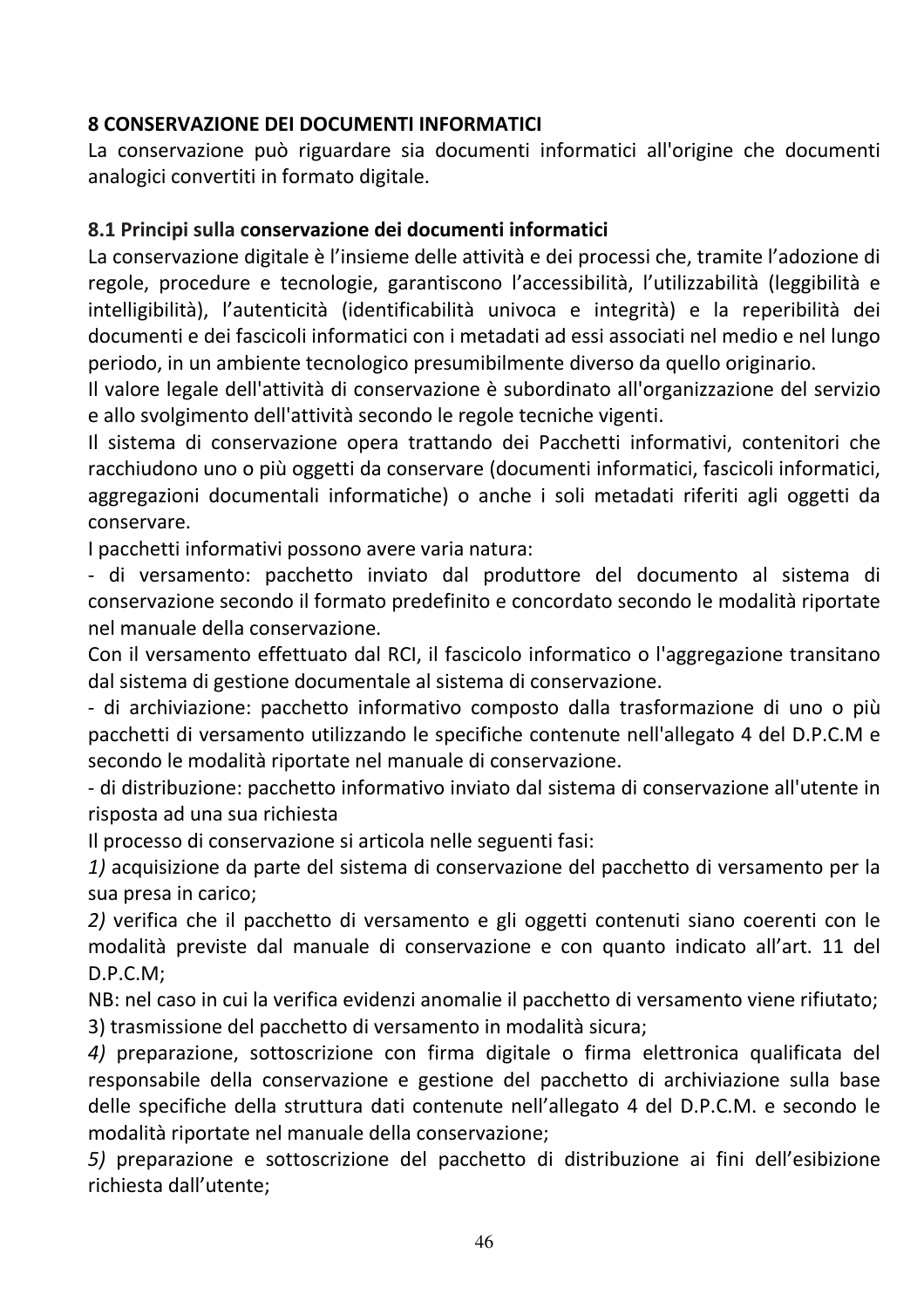#### **8 CONSERVAZIONE DEI DOCUMENTI INFORMATICI**

La conservazione può riguardare sia documenti informatici all'origine che documenti analogici convertiti in formato digitale.

#### 8.1 Principi sulla conservazione dei documenti informatici

La conservazione digitale è l'insieme delle attività e dei processi che, tramite l'adozione di regole, procedure e tecnologie, garantiscono l'accessibilità, l'utilizzabilità (leggibilità e intelligibilità), l'autenticità (identificabilità univoca e integrità) e la reperibilità dei documenti e dei fascicoli informatici con i metadati ad essi associati nel medio e nel lungo periodo, in un ambiente tecnologico presumibilmente diverso da quello originario.

Il valore legale dell'attività di conservazione è subordinato all'organizzazione del servizio e allo svolgimento dell'attività secondo le regole tecniche vigenti.

Il sistema di conservazione opera trattando dei Pacchetti informativi, contenitori che racchiudono uno o più oggetti da conservare (documenti informatici, fascicoli informatici, aggregazioni documentali informatiche) o anche i soli metadati riferiti agli oggetti da conservare.

I pacchetti informativi possono avere varia natura:

- di versamento: pacchetto inviato dal produttore del documento al sistema di conservazione secondo il formato predefinito e concordato secondo le modalità riportate nel manuale della conservazione.

Con il versamento effettuato dal RCI, il fascicolo informatico o l'aggregazione transitano dal sistema di gestione documentale al sistema di conservazione.

- di archiviazione: pacchetto informativo composto dalla trasformazione di uno o più pacchetti di versamento utilizzando le specifiche contenute nell'allegato 4 del D.P.C.M e secondo le modalità riportate nel manuale di conservazione.

- di distribuzione: pacchetto informativo inviato dal sistema di conservazione all'utente in risposta ad una sua richiesta

Il processo di conservazione si articola nelle seguenti fasi:

1) acquisizione da parte del sistema di conservazione del pacchetto di versamento per la sua presa in carico:

2) verifica che il pacchetto di versamento e gli oggetti contenuti siano coerenti con le modalità previste dal manuale di conservazione e con quanto indicato all'art. 11 del  $D.P.C.M;$ 

NB: nel caso in cui la verifica evidenzi anomalie il pacchetto di versamento viene rifiutato; 3) trasmissione del pacchetto di versamento in modalità sicura;

4) preparazione, sottoscrizione con firma digitale o firma elettronica qualificata del responsabile della conservazione e gestione del pacchetto di archiviazione sulla base delle specifiche della struttura dati contenute nell'allegato 4 del D.P.C.M. e secondo le modalità riportate nel manuale della conservazione;

5) preparazione e sottoscrizione del pacchetto di distribuzione ai fini dell'esibizione richiesta dall'utente;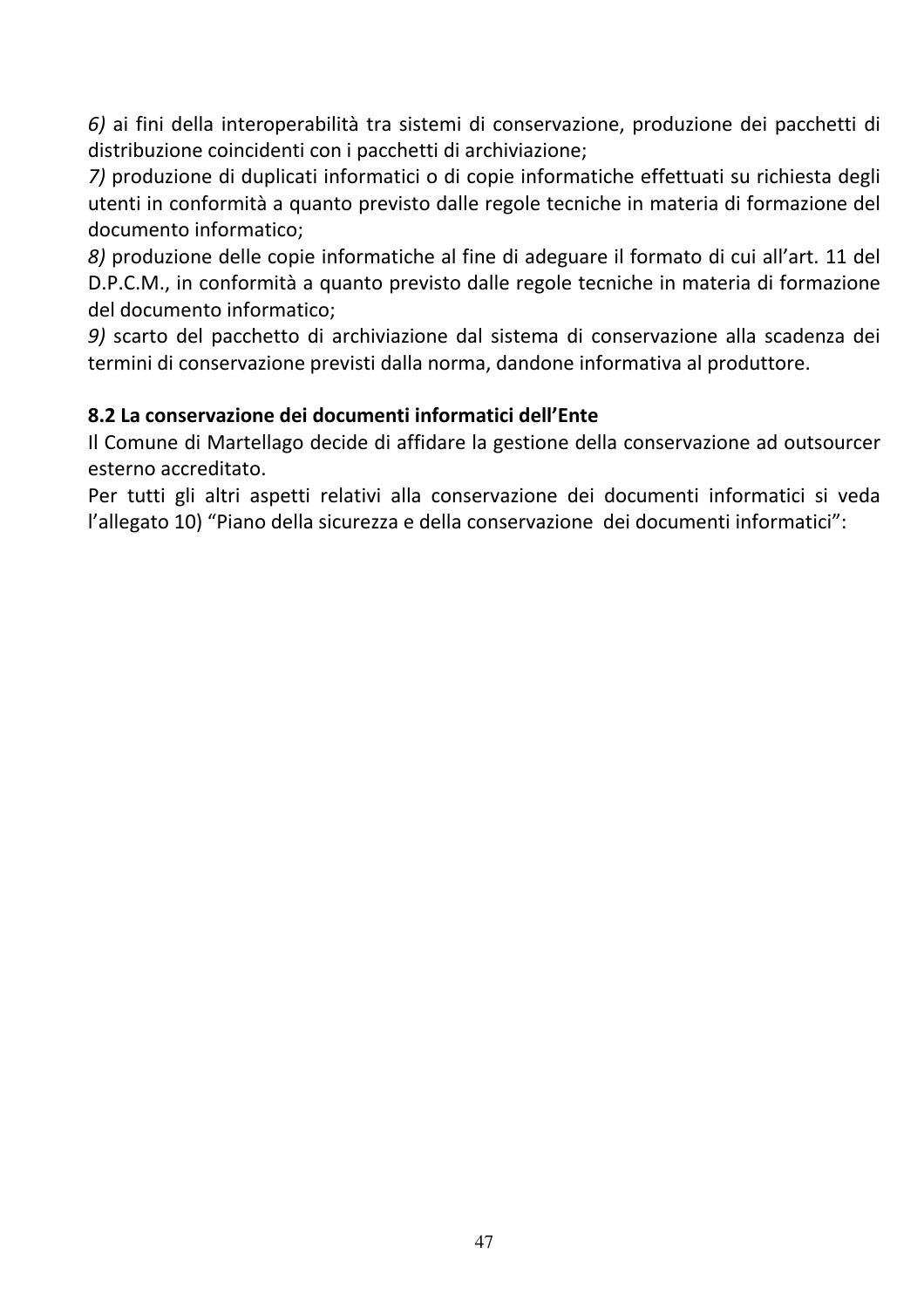6) ai fini della interoperabilità tra sistemi di conservazione, produzione dei pacchetti di distribuzione coincidenti con i pacchetti di archiviazione;

7) produzione di duplicati informatici o di copie informatiche effettuati su richiesta degli utenti in conformità a quanto previsto dalle regole tecniche in materia di formazione del documento informatico:

8) produzione delle copie informatiche al fine di adeguare il formato di cui all'art. 11 del D.P.C.M., in conformità a quanto previsto dalle regole tecniche in materia di formazione del documento informatico:

9) scarto del pacchetto di archiviazione dal sistema di conservazione alla scadenza dei termini di conservazione previsti dalla norma, dandone informativa al produttore.

#### 8.2 La conservazione dei documenti informatici dell'Ente

Il Comune di Martellago decide di affidare la gestione della conservazione ad outsourcer esterno accreditato.

Per tutti gli altri aspetti relativi alla conservazione dei documenti informatici si veda l'allegato 10) "Piano della sicurezza e della conservazione dei documenti informatici":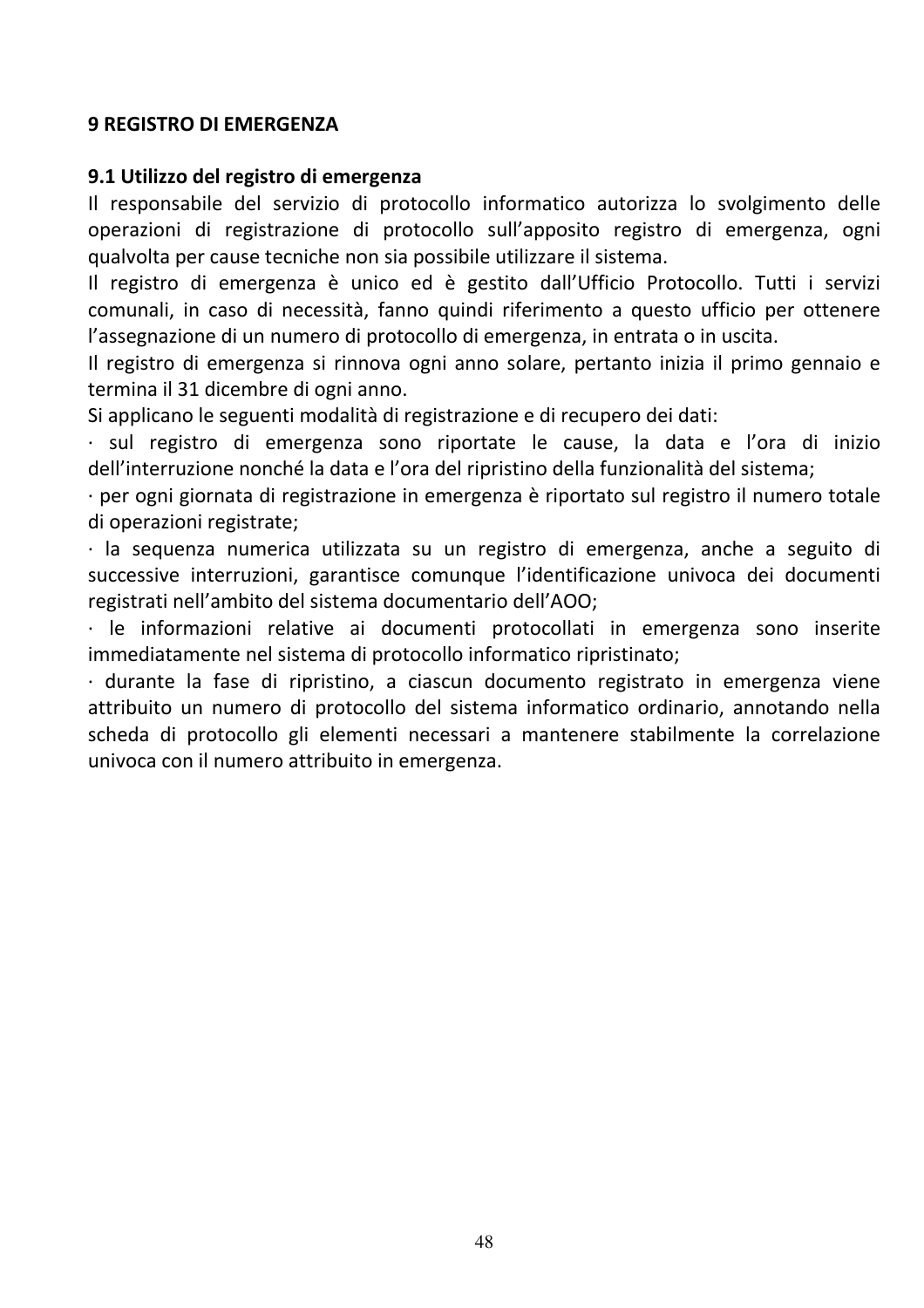#### **9 REGISTRO DI EMERGENZA**

#### 9.1 Utilizzo del registro di emergenza

Il responsabile del servizio di protocollo informatico autorizza lo svolgimento delle operazioni di registrazione di protocollo sull'apposito registro di emergenza, ogni qualvolta per cause tecniche non sia possibile utilizzare il sistema.

Il registro di emergenza è unico ed è gestito dall'Ufficio Protocollo. Tutti i servizi comunali, in caso di necessità, fanno quindi riferimento a questo ufficio per ottenere l'assegnazione di un numero di protocollo di emergenza, in entrata o in uscita.

Il registro di emergenza si rinnova ogni anno solare, pertanto inizia il primo gennaio e termina il 31 dicembre di ogni anno.

Si applicano le seguenti modalità di registrazione e di recupero dei dati:

· sul registro di emergenza sono riportate le cause, la data e l'ora di inizio dell'interruzione nonché la data e l'ora del ripristino della funzionalità del sistema;

· per ogni giornata di registrazione in emergenza è riportato sul registro il numero totale di operazioni registrate;

 $\cdot$  la sequenza numerica utilizzata su un registro di emergenza, anche a seguito di successive interruzioni, garantisce comunque l'identificazione univoca dei documenti registrati nell'ambito del sistema documentario dell'AOO;

· le informazioni relative ai documenti protocollati in emergenza sono inserite immediatamente nel sistema di protocollo informatico ripristinato;

· durante la fase di ripristino, a ciascun documento registrato in emergenza viene attribuito un numero di protocollo del sistema informatico ordinario, annotando nella scheda di protocollo gli elementi necessari a mantenere stabilmente la correlazione univoca con il numero attribuito in emergenza.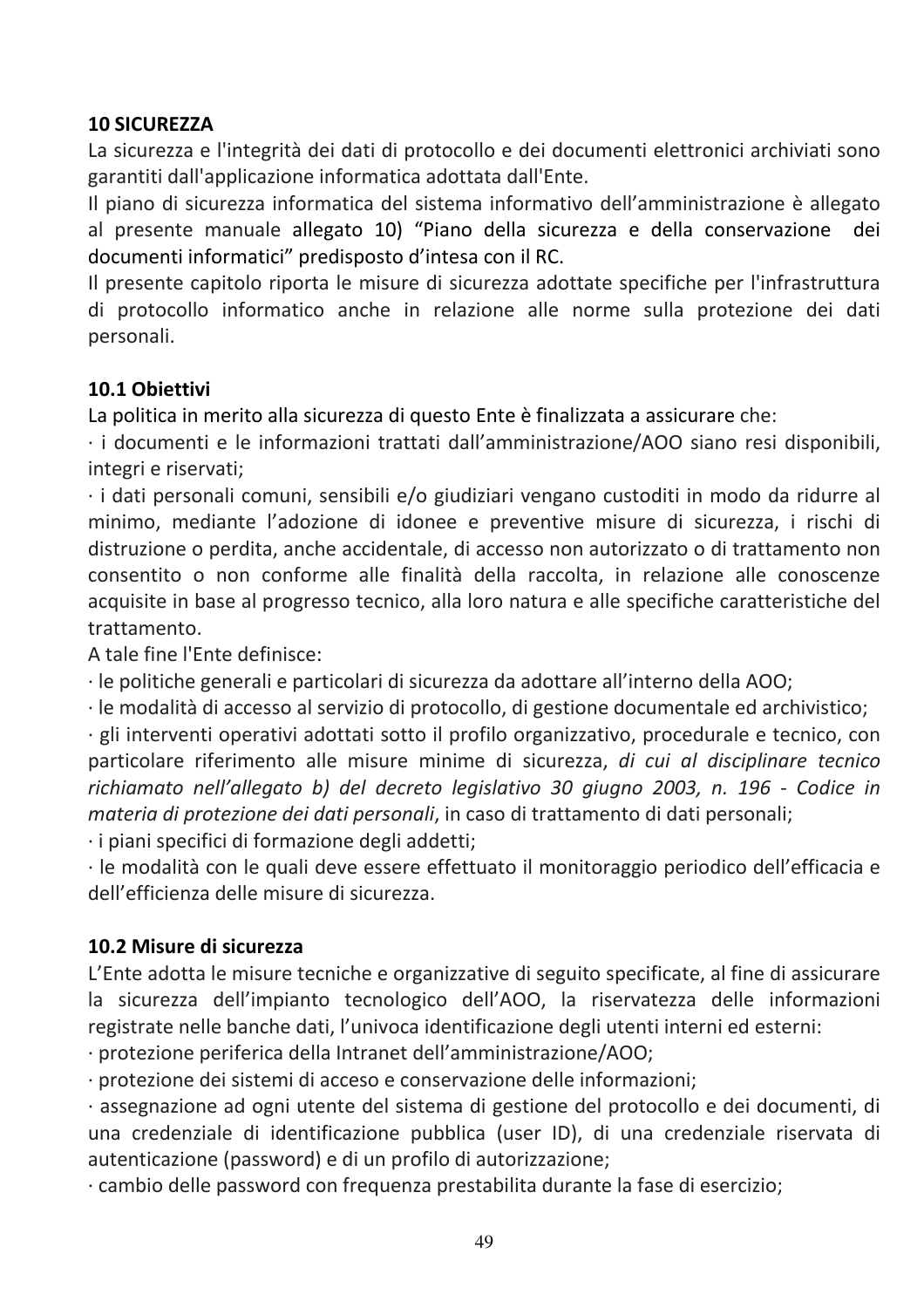#### **10 SICUREZZA**

La sicurezza e l'integrità dei dati di protocollo e dei documenti elettronici archiviati sono garantiti dall'applicazione informatica adottata dall'Ente.

Il piano di sicurezza informatica del sistema informativo dell'amministrazione è allegato al presente manuale allegato 10) "Piano della sicurezza e della conservazione dei documenti informatici" predisposto d'intesa con il RC.

Il presente capitolo riporta le misure di sicurezza adottate specifiche per l'infrastruttura di protocollo informatico anche in relazione alle norme sulla protezione dei dati personali.

#### 10.1 Obiettivi

La politica in merito alla sicurezza di questo Ente è finalizzata a assicurare che:

· i documenti e le informazioni trattati dall'amministrazione/AOO siano resi disponibili, integri e riservati:

· i dati personali comuni, sensibili e/o giudiziari vengano custoditi in modo da ridurre al minimo, mediante l'adozione di idonee e preventive misure di sicurezza, i rischi di distruzione o perdita, anche accidentale, di accesso non autorizzato o di trattamento non consentito o non conforme alle finalità della raccolta, in relazione alle conoscenze acquisite in base al progresso tecnico, alla loro natura e alle specifiche caratteristiche del trattamento

A tale fine l'Ente definisce:

· le politiche generali e particolari di sicurezza da adottare all'interno della AOO;

· le modalità di accesso al servizio di protocollo, di gestione documentale ed archivistico;

· gli interventi operativi adottati sotto il profilo organizzativo, procedurale e tecnico, con particolare riferimento alle misure minime di sicurezza, di cui al disciplinare tecnico richiamato nell'allegato b) del decreto legislativo 30 giugno 2003, n. 196 - Codice in materia di protezione dei dati personali, in caso di trattamento di dati personali;

· i piani specifici di formazione degli addetti;

· le modalità con le quali deve essere effettuato il monitoraggio periodico dell'efficacia e dell'efficienza delle misure di sicurezza.

#### 10.2 Misure di sicurezza

L'Ente adotta le misure tecniche e organizzative di seguito specificate, al fine di assicurare la sicurezza dell'impianto tecnologico dell'AOO, la riservatezza delle informazioni registrate nelle banche dati, l'univoca identificazione degli utenti interni ed esterni:

· protezione periferica della Intranet dell'amministrazione/AOO;

· protezione dei sistemi di acceso e conservazione delle informazioni;

· assegnazione ad ogni utente del sistema di gestione del protocollo e dei documenti, di una credenziale di identificazione pubblica (user ID), di una credenziale riservata di autenticazione (password) e di un profilo di autorizzazione;

· cambio delle password con frequenza prestabilita durante la fase di esercizio;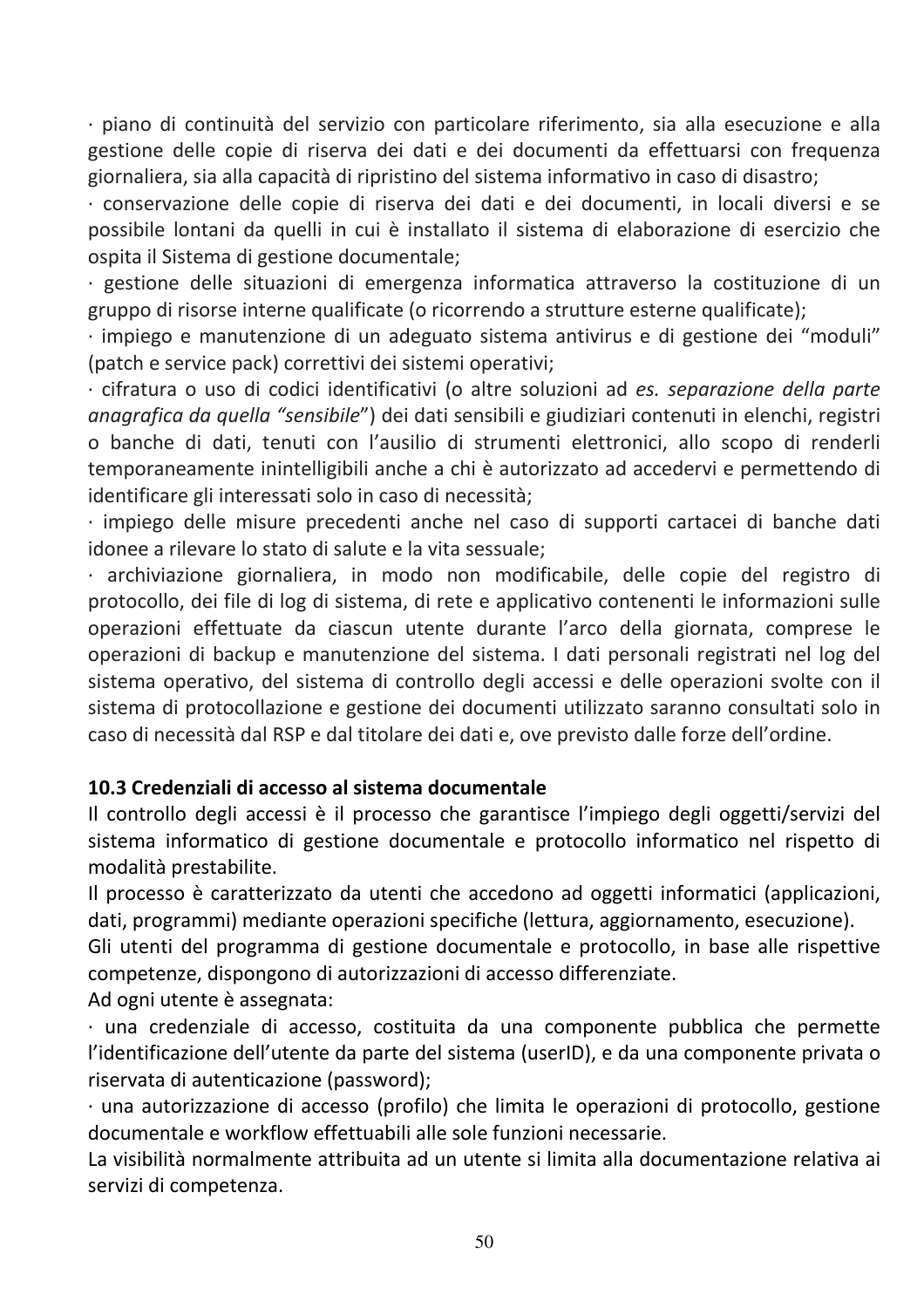· piano di continuità del servizio con particolare riferimento, sia alla esecuzione e alla gestione delle copie di riserva dei dati e dei documenti da effettuarsi con frequenza giornaliera, sia alla capacità di ripristino del sistema informativo in caso di disastro;

· conservazione delle copie di riserva dei dati e dei documenti, in locali diversi e se possibile lontani da quelli in cui è installato il sistema di elaborazione di esercizio che ospita il Sistema di gestione documentale;

· gestione delle situazioni di emergenza informatica attraverso la costituzione di un gruppo di risorse interne qualificate (o ricorrendo a strutture esterne qualificate);

· impiego e manutenzione di un adeguato sistema antivirus e di gestione dei "moduli" (patch e service pack) correttivi dei sistemi operativi;

· cifratura o uso di codici identificativi (o altre soluzioni ad es. separazione della parte anagrafica da quella "sensibile") dei dati sensibili e giudiziari contenuti in elenchi, registri o banche di dati, tenuti con l'ausilio di strumenti elettronici, allo scopo di renderli temporaneamente inintelligibili anche a chi è autorizzato ad accedervi e permettendo di identificare gli interessati solo in caso di necessità;

· impiego delle misure precedenti anche nel caso di supporti cartacei di banche dati idonee a rilevare lo stato di salute e la vita sessuale;

· archiviazione giornaliera, in modo non modificabile, delle copie del registro di protocollo, dei file di log di sistema, di rete e applicativo contenenti le informazioni sulle operazioni effettuate da ciascun utente durante l'arco della giornata, comprese le operazioni di backup e manutenzione del sistema. I dati personali registrati nel log del sistema operativo, del sistema di controllo degli accessi e delle operazioni svolte con il sistema di protocollazione e gestione dei documenti utilizzato saranno consultati solo in caso di necessità dal RSP e dal titolare dei dati e, ove previsto dalle forze dell'ordine.

#### 10.3 Credenziali di accesso al sistema documentale

Il controllo degli accessi è il processo che garantisce l'impiego degli oggetti/servizi del sistema informatico di gestione documentale e protocollo informatico nel rispetto di modalità prestabilite.

Il processo è caratterizzato da utenti che accedono ad oggetti informatici (applicazioni, dati, programmi) mediante operazioni specifiche (lettura, aggiornamento, esecuzione).

Gli utenti del programma di gestione documentale e protocollo, in base alle rispettive competenze, dispongono di autorizzazioni di accesso differenziate.

Ad ogni utente è assegnata:

· una credenziale di accesso, costituita da una componente pubblica che permette l'identificazione dell'utente da parte del sistema (userID), e da una componente privata o riservata di autenticazione (password);

· una autorizzazione di accesso (profilo) che limita le operazioni di protocollo, gestione documentale e workflow effettuabili alle sole funzioni necessarie.

La visibilità normalmente attribuita ad un utente si limita alla documentazione relativa ai servizi di competenza.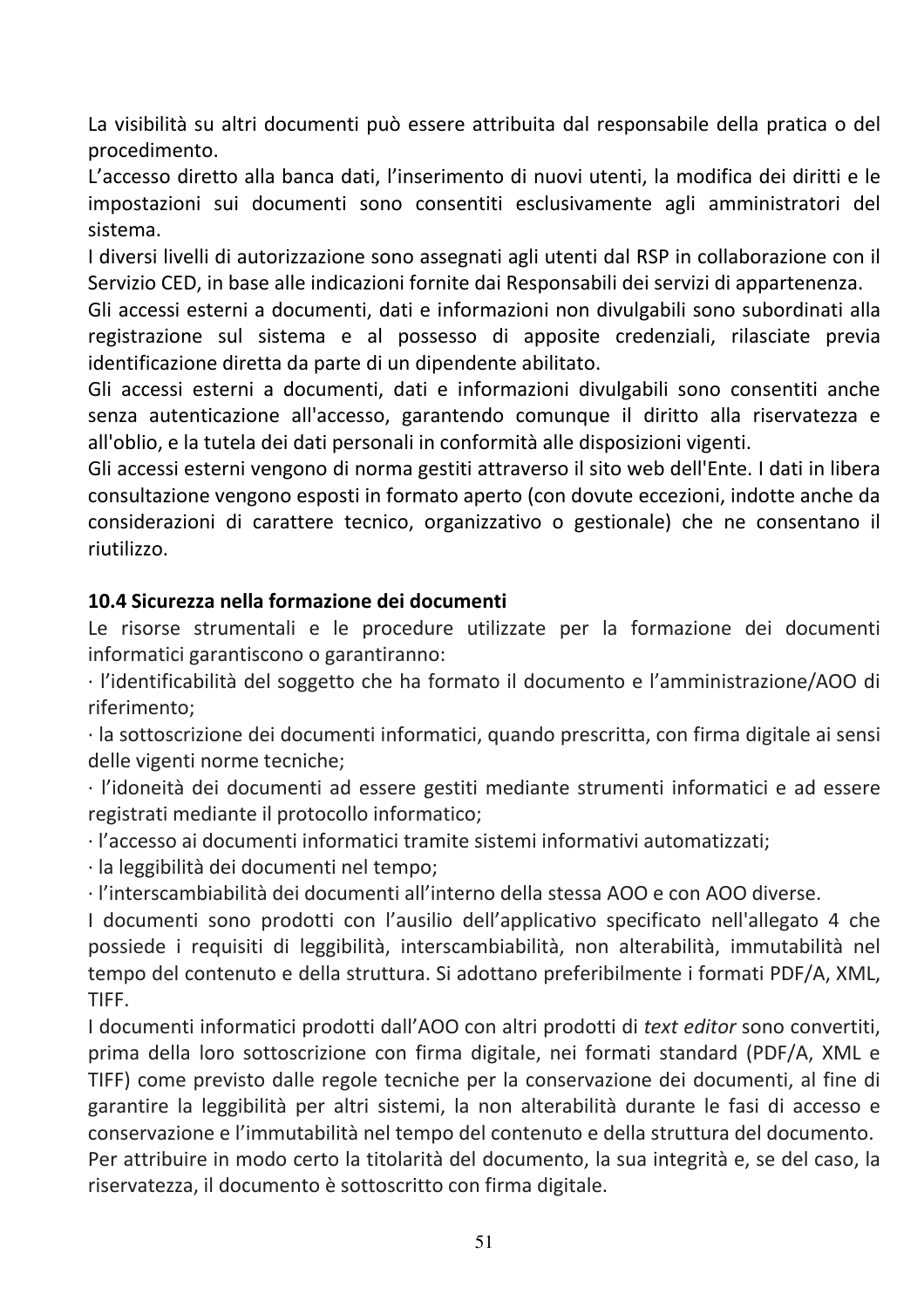La visibilità su altri documenti può essere attribuita dal responsabile della pratica o del procedimento.

L'accesso diretto alla banca dati, l'inserimento di nuovi utenti, la modifica dei diritti e le impostazioni sui documenti sono consentiti esclusivamente agli amministratori del sistema.

I diversi livelli di autorizzazione sono assegnati agli utenti dal RSP in collaborazione con il Servizio CED, in base alle indicazioni fornite dai Responsabili dei servizi di appartenenza.

Gli accessi esterni a documenti, dati e informazioni non divulgabili sono subordinati alla registrazione sul sistema e al possesso di apposite credenziali, rilasciate previa identificazione diretta da parte di un dipendente abilitato.

Gli accessi esterni a documenti, dati e informazioni divulgabili sono consentiti anche senza autenticazione all'accesso, garantendo comunque il diritto alla riservatezza e all'oblio, e la tutela dei dati personali in conformità alle disposizioni vigenti.

Gli accessi esterni vengono di norma gestiti attraverso il sito web dell'Ente. I dati in libera consultazione vengono esposti in formato aperto (con dovute eccezioni, indotte anche da considerazioni di carattere tecnico, organizzativo o gestionale) che ne consentano il riutilizzo.

# 10.4 Sicurezza nella formazione dei documenti

Le risorse strumentali e le procedure utilizzate per la formazione dei documenti informatici garantiscono o garantiranno:

· l'identificabilità del soggetto che ha formato il documento e l'amministrazione/AOO di riferimento:

· la sottoscrizione dei documenti informatici, quando prescritta, con firma digitale ai sensi delle vigenti norme tecniche:

· l'idoneità dei documenti ad essere gestiti mediante strumenti informatici e ad essere registrati mediante il protocollo informatico;

· l'accesso ai documenti informatici tramite sistemi informativi automatizzati;

· la leggibilità dei documenti nel tempo;

· l'interscambiabilità dei documenti all'interno della stessa AOO e con AOO diverse.

I documenti sono prodotti con l'ausilio dell'applicativo specificato nell'allegato 4 che possiede i requisiti di leggibilità, interscambiabilità, non alterabilità, immutabilità nel tempo del contenuto e della struttura. Si adottano preferibilmente i formati PDF/A, XML, TIFF.

I documenti informatici prodotti dall'AOO con altri prodotti di text editor sono convertiti, prima della loro sottoscrizione con firma digitale, nei formati standard (PDF/A, XML e TIFF) come previsto dalle regole tecniche per la conservazione dei documenti, al fine di garantire la leggibilità per altri sistemi, la non alterabilità durante le fasi di accesso e conservazione e l'immutabilità nel tempo del contenuto e della struttura del documento. Per attribuire in modo certo la titolarità del documento, la sua integrità e, se del caso, la riservatezza, il documento è sottoscritto con firma digitale.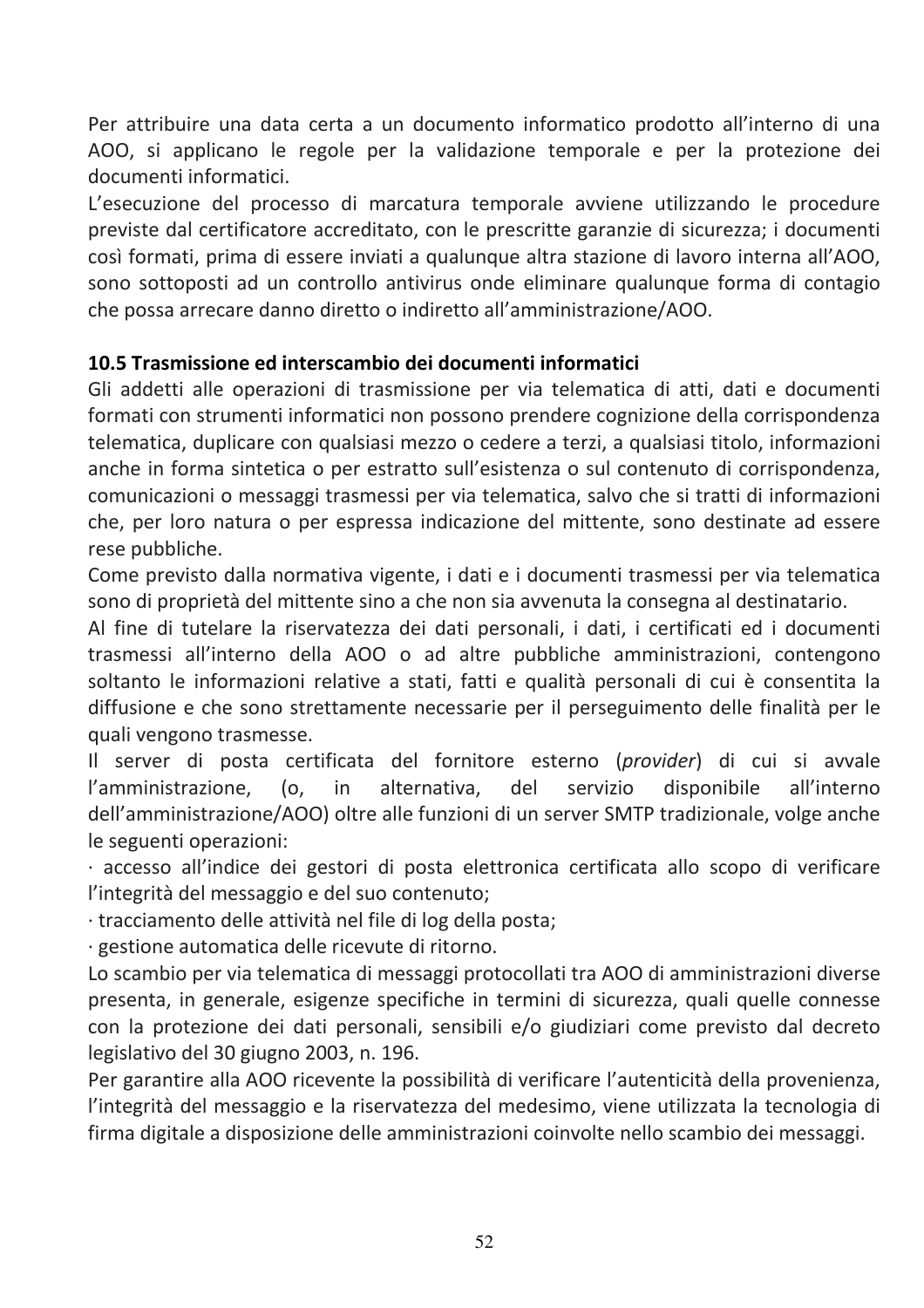Per attribuire una data certa a un documento informatico prodotto all'interno di una AOO, si applicano le regole per la validazione temporale e per la protezione dei documenti informatici.

L'esecuzione del processo di marcatura temporale avviene utilizzando le procedure previste dal certificatore accreditato, con le prescritte garanzie di sicurezza: i documenti così formati, prima di essere inviati a qualunque altra stazione di lavoro interna all'AOO, sono sottoposti ad un controllo antivirus onde eliminare qualunque forma di contagio che possa arrecare danno diretto o indiretto all'amministrazione/AOO.

#### 10.5 Trasmissione ed interscambio dei documenti informatici

Gli addetti alle operazioni di trasmissione per via telematica di atti, dati e documenti formati con strumenti informatici non possono prendere cognizione della corrispondenza telematica, duplicare con qualsiasi mezzo o cedere a terzi, a qualsiasi titolo, informazioni anche in forma sintetica o per estratto sull'esistenza o sul contenuto di corrispondenza, comunicazioni o messaggi trasmessi per via telematica, salvo che si tratti di informazioni che, per loro natura o per espressa indicazione del mittente, sono destinate ad essere rese pubbliche.

Come previsto dalla normativa vigente, i dati e i documenti trasmessi per via telematica sono di proprietà del mittente sino a che non sia avvenuta la consegna al destinatario.

Al fine di tutelare la riservatezza dei dati personali, i dati, i certificati ed i documenti trasmessi all'interno della AOO o ad altre pubbliche amministrazioni, contengono soltanto le informazioni relative a stati, fatti e qualità personali di cui è consentita la diffusione e che sono strettamente necessarie per il perseguimento delle finalità per le quali vengono trasmesse.

Il server di posta certificata del fornitore esterno (provider) di cui si avvale l'amministrazione,  $(0,$ in alternativa, del servizio disponibile all'interno dell'amministrazione/AOO) oltre alle funzioni di un server SMTP tradizionale, volge anche le seguenti operazioni:

· accesso all'indice dei gestori di posta elettronica certificata allo scopo di verificare l'integrità del messaggio e del suo contenuto;

· tracciamento delle attività nel file di log della posta;

· gestione automatica delle ricevute di ritorno.

Lo scambio per via telematica di messaggi protocollati tra AOO di amministrazioni diverse presenta, in generale, esigenze specifiche in termini di sicurezza, quali quelle connesse con la protezione dei dati personali, sensibili e/o giudiziari come previsto dal decreto legislativo del 30 giugno 2003, n. 196.

Per garantire alla AOO ricevente la possibilità di verificare l'autenticità della provenienza, l'integrità del messaggio e la riservatezza del medesimo, viene utilizzata la tecnologia di firma digitale a disposizione delle amministrazioni coinvolte nello scambio dei messaggi.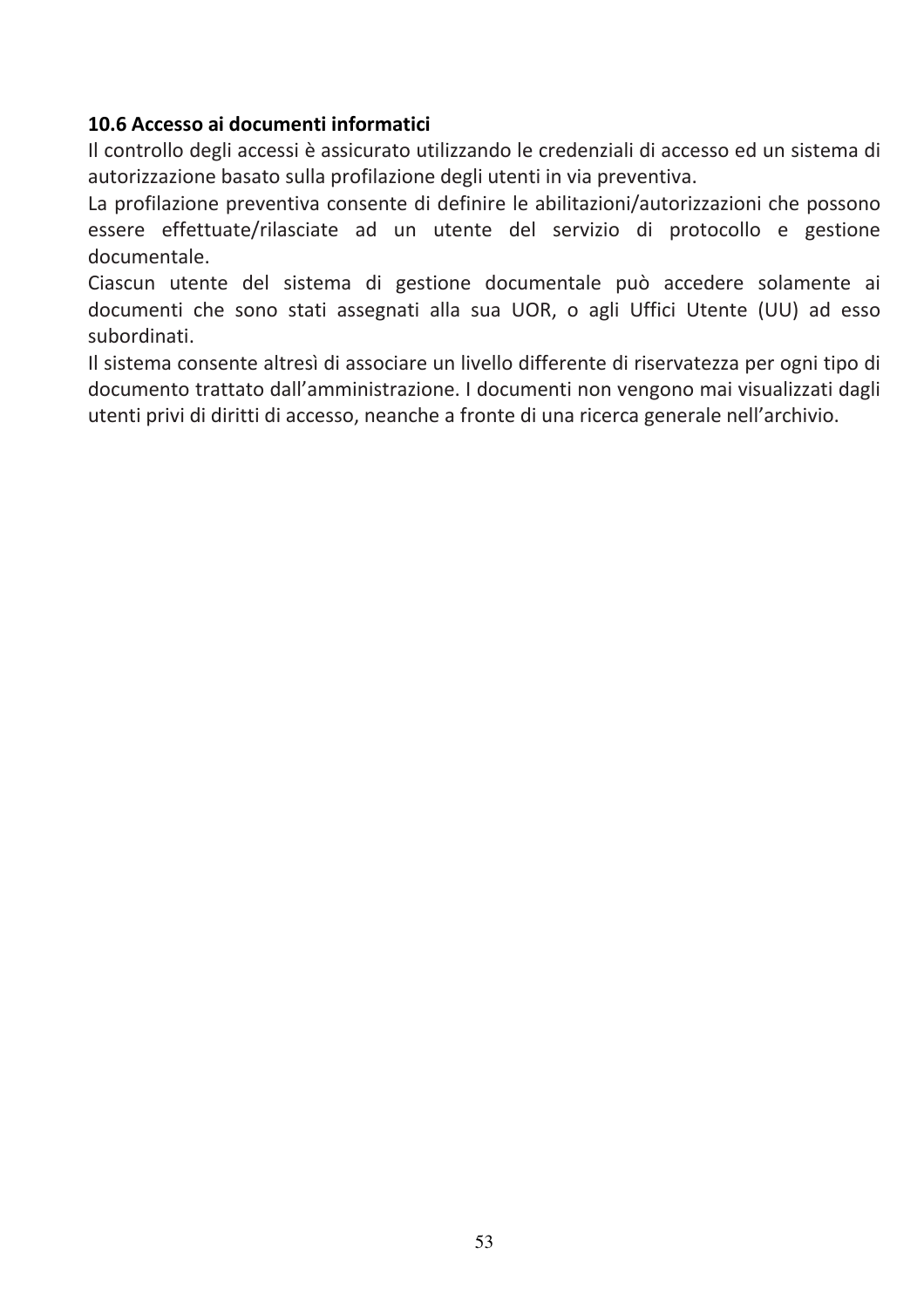#### 10.6 Accesso ai documenti informatici

Il controllo degli accessi è assicurato utilizzando le credenziali di accesso ed un sistema di autorizzazione basato sulla profilazione degli utenti in via preventiva.

La profilazione preventiva consente di definire le abilitazioni/autorizzazioni che possono essere effettuate/rilasciate ad un utente del servizio di protocollo e gestione documentale

Ciascun utente del sistema di gestione documentale può accedere solamente ai documenti che sono stati assegnati alla sua UOR, o agli Uffici Utente (UU) ad esso subordinati.

Il sistema consente altresì di associare un livello differente di riservatezza per ogni tipo di documento trattato dall'amministrazione. I documenti non vengono mai visualizzati dagli utenti privi di diritti di accesso, neanche a fronte di una ricerca generale nell'archivio.